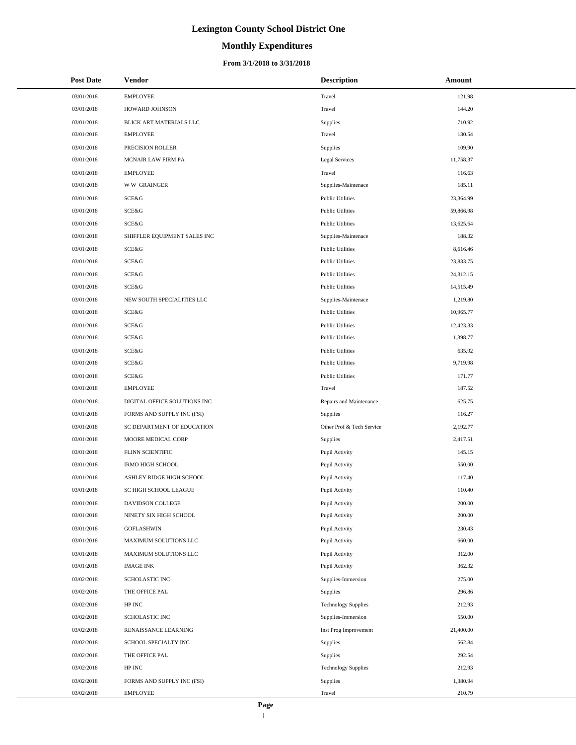# **Monthly Expenditures**

#### **From 3/1/2018 to 3/31/2018**

| <b>Post Date</b> | Vendor                       | <b>Description</b>         | Amount    |
|------------------|------------------------------|----------------------------|-----------|
| 03/01/2018       | <b>EMPLOYEE</b>              | Travel                     | 121.98    |
| 03/01/2018       | HOWARD JOHNSON               | Travel                     | 144.20    |
| 03/01/2018       | BLICK ART MATERIALS LLC      | Supplies                   | 710.92    |
| 03/01/2018       | <b>EMPLOYEE</b>              | Travel                     | 130.54    |
| 03/01/2018       | PRECISION ROLLER             | Supplies                   | 109.90    |
| 03/01/2018       | MCNAIR LAW FIRM PA           | Legal Services             | 11,758.37 |
| 03/01/2018       | <b>EMPLOYEE</b>              | Travel                     | 116.63    |
| 03/01/2018       | <b>WW GRAINGER</b>           | Supplies-Maintenace        | 185.11    |
| 03/01/2018       | SCE&G                        | <b>Public Utilities</b>    | 23,364.99 |
| 03/01/2018       | SCE&G                        | <b>Public Utilities</b>    | 59,866.98 |
| 03/01/2018       | SCE&G                        | <b>Public Utilities</b>    | 13,625.64 |
| 03/01/2018       | SHIFFLER EQUIPMENT SALES INC | Supplies-Maintenace        | 188.32    |
| 03/01/2018       | SCE&G                        | <b>Public Utilities</b>    | 8,616.46  |
| 03/01/2018       | SCE&G                        | <b>Public Utilities</b>    | 23,833.75 |
| 03/01/2018       | SCE&G                        | <b>Public Utilities</b>    | 24,312.15 |
| 03/01/2018       | SCE&G                        | <b>Public Utilities</b>    | 14,515.49 |
| 03/01/2018       | NEW SOUTH SPECIALITIES LLC   | Supplies-Maintenace        | 1,219.80  |
| 03/01/2018       | SCE&G                        | <b>Public Utilities</b>    | 10,965.77 |
| 03/01/2018       | SCE&G                        | <b>Public Utilities</b>    | 12,423.33 |
| 03/01/2018       | SCE&G                        | <b>Public Utilities</b>    | 1,398.77  |
| 03/01/2018       | SCE&G                        | <b>Public Utilities</b>    | 635.92    |
| 03/01/2018       | SCE&G                        | <b>Public Utilities</b>    | 9,719.98  |
| 03/01/2018       | SCE&G                        | <b>Public Utilities</b>    | 171.77    |
| 03/01/2018       | <b>EMPLOYEE</b>              | Travel                     | 187.52    |
| 03/01/2018       | DIGITAL OFFICE SOLUTIONS INC | Repairs and Maintenance    | 625.75    |
| 03/01/2018       | FORMS AND SUPPLY INC (FSI)   | Supplies                   | 116.27    |
| 03/01/2018       | SC DEPARTMENT OF EDUCATION   | Other Prof & Tech Service  | 2,192.77  |
| 03/01/2018       | MOORE MEDICAL CORP           | Supplies                   | 2,417.51  |
| 03/01/2018       | FLINN SCIENTIFIC             | Pupil Activity             | 145.15    |
| 03/01/2018       | <b>IRMO HIGH SCHOOL</b>      | Pupil Activity             | 550.00    |
| 03/01/2018       | ASHLEY RIDGE HIGH SCHOOL     | Pupil Activity             | 117.40    |
| 03/01/2018       | SC HIGH SCHOOL LEAGUE        | Pupil Activity             | 110.40    |
| 03/01/2018       | DAVIDSON COLLEGE             | Pupil Activity             | 200.00    |
| 03/01/2018       | NINETY SIX HIGH SCHOOL       | Pupil Activity             | 200.00    |
| 03/01/2018       | <b>GOFLASHWIN</b>            | Pupil Activity             | 230.43    |
| 03/01/2018       | MAXIMUM SOLUTIONS LLC        | Pupil Activity             | 660.00    |
| 03/01/2018       | MAXIMUM SOLUTIONS LLC        | Pupil Activity             | 312.00    |
| 03/01/2018       | <b>IMAGE INK</b>             | Pupil Activity             | 362.32    |
| 03/02/2018       | SCHOLASTIC INC               | Supplies-Immersion         | 275.00    |
| 03/02/2018       | THE OFFICE PAL               | Supplies                   | 296.86    |
| 03/02/2018       | HP INC                       | <b>Technology Supplies</b> | 212.93    |
| 03/02/2018       | SCHOLASTIC INC               | Supplies-Immersion         | 550.00    |
| 03/02/2018       | RENAISSANCE LEARNING         | Inst Prog Improvement      | 21,400.00 |
| 03/02/2018       | SCHOOL SPECIALTY INC         | Supplies                   | 562.84    |
| 03/02/2018       | THE OFFICE PAL               | Supplies                   | 292.54    |
| 03/02/2018       | $\operatorname{HP}$ INC      | <b>Technology Supplies</b> | 212.93    |
| 03/02/2018       | FORMS AND SUPPLY INC (FSI)   | Supplies                   | 1,380.94  |
| 03/02/2018       | <b>EMPLOYEE</b>              | Travel                     | 210.79    |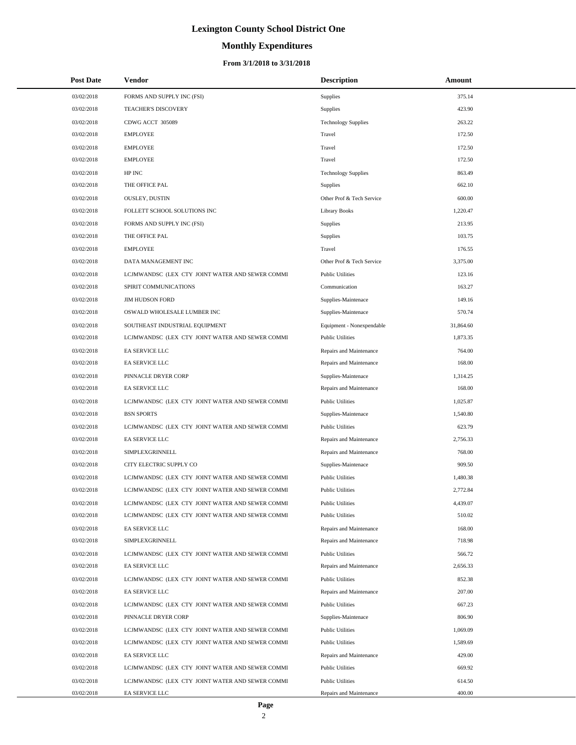# **Monthly Expenditures**

| <b>Post Date</b> | Vendor                                          | <b>Description</b>         | Amount    |
|------------------|-------------------------------------------------|----------------------------|-----------|
| 03/02/2018       | FORMS AND SUPPLY INC (FSI)                      | Supplies                   | 375.14    |
| 03/02/2018       | TEACHER'S DISCOVERY                             | Supplies                   | 423.90    |
| 03/02/2018       | CDWG ACCT 305089                                | <b>Technology Supplies</b> | 263.22    |
| 03/02/2018       | <b>EMPLOYEE</b>                                 | Travel                     | 172.50    |
| 03/02/2018       | <b>EMPLOYEE</b>                                 | Travel                     | 172.50    |
| 03/02/2018       | <b>EMPLOYEE</b>                                 | Travel                     | 172.50    |
| 03/02/2018       | HP INC                                          | <b>Technology Supplies</b> | 863.49    |
| 03/02/2018       | THE OFFICE PAL                                  | Supplies                   | 662.10    |
| 03/02/2018       | <b>OUSLEY, DUSTIN</b>                           | Other Prof & Tech Service  | 600.00    |
| 03/02/2018       | FOLLETT SCHOOL SOLUTIONS INC                    | <b>Library Books</b>       | 1,220.47  |
| 03/02/2018       | FORMS AND SUPPLY INC (FSI)                      | Supplies                   | 213.95    |
| 03/02/2018       | THE OFFICE PAL                                  | Supplies                   | 103.75    |
| 03/02/2018       | <b>EMPLOYEE</b>                                 | Travel                     | 176.55    |
| 03/02/2018       | DATA MANAGEMENT INC                             | Other Prof & Tech Service  | 3,375.00  |
| 03/02/2018       | LCJMWANDSC (LEX CTY JOINT WATER AND SEWER COMMI | <b>Public Utilities</b>    | 123.16    |
| 03/02/2018       | SPIRIT COMMUNICATIONS                           | Communication              | 163.27    |
| 03/02/2018       | <b>JIM HUDSON FORD</b>                          | Supplies-Maintenace        | 149.16    |
| 03/02/2018       | OSWALD WHOLESALE LUMBER INC                     | Supplies-Maintenace        | 570.74    |
| 03/02/2018       | SOUTHEAST INDUSTRIAL EQUIPMENT                  | Equipment - Nonexpendable  | 31,864.60 |
| 03/02/2018       | LCJMWANDSC (LEX CTY JOINT WATER AND SEWER COMMI | <b>Public Utilities</b>    | 1,873.35  |
| 03/02/2018       | EA SERVICE LLC                                  | Repairs and Maintenance    | 764.00    |
| 03/02/2018       | EA SERVICE LLC                                  | Repairs and Maintenance    | 168.00    |
| 03/02/2018       | PINNACLE DRYER CORP                             | Supplies-Maintenace        | 1,314.25  |
| 03/02/2018       | EA SERVICE LLC                                  | Repairs and Maintenance    | 168.00    |
| 03/02/2018       | LCJMWANDSC (LEX CTY JOINT WATER AND SEWER COMMI | <b>Public Utilities</b>    | 1,025.87  |
| 03/02/2018       | <b>BSN SPORTS</b>                               | Supplies-Maintenace        | 1,540.80  |
| 03/02/2018       | LCJMWANDSC (LEX CTY JOINT WATER AND SEWER COMMI | <b>Public Utilities</b>    | 623.79    |
| 03/02/2018       | EA SERVICE LLC                                  | Repairs and Maintenance    | 2,756.33  |
| 03/02/2018       | SIMPLEXGRINNELL                                 | Repairs and Maintenance    | 768.00    |
| 03/02/2018       | CITY ELECTRIC SUPPLY CO                         | Supplies-Maintenace        | 909.50    |
| 03/02/2018       | LCJMWANDSC (LEX CTY JOINT WATER AND SEWER COMMI | <b>Public Utilities</b>    | 1,480.38  |
| 03/02/2018       | LCJMWANDSC (LEX CTY JOINT WATER AND SEWER COMMI | <b>Public Utilities</b>    | 2,772.84  |
| 03/02/2018       | LCJMWANDSC (LEX CTY JOINT WATER AND SEWER COMMI | <b>Public Utilities</b>    | 4,439.07  |
| 03/02/2018       | LCJMWANDSC (LEX CTY JOINT WATER AND SEWER COMMI | <b>Public Utilities</b>    | 510.02    |
| 03/02/2018       | EA SERVICE LLC                                  | Repairs and Maintenance    | 168.00    |
| 03/02/2018       | SIMPLEXGRINNELL                                 | Repairs and Maintenance    | 718.98    |
| 03/02/2018       | LCJMWANDSC (LEX CTY JOINT WATER AND SEWER COMMI | <b>Public Utilities</b>    | 566.72    |
| 03/02/2018       | EA SERVICE LLC                                  | Repairs and Maintenance    | 2,656.33  |
| 03/02/2018       | LCJMWANDSC (LEX CTY JOINT WATER AND SEWER COMMI | <b>Public Utilities</b>    | 852.38    |
| 03/02/2018       | EA SERVICE LLC                                  | Repairs and Maintenance    | 207.00    |
| 03/02/2018       | LCJMWANDSC (LEX CTY JOINT WATER AND SEWER COMMI | <b>Public Utilities</b>    | 667.23    |
| 03/02/2018       | PINNACLE DRYER CORP                             | Supplies-Maintenace        | 806.90    |
| 03/02/2018       | LCJMWANDSC (LEX CTY JOINT WATER AND SEWER COMMI | <b>Public Utilities</b>    | 1,069.09  |
| 03/02/2018       | LCJMWANDSC (LEX CTY JOINT WATER AND SEWER COMMI | <b>Public Utilities</b>    | 1,589.69  |
| 03/02/2018       | EA SERVICE LLC                                  | Repairs and Maintenance    | 429.00    |
| 03/02/2018       | LCJMWANDSC (LEX CTY JOINT WATER AND SEWER COMMI | <b>Public Utilities</b>    | 669.92    |
| 03/02/2018       | LCJMWANDSC (LEX CTY JOINT WATER AND SEWER COMMI | <b>Public Utilities</b>    | 614.50    |
| 03/02/2018       | EA SERVICE LLC                                  | Repairs and Maintenance    | 400.00    |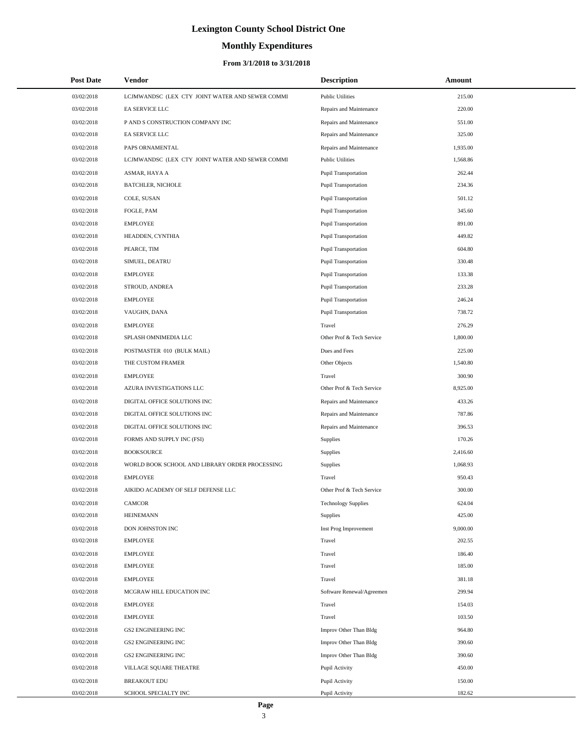# **Monthly Expenditures**

| <b>Post Date</b> | <b>Vendor</b>                                   | <b>Description</b>          | Amount   |
|------------------|-------------------------------------------------|-----------------------------|----------|
| 03/02/2018       | LCJMWANDSC (LEX CTY JOINT WATER AND SEWER COMMI | <b>Public Utilities</b>     | 215.00   |
| 03/02/2018       | EA SERVICE LLC                                  | Repairs and Maintenance     | 220.00   |
| 03/02/2018       | P AND S CONSTRUCTION COMPANY INC                | Repairs and Maintenance     | 551.00   |
| 03/02/2018       | EA SERVICE LLC                                  | Repairs and Maintenance     | 325.00   |
| 03/02/2018       | PAPS ORNAMENTAL                                 | Repairs and Maintenance     | 1,935.00 |
| 03/02/2018       | LCJMWANDSC (LEX CTY JOINT WATER AND SEWER COMMI | <b>Public Utilities</b>     | 1,568.86 |
| 03/02/2018       | ASMAR, HAYA A                                   | <b>Pupil Transportation</b> | 262.44   |
| 03/02/2018       | <b>BATCHLER, NICHOLE</b>                        | <b>Pupil Transportation</b> | 234.36   |
| 03/02/2018       | COLE, SUSAN                                     | <b>Pupil Transportation</b> | 501.12   |
| 03/02/2018       | FOGLE, PAM                                      | <b>Pupil Transportation</b> | 345.60   |
| 03/02/2018       | <b>EMPLOYEE</b>                                 | <b>Pupil Transportation</b> | 891.00   |
| 03/02/2018       | HEADDEN, CYNTHIA                                | <b>Pupil Transportation</b> | 449.82   |
| 03/02/2018       | PEARCE, TIM                                     | <b>Pupil Transportation</b> | 604.80   |
| 03/02/2018       | SIMUEL, DEATRU                                  | <b>Pupil Transportation</b> | 330.48   |
| 03/02/2018       | <b>EMPLOYEE</b>                                 | <b>Pupil Transportation</b> | 133.38   |
| 03/02/2018       | STROUD, ANDREA                                  | <b>Pupil Transportation</b> | 233.28   |
| 03/02/2018       | <b>EMPLOYEE</b>                                 | <b>Pupil Transportation</b> | 246.24   |
| 03/02/2018       | VAUGHN, DANA                                    | <b>Pupil Transportation</b> | 738.72   |
| 03/02/2018       | <b>EMPLOYEE</b>                                 | Travel                      | 276.29   |
| 03/02/2018       | SPLASH OMNIMEDIA LLC                            | Other Prof & Tech Service   | 1,800.00 |
| 03/02/2018       | POSTMASTER 010 (BULK MAIL)                      | Dues and Fees               | 225.00   |
| 03/02/2018       | THE CUSTOM FRAMER                               | Other Objects               | 1,540.80 |
| 03/02/2018       | <b>EMPLOYEE</b>                                 | Travel                      | 300.90   |
| 03/02/2018       | AZURA INVESTIGATIONS LLC                        | Other Prof & Tech Service   | 8,925.00 |
| 03/02/2018       | DIGITAL OFFICE SOLUTIONS INC                    | Repairs and Maintenance     | 433.26   |
| 03/02/2018       | DIGITAL OFFICE SOLUTIONS INC                    | Repairs and Maintenance     | 787.86   |
| 03/02/2018       | DIGITAL OFFICE SOLUTIONS INC                    | Repairs and Maintenance     | 396.53   |
| 03/02/2018       | FORMS AND SUPPLY INC (FSI)                      | Supplies                    | 170.26   |
| 03/02/2018       | <b>BOOKSOURCE</b>                               | Supplies                    | 2,416.60 |
| 03/02/2018       | WORLD BOOK SCHOOL AND LIBRARY ORDER PROCESSING  | Supplies                    | 1,068.93 |
| 03/02/2018       | <b>EMPLOYEE</b>                                 | Travel                      | 950.43   |
| 03/02/2018       | AIKIDO ACADEMY OF SELF DEFENSE LLC              | Other Prof & Tech Service   | 300.00   |
| 03/02/2018       | <b>CAMCOR</b>                                   | <b>Technology Supplies</b>  | 624.04   |
| 03/02/2018       | <b>HEINEMANN</b>                                | <b>Supplies</b>             | 425.00   |
| 03/02/2018       | DON JOHNSTON INC                                | Inst Prog Improvement       | 9,000.00 |
| 03/02/2018       | <b>EMPLOYEE</b>                                 | Travel                      | 202.55   |
| 03/02/2018       | <b>EMPLOYEE</b>                                 | Travel                      | 186.40   |
| 03/02/2018       | <b>EMPLOYEE</b>                                 | Travel                      | 185.00   |
| 03/02/2018       | <b>EMPLOYEE</b>                                 | Travel                      | 381.18   |
| 03/02/2018       | MCGRAW HILL EDUCATION INC                       | Software Renewal/Agreemen   | 299.94   |
| 03/02/2018       | <b>EMPLOYEE</b>                                 | Travel                      | 154.03   |
| 03/02/2018       | <b>EMPLOYEE</b>                                 | Travel                      | 103.50   |
| 03/02/2018       | GS2 ENGINEERING INC                             | Improv Other Than Bldg      | 964.80   |
| 03/02/2018       | GS2 ENGINEERING INC                             | Improv Other Than Bldg      | 390.60   |
| 03/02/2018       | GS2 ENGINEERING INC                             | Improv Other Than Bldg      | 390.60   |
| 03/02/2018       | VILLAGE SQUARE THEATRE                          | Pupil Activity              | 450.00   |
| 03/02/2018       | <b>BREAKOUT EDU</b>                             | Pupil Activity              | 150.00   |
| 03/02/2018       | SCHOOL SPECIALTY INC                            | Pupil Activity              | 182.62   |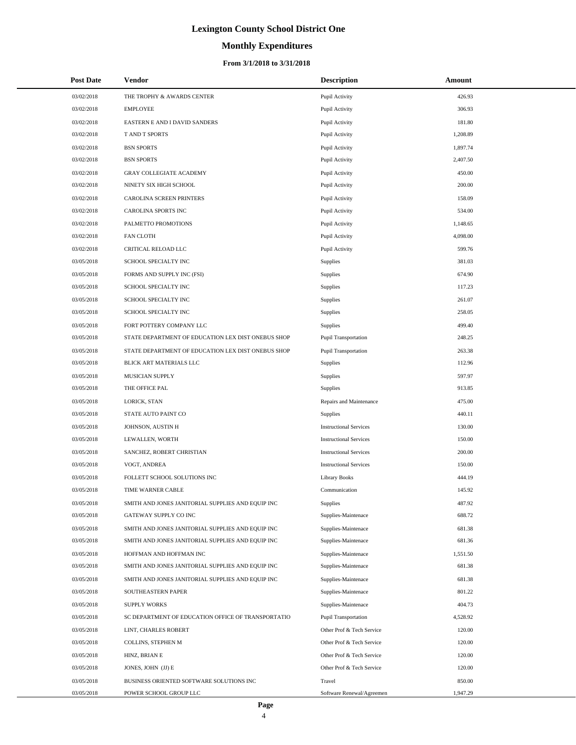# **Monthly Expenditures**

#### **From 3/1/2018 to 3/31/2018**

| <b>Post Date</b> | Vendor                                             | <b>Description</b>            | Amount   |  |
|------------------|----------------------------------------------------|-------------------------------|----------|--|
| 03/02/2018       | THE TROPHY & AWARDS CENTER                         | Pupil Activity                | 426.93   |  |
| 03/02/2018       | <b>EMPLOYEE</b>                                    | Pupil Activity                | 306.93   |  |
| 03/02/2018       | EASTERN E AND I DAVID SANDERS                      | Pupil Activity                | 181.80   |  |
| 03/02/2018       | T AND T SPORTS                                     | Pupil Activity                | 1,208.89 |  |
| 03/02/2018       | <b>BSN SPORTS</b>                                  | Pupil Activity                | 1,897.74 |  |
| 03/02/2018       | <b>BSN SPORTS</b>                                  | Pupil Activity                | 2,407.50 |  |
| 03/02/2018       | <b>GRAY COLLEGIATE ACADEMY</b>                     | Pupil Activity                | 450.00   |  |
| 03/02/2018       | NINETY SIX HIGH SCHOOL                             | Pupil Activity                | 200.00   |  |
| 03/02/2018       | CAROLINA SCREEN PRINTERS                           | Pupil Activity                | 158.09   |  |
| 03/02/2018       | <b>CAROLINA SPORTS INC</b>                         | Pupil Activity                | 534.00   |  |
| 03/02/2018       | PALMETTO PROMOTIONS                                | Pupil Activity                | 1,148.65 |  |
| 03/02/2018       | <b>FAN CLOTH</b>                                   | Pupil Activity                | 4,098.00 |  |
| 03/02/2018       | CRITICAL RELOAD LLC                                | Pupil Activity                | 599.76   |  |
| 03/05/2018       | SCHOOL SPECIALTY INC                               | Supplies                      | 381.03   |  |
| 03/05/2018       | FORMS AND SUPPLY INC (FSI)                         | Supplies                      | 674.90   |  |
| 03/05/2018       | SCHOOL SPECIALTY INC                               | Supplies                      | 117.23   |  |
| 03/05/2018       | SCHOOL SPECIALTY INC                               | Supplies                      | 261.07   |  |
| 03/05/2018       | SCHOOL SPECIALTY INC                               | Supplies                      | 258.05   |  |
| 03/05/2018       | FORT POTTERY COMPANY LLC                           | Supplies                      | 499.40   |  |
| 03/05/2018       | STATE DEPARTMENT OF EDUCATION LEX DIST ONEBUS SHOP | <b>Pupil Transportation</b>   | 248.25   |  |
| 03/05/2018       | STATE DEPARTMENT OF EDUCATION LEX DIST ONEBUS SHOP | <b>Pupil Transportation</b>   | 263.38   |  |
| 03/05/2018       | BLICK ART MATERIALS LLC                            | Supplies                      | 112.96   |  |
| 03/05/2018       | MUSICIAN SUPPLY                                    | Supplies                      | 597.97   |  |
| 03/05/2018       | THE OFFICE PAL                                     | Supplies                      | 913.85   |  |
| 03/05/2018       | LORICK, STAN                                       | Repairs and Maintenance       | 475.00   |  |
| 03/05/2018       | STATE AUTO PAINT CO                                | Supplies                      | 440.11   |  |
| 03/05/2018       | JOHNSON, AUSTIN H                                  | <b>Instructional Services</b> | 130.00   |  |
| 03/05/2018       | LEWALLEN, WORTH                                    | <b>Instructional Services</b> | 150.00   |  |
| 03/05/2018       | SANCHEZ, ROBERT CHRISTIAN                          | <b>Instructional Services</b> | 200.00   |  |
| 03/05/2018       | VOGT, ANDREA                                       | <b>Instructional Services</b> | 150.00   |  |
| 03/05/2018       | FOLLETT SCHOOL SOLUTIONS INC                       | <b>Library Books</b>          | 444.19   |  |
| 03/05/2018       | TIME WARNER CABLE                                  | Communication                 | 145.92   |  |
| 03/05/2018       | SMITH AND JONES JANITORIAL SUPPLIES AND EQUIP INC  | Supplies                      | 487.92   |  |
| 03/05/2018       | GATEWAY SUPPLY CO INC                              | Supplies-Maintenace           | 688.72   |  |
| 03/05/2018       | SMITH AND JONES JANITORIAL SUPPLIES AND EQUIP INC  | Supplies-Maintenace           | 681.38   |  |
| 03/05/2018       | SMITH AND JONES JANITORIAL SUPPLIES AND EQUIP INC  | Supplies-Maintenace           | 681.36   |  |
| 03/05/2018       | HOFFMAN AND HOFFMAN INC                            | Supplies-Maintenace           | 1,551.50 |  |
| 03/05/2018       | SMITH AND JONES JANITORIAL SUPPLIES AND EQUIP INC  | Supplies-Maintenace           | 681.38   |  |
| 03/05/2018       | SMITH AND JONES JANITORIAL SUPPLIES AND EQUIP INC  | Supplies-Maintenace           | 681.38   |  |
| 03/05/2018       | SOUTHEASTERN PAPER                                 | Supplies-Maintenace           | 801.22   |  |
| 03/05/2018       | <b>SUPPLY WORKS</b>                                | Supplies-Maintenace           | 404.73   |  |
| 03/05/2018       | SC DEPARTMENT OF EDUCATION OFFICE OF TRANSPORTATIO | <b>Pupil Transportation</b>   | 4,528.92 |  |
| 03/05/2018       | LINT, CHARLES ROBERT                               | Other Prof & Tech Service     | 120.00   |  |
| 03/05/2018       | COLLINS, STEPHEN M                                 | Other Prof & Tech Service     | 120.00   |  |
| 03/05/2018       | HINZ, BRIAN E                                      | Other Prof & Tech Service     | 120.00   |  |
| 03/05/2018       | JONES, JOHN (JJ) E                                 | Other Prof & Tech Service     | 120.00   |  |
| 03/05/2018       | BUSINESS ORIENTED SOFTWARE SOLUTIONS INC           | Travel                        | 850.00   |  |
| 03/05/2018       | POWER SCHOOL GROUP LLC                             | Software Renewal/Agreemen     | 1,947.29 |  |

 $\overline{a}$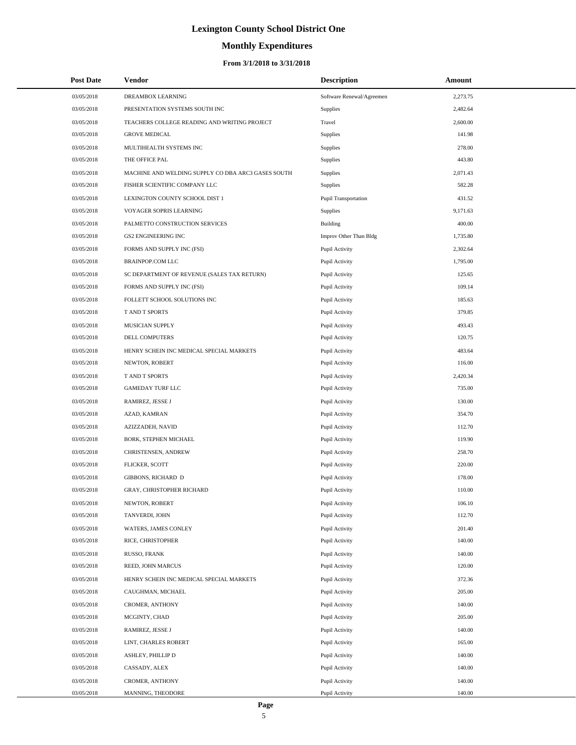# **Monthly Expenditures**

| <b>Post Date</b> | Vendor                                             | <b>Description</b>          | Amount   |
|------------------|----------------------------------------------------|-----------------------------|----------|
| 03/05/2018       | DREAMBOX LEARNING                                  | Software Renewal/Agreemen   | 2,273.75 |
| 03/05/2018       | PRESENTATION SYSTEMS SOUTH INC                     | Supplies                    | 2,482.64 |
| 03/05/2018       | TEACHERS COLLEGE READING AND WRITING PROJECT       | Travel                      | 2,600.00 |
| 03/05/2018       | <b>GROVE MEDICAL</b>                               | Supplies                    | 141.98   |
| 03/05/2018       | MULTIHEALTH SYSTEMS INC                            | Supplies                    | 278.00   |
| 03/05/2018       | THE OFFICE PAL                                     | Supplies                    | 443.80   |
| 03/05/2018       | MACHINE AND WELDING SUPPLY CO DBA ARC3 GASES SOUTH | Supplies                    | 2,071.43 |
| 03/05/2018       | FISHER SCIENTIFIC COMPANY LLC                      | Supplies                    | 582.28   |
| 03/05/2018       | LEXINGTON COUNTY SCHOOL DIST 1                     | <b>Pupil Transportation</b> | 431.52   |
| 03/05/2018       | VOYAGER SOPRIS LEARNING                            | Supplies                    | 9,171.63 |
| 03/05/2018       | PALMETTO CONSTRUCTION SERVICES                     | Building                    | 400.00   |
| 03/05/2018       | <b>GS2 ENGINEERING INC</b>                         | Improv Other Than Bldg      | 1,735.80 |
| 03/05/2018       | FORMS AND SUPPLY INC (FSI)                         | Pupil Activity              | 2,302.64 |
| 03/05/2018       | BRAINPOP.COM LLC                                   | Pupil Activity              | 1,795.00 |
| 03/05/2018       | SC DEPARTMENT OF REVENUE (SALES TAX RETURN)        | Pupil Activity              | 125.65   |
| 03/05/2018       | FORMS AND SUPPLY INC (FSI)                         | Pupil Activity              | 109.14   |
| 03/05/2018       | FOLLETT SCHOOL SOLUTIONS INC                       | Pupil Activity              | 185.63   |
| 03/05/2018       | T AND T SPORTS                                     | Pupil Activity              | 379.85   |
| 03/05/2018       | MUSICIAN SUPPLY                                    | Pupil Activity              | 493.43   |
| 03/05/2018       | DELL COMPUTERS                                     | Pupil Activity              | 120.75   |
| 03/05/2018       | HENRY SCHEIN INC MEDICAL SPECIAL MARKETS           | Pupil Activity              | 483.64   |
| 03/05/2018       | NEWTON, ROBERT                                     | Pupil Activity              | 116.00   |
| 03/05/2018       | T AND T SPORTS                                     | Pupil Activity              | 2,420.34 |
| 03/05/2018       | <b>GAMEDAY TURF LLC</b>                            | Pupil Activity              | 735.00   |
| 03/05/2018       | RAMIREZ, JESSE J                                   | Pupil Activity              | 130.00   |
| 03/05/2018       | AZAD, KAMRAN                                       | Pupil Activity              | 354.70   |
| 03/05/2018       | AZIZZADEH, NAVID                                   | Pupil Activity              | 112.70   |
| 03/05/2018       | BORK, STEPHEN MICHAEL                              | Pupil Activity              | 119.90   |
| 03/05/2018       | CHRISTENSEN, ANDREW                                | Pupil Activity              | 258.70   |
| 03/05/2018       | FLICKER, SCOTT                                     | Pupil Activity              | 220.00   |
| 03/05/2018       | <b>GIBBONS, RICHARD D</b>                          | Pupil Activity              | 178.00   |
| 03/05/2018       | <b>GRAY, CHRISTOPHER RICHARD</b>                   | Pupil Activity              | 110.00   |
| 03/05/2018       | NEWTON, ROBERT                                     | Pupil Activity              | 106.10   |
| 03/05/2018       | TANVERDI, JOHN                                     | Pupil Activity              | 112.70   |
| 03/05/2018       | WATERS, JAMES CONLEY                               | Pupil Activity              | 201.40   |
| 03/05/2018       | RICE, CHRISTOPHER                                  | Pupil Activity              | 140.00   |
| 03/05/2018       | RUSSO, FRANK                                       | Pupil Activity              | 140.00   |
| 03/05/2018       | REED, JOHN MARCUS                                  | Pupil Activity              | 120.00   |
| 03/05/2018       | HENRY SCHEIN INC MEDICAL SPECIAL MARKETS           | Pupil Activity              | 372.36   |
| 03/05/2018       | CAUGHMAN, MICHAEL                                  | Pupil Activity              | 205.00   |
| 03/05/2018       | CROMER, ANTHONY                                    | Pupil Activity              | 140.00   |
| 03/05/2018       | MCGINTY, CHAD                                      | Pupil Activity              | 205.00   |
| 03/05/2018       | RAMIREZ, JESSE J                                   | Pupil Activity              | 140.00   |
| 03/05/2018       | LINT, CHARLES ROBERT                               | Pupil Activity              | 165.00   |
| 03/05/2018       | ASHLEY, PHILLIP D                                  | Pupil Activity              | 140.00   |
| 03/05/2018       | CASSADY, ALEX                                      | Pupil Activity              | 140.00   |
| 03/05/2018       | CROMER, ANTHONY                                    | Pupil Activity              | 140.00   |
| 03/05/2018       | MANNING, THEODORE                                  | Pupil Activity              | 140.00   |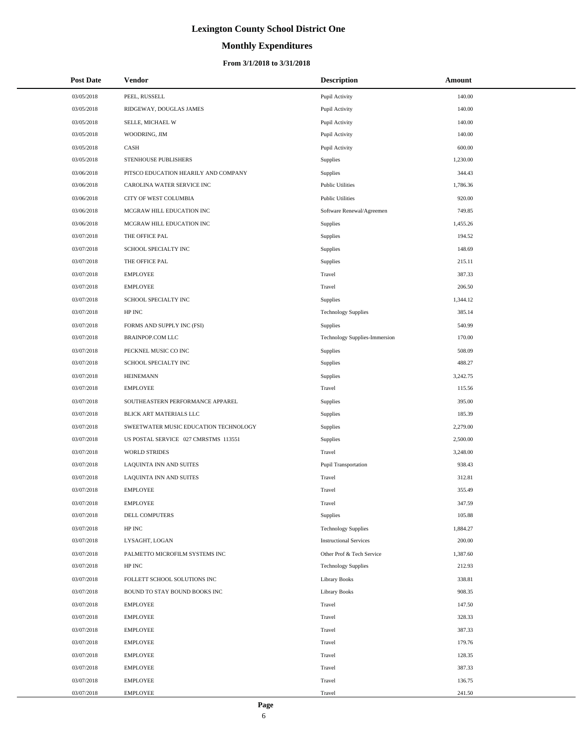# **Monthly Expenditures**

| <b>Post Date</b> | Vendor                                | <b>Description</b>                   | Amount   |  |
|------------------|---------------------------------------|--------------------------------------|----------|--|
| 03/05/2018       | PEEL, RUSSELL                         | Pupil Activity                       | 140.00   |  |
| 03/05/2018       | RIDGEWAY, DOUGLAS JAMES               | Pupil Activity                       | 140.00   |  |
| 03/05/2018       | SELLE, MICHAEL W                      | Pupil Activity                       | 140.00   |  |
| 03/05/2018       | WOODRING, JIM                         | Pupil Activity                       | 140.00   |  |
| 03/05/2018       | CASH                                  | Pupil Activity                       | 600.00   |  |
| 03/05/2018       | STENHOUSE PUBLISHERS                  | Supplies                             | 1,230.00 |  |
| 03/06/2018       | PITSCO EDUCATION HEARILY AND COMPANY  | Supplies                             | 344.43   |  |
| 03/06/2018       | CAROLINA WATER SERVICE INC            | <b>Public Utilities</b>              | 1,786.36 |  |
| 03/06/2018       | CITY OF WEST COLUMBIA                 | <b>Public Utilities</b>              | 920.00   |  |
| 03/06/2018       | MCGRAW HILL EDUCATION INC             | Software Renewal/Agreemen            | 749.85   |  |
| 03/06/2018       | MCGRAW HILL EDUCATION INC             | Supplies                             | 1,455.26 |  |
| 03/07/2018       | THE OFFICE PAL                        | Supplies                             | 194.52   |  |
| 03/07/2018       | SCHOOL SPECIALTY INC                  | Supplies                             | 148.69   |  |
| 03/07/2018       | THE OFFICE PAL                        | Supplies                             | 215.11   |  |
| 03/07/2018       | <b>EMPLOYEE</b>                       | Travel                               | 387.33   |  |
| 03/07/2018       | <b>EMPLOYEE</b>                       | Travel                               | 206.50   |  |
| 03/07/2018       | SCHOOL SPECIALTY INC                  | Supplies                             | 1,344.12 |  |
| 03/07/2018       | HP INC                                | <b>Technology Supplies</b>           | 385.14   |  |
| 03/07/2018       | FORMS AND SUPPLY INC (FSI)            | Supplies                             | 540.99   |  |
| 03/07/2018       | <b>BRAINPOP.COM LLC</b>               | <b>Technology Supplies-Immersion</b> | 170.00   |  |
| 03/07/2018       | PECKNEL MUSIC CO INC                  | Supplies                             | 508.09   |  |
| 03/07/2018       | SCHOOL SPECIALTY INC                  | Supplies                             | 488.27   |  |
| 03/07/2018       | <b>HEINEMANN</b>                      | Supplies                             | 3,242.75 |  |
| 03/07/2018       | <b>EMPLOYEE</b>                       | Travel                               | 115.56   |  |
| 03/07/2018       | SOUTHEASTERN PERFORMANCE APPAREL      | Supplies                             | 395.00   |  |
| 03/07/2018       | BLICK ART MATERIALS LLC               | Supplies                             | 185.39   |  |
| 03/07/2018       | SWEETWATER MUSIC EDUCATION TECHNOLOGY | Supplies                             | 2,279.00 |  |
| 03/07/2018       | US POSTAL SERVICE 027 CMRSTMS 113551  | Supplies                             | 2,500.00 |  |
| 03/07/2018       | <b>WORLD STRIDES</b>                  | Travel                               | 3,248.00 |  |
| 03/07/2018       | LAQUINTA INN AND SUITES               | Pupil Transportation                 | 938.43   |  |
| 03/07/2018       | LAQUINTA INN AND SUITES               | Travel                               | 312.81   |  |
| 03/07/2018       | <b>EMPLOYEE</b>                       | Travel                               | 355.49   |  |
| 03/07/2018       | <b>EMPLOYEE</b>                       | Travel                               | 347.59   |  |
| 03/07/2018       | <b>DELL COMPUTERS</b>                 | Supplies                             | 105.88   |  |
| 03/07/2018       | HP INC                                | <b>Technology Supplies</b>           | 1,884.27 |  |
| 03/07/2018       | LYSAGHT, LOGAN                        | <b>Instructional Services</b>        | 200.00   |  |
| 03/07/2018       | PALMETTO MICROFILM SYSTEMS INC        | Other Prof & Tech Service            | 1,387.60 |  |
| 03/07/2018       | HP INC                                | <b>Technology Supplies</b>           | 212.93   |  |
| 03/07/2018       | FOLLETT SCHOOL SOLUTIONS INC          | Library Books                        | 338.81   |  |
| 03/07/2018       | BOUND TO STAY BOUND BOOKS INC         | <b>Library Books</b>                 | 908.35   |  |
| 03/07/2018       | <b>EMPLOYEE</b>                       | Travel                               | 147.50   |  |
| 03/07/2018       | <b>EMPLOYEE</b>                       | Travel                               | 328.33   |  |
| 03/07/2018       | <b>EMPLOYEE</b>                       | Travel                               | 387.33   |  |
| 03/07/2018       | <b>EMPLOYEE</b>                       | Travel                               | 179.76   |  |
| 03/07/2018       | <b>EMPLOYEE</b>                       | Travel                               | 128.35   |  |
| 03/07/2018       | <b>EMPLOYEE</b>                       | Travel                               | 387.33   |  |
| 03/07/2018       | <b>EMPLOYEE</b>                       | Travel                               | 136.75   |  |
| 03/07/2018       | <b>EMPLOYEE</b>                       | Travel                               | 241.50   |  |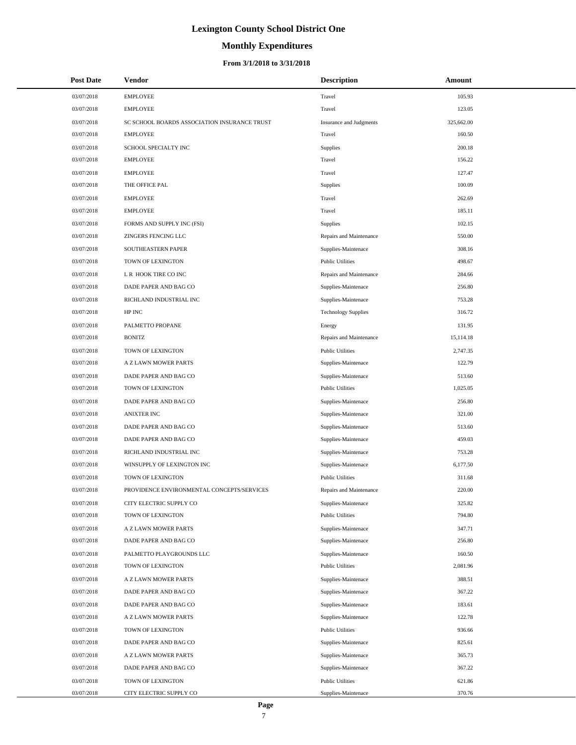# **Monthly Expenditures**

| <b>Post Date</b> | Vendor                                       | <b>Description</b>         | Amount     |
|------------------|----------------------------------------------|----------------------------|------------|
| 03/07/2018       | <b>EMPLOYEE</b>                              | Travel                     | 105.93     |
| 03/07/2018       | <b>EMPLOYEE</b>                              | Travel                     | 123.05     |
| 03/07/2018       | SC SCHOOL BOARDS ASSOCIATION INSURANCE TRUST | Insurance and Judgments    | 325,662.00 |
| 03/07/2018       | <b>EMPLOYEE</b>                              | Travel                     | 160.50     |
| 03/07/2018       | SCHOOL SPECIALTY INC                         | Supplies                   | 200.18     |
| 03/07/2018       | <b>EMPLOYEE</b>                              | Travel                     | 156.22     |
| 03/07/2018       | <b>EMPLOYEE</b>                              | Travel                     | 127.47     |
| 03/07/2018       | THE OFFICE PAL                               | Supplies                   | 100.09     |
| 03/07/2018       | <b>EMPLOYEE</b>                              | Travel                     | 262.69     |
| 03/07/2018       | <b>EMPLOYEE</b>                              | Travel                     | 185.11     |
| 03/07/2018       | FORMS AND SUPPLY INC (FSI)                   | Supplies                   | 102.15     |
| 03/07/2018       | ZINGERS FENCING LLC                          | Repairs and Maintenance    | 550.00     |
| 03/07/2018       | SOUTHEASTERN PAPER                           | Supplies-Maintenace        | 308.16     |
| 03/07/2018       | TOWN OF LEXINGTON                            | <b>Public Utilities</b>    | 498.67     |
| 03/07/2018       | L R HOOK TIRE CO INC                         | Repairs and Maintenance    | 284.66     |
| 03/07/2018       | DADE PAPER AND BAG CO                        | Supplies-Maintenace        | 256.80     |
| 03/07/2018       | RICHLAND INDUSTRIAL INC                      | Supplies-Maintenace        | 753.28     |
| 03/07/2018       | HP INC                                       | <b>Technology Supplies</b> | 316.72     |
| 03/07/2018       | PALMETTO PROPANE                             | Energy                     | 131.95     |
| 03/07/2018       | <b>BONITZ</b>                                | Repairs and Maintenance    | 15,114.18  |
| 03/07/2018       | TOWN OF LEXINGTON                            | <b>Public Utilities</b>    | 2,747.35   |
| 03/07/2018       | A Z LAWN MOWER PARTS                         | Supplies-Maintenace        | 122.79     |
| 03/07/2018       | DADE PAPER AND BAG CO                        | Supplies-Maintenace        | 513.60     |
| 03/07/2018       | TOWN OF LEXINGTON                            | <b>Public Utilities</b>    | 1,025.05   |
| 03/07/2018       | DADE PAPER AND BAG CO                        | Supplies-Maintenace        | 256.80     |
| 03/07/2018       | <b>ANIXTER INC</b>                           | Supplies-Maintenace        | 321.00     |
| 03/07/2018       | DADE PAPER AND BAG CO                        | Supplies-Maintenace        | 513.60     |
| 03/07/2018       | DADE PAPER AND BAG CO                        | Supplies-Maintenace        | 459.03     |
| 03/07/2018       | RICHLAND INDUSTRIAL INC                      | Supplies-Maintenace        | 753.28     |
| 03/07/2018       | WINSUPPLY OF LEXINGTON INC                   | Supplies-Maintenace        | 6,177.50   |
| 03/07/2018       | TOWN OF LEXINGTON                            | <b>Public Utilities</b>    | 311.68     |
| 03/07/2018       | PROVIDENCE ENVIRONMENTAL CONCEPTS/SERVICES   | Repairs and Maintenance    | 220.00     |
| 03/07/2018       | CITY ELECTRIC SUPPLY CO                      | Supplies-Maintenace        | 325.82     |
| 03/07/2018       | TOWN OF LEXINGTON                            | <b>Public Utilities</b>    | 794.80     |
| 03/07/2018       | A Z LAWN MOWER PARTS                         | Supplies-Maintenace        | 347.71     |
| 03/07/2018       | DADE PAPER AND BAG CO                        | Supplies-Maintenace        | 256.80     |
| 03/07/2018       | PALMETTO PLAYGROUNDS LLC                     | Supplies-Maintenace        | 160.50     |
| 03/07/2018       | TOWN OF LEXINGTON                            | <b>Public Utilities</b>    | 2,081.96   |
| 03/07/2018       | A Z LAWN MOWER PARTS                         | Supplies-Maintenace        | 388.51     |
| 03/07/2018       | DADE PAPER AND BAG CO                        | Supplies-Maintenace        | 367.22     |
| 03/07/2018       | DADE PAPER AND BAG CO                        | Supplies-Maintenace        | 183.61     |
| 03/07/2018       | A Z LAWN MOWER PARTS                         | Supplies-Maintenace        | 122.78     |
| 03/07/2018       | TOWN OF LEXINGTON                            | <b>Public Utilities</b>    | 936.66     |
| 03/07/2018       | DADE PAPER AND BAG CO                        | Supplies-Maintenace        | 825.61     |
| 03/07/2018       | A Z LAWN MOWER PARTS                         | Supplies-Maintenace        | 365.73     |
| 03/07/2018       | DADE PAPER AND BAG CO                        | Supplies-Maintenace        | 367.22     |
| 03/07/2018       | TOWN OF LEXINGTON                            | <b>Public Utilities</b>    | 621.86     |
| 03/07/2018       | CITY ELECTRIC SUPPLY CO                      | Supplies-Maintenace        | 370.76     |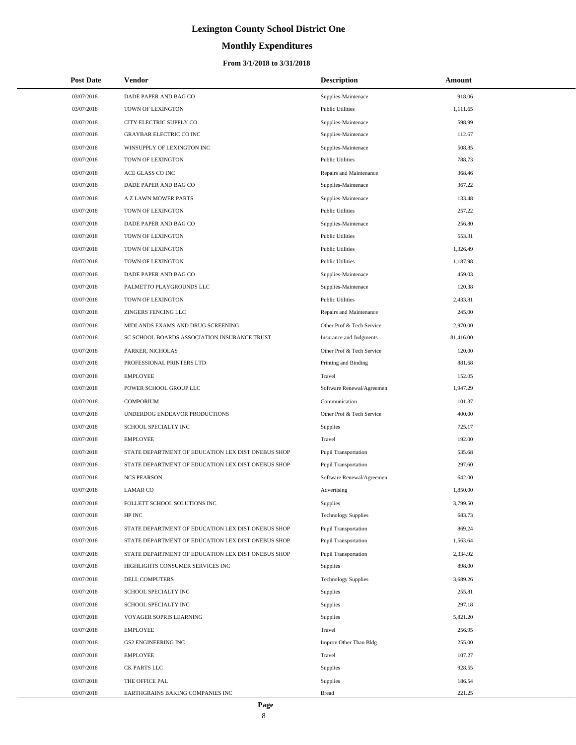# **Monthly Expenditures**

#### **From 3/1/2018 to 3/31/2018**

| <b>Post Date</b> | Vendor                                             | <b>Description</b>          | Amount    |
|------------------|----------------------------------------------------|-----------------------------|-----------|
| 03/07/2018       | DADE PAPER AND BAG CO                              | Supplies-Maintenace         | 918.06    |
| 03/07/2018       | TOWN OF LEXINGTON                                  | <b>Public Utilities</b>     | 1.111.65  |
| 03/07/2018       | CITY ELECTRIC SUPPLY CO                            | Supplies-Maintenace         | 598.99    |
| 03/07/2018       | <b>GRAYBAR ELECTRIC CO INC</b>                     | Supplies-Maintenace         | 112.67    |
| 03/07/2018       | WINSUPPLY OF LEXINGTON INC                         | Supplies-Maintenace         | 508.85    |
| 03/07/2018       | TOWN OF LEXINGTON                                  | <b>Public Utilities</b>     | 788.73    |
| 03/07/2018       | ACE GLASS CO INC                                   | Repairs and Maintenance     | 368.46    |
| 03/07/2018       | DADE PAPER AND BAG CO                              | Supplies-Maintenace         | 367.22    |
| 03/07/2018       | A Z LAWN MOWER PARTS                               | Supplies-Maintenace         | 133.48    |
| 03/07/2018       | TOWN OF LEXINGTON                                  | <b>Public Utilities</b>     | 257.22    |
| 03/07/2018       | DADE PAPER AND BAG CO                              | Supplies-Maintenace         | 256.80    |
| 03/07/2018       | TOWN OF LEXINGTON                                  | <b>Public Utilities</b>     | 553.31    |
| 03/07/2018       | TOWN OF LEXINGTON                                  | <b>Public Utilities</b>     | 1,326.49  |
| 03/07/2018       | TOWN OF LEXINGTON                                  | <b>Public Utilities</b>     | 1,187.98  |
| 03/07/2018       | DADE PAPER AND BAG CO                              | Supplies-Maintenace         | 459.03    |
| 03/07/2018       | PALMETTO PLAYGROUNDS LLC                           | Supplies-Maintenace         | 120.38    |
| 03/07/2018       | TOWN OF LEXINGTON                                  | <b>Public Utilities</b>     | 2,433.81  |
| 03/07/2018       | ZINGERS FENCING LLC                                | Repairs and Maintenance     | 245.00    |
| 03/07/2018       | MIDLANDS EXAMS AND DRUG SCREENING                  | Other Prof & Tech Service   | 2,970.00  |
| 03/07/2018       | SC SCHOOL BOARDS ASSOCIATION INSURANCE TRUST       | Insurance and Judgments     | 81,416.00 |
| 03/07/2018       | PARKER, NICHOLAS                                   | Other Prof & Tech Service   | 120.00    |
| 03/07/2018       | PROFESSIONAL PRINTERS LTD                          | Printing and Binding        | 881.68    |
| 03/07/2018       | <b>EMPLOYEE</b>                                    | Travel                      | 152.05    |
| 03/07/2018       | POWER SCHOOL GROUP LLC                             | Software Renewal/Agreemen   | 1,947.29  |
| 03/07/2018       | <b>COMPORIUM</b>                                   | Communication               | 101.37    |
| 03/07/2018       | UNDERDOG ENDEAVOR PRODUCTIONS                      | Other Prof & Tech Service   | 400.00    |
| 03/07/2018       | SCHOOL SPECIALTY INC                               | Supplies                    | 725.17    |
| 03/07/2018       | <b>EMPLOYEE</b>                                    | Travel                      | 192.00    |
| 03/07/2018       | STATE DEPARTMENT OF EDUCATION LEX DIST ONEBUS SHOP | <b>Pupil Transportation</b> | 535.68    |
| 03/07/2018       | STATE DEPARTMENT OF EDUCATION LEX DIST ONEBUS SHOP | <b>Pupil Transportation</b> | 297.60    |
| 03/07/2018       | <b>NCS PEARSON</b>                                 | Software Renewal/Agreemen   | 642.00    |
| 03/07/2018       | <b>LAMAR CO</b>                                    | Advertising                 | 1,850.00  |
| 03/07/2018       | FOLLETT SCHOOL SOLUTIONS INC                       | Supplies                    | 3,799.50  |
| 03/07/2018       | HP INC                                             | <b>Technology Supplies</b>  | 683.73    |
| 03/07/2018       | STATE DEPARTMENT OF EDUCATION LEX DIST ONEBUS SHOP | <b>Pupil Transportation</b> | 869.24    |
| 03/07/2018       | STATE DEPARTMENT OF EDUCATION LEX DIST ONEBUS SHOP | <b>Pupil Transportation</b> | 1,563.64  |
| 03/07/2018       | STATE DEPARTMENT OF EDUCATION LEX DIST ONEBUS SHOP | Pupil Transportation        | 2,334.92  |
| 03/07/2018       | HIGHLIGHTS CONSUMER SERVICES INC                   | <b>Supplies</b>             | 898.00    |
| 03/07/2018       | DELL COMPUTERS                                     | <b>Technology Supplies</b>  | 3,689.26  |
| 03/07/2018       | SCHOOL SPECIALTY INC                               | Supplies                    | 255.81    |
| 03/07/2018       | SCHOOL SPECIALTY INC                               | Supplies                    | 297.18    |
| 03/07/2018       | VOYAGER SOPRIS LEARNING                            | Supplies                    | 5,821.20  |
| 03/07/2018       | EMPLOYEE                                           | Travel                      | 256.95    |
| 03/07/2018       | <b>GS2 ENGINEERING INC</b>                         | Improv Other Than Bldg      | 255.00    |
| 03/07/2018       | EMPLOYEE                                           | Travel                      | 107.27    |
| 03/07/2018       | CK PARTS LLC                                       | Supplies                    | 928.55    |
| 03/07/2018       | THE OFFICE PAL                                     | Supplies                    | 186.54    |
| 03/07/2018       | EARTHGRAINS BAKING COMPANIES INC                   | <b>Bread</b>                | 221.25    |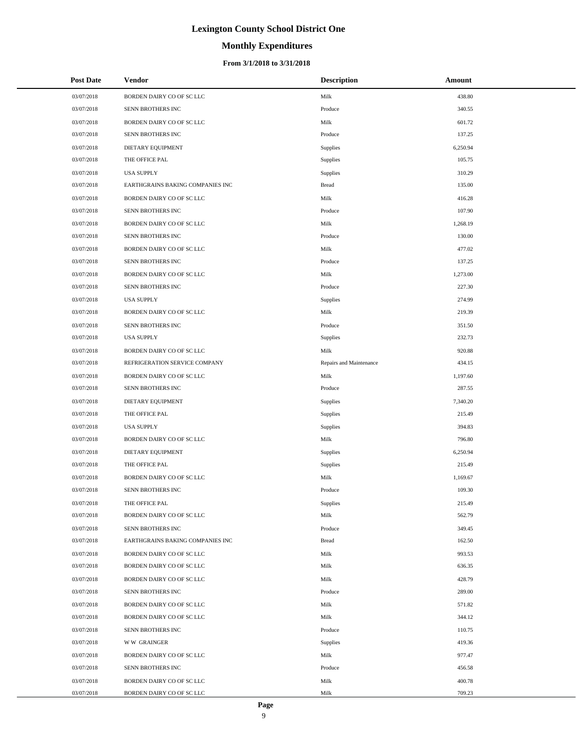# **Monthly Expenditures**

#### **From 3/1/2018 to 3/31/2018**

| <b>Post Date</b> | Vendor                           | <b>Description</b>      | Amount   |
|------------------|----------------------------------|-------------------------|----------|
| 03/07/2018       | BORDEN DAIRY CO OF SC LLC        | Milk                    | 438.80   |
| 03/07/2018       | SENN BROTHERS INC                | Produce                 | 340.55   |
| 03/07/2018       | BORDEN DAIRY CO OF SC LLC        | Milk                    | 601.72   |
| 03/07/2018       | SENN BROTHERS INC                | Produce                 | 137.25   |
| 03/07/2018       | DIETARY EQUIPMENT                | Supplies                | 6,250.94 |
| 03/07/2018       | THE OFFICE PAL                   | Supplies                | 105.75   |
| 03/07/2018       | <b>USA SUPPLY</b>                | Supplies                | 310.29   |
| 03/07/2018       | EARTHGRAINS BAKING COMPANIES INC | <b>Bread</b>            | 135.00   |
| 03/07/2018       | BORDEN DAIRY CO OF SC LLC        | Milk                    | 416.28   |
| 03/07/2018       | SENN BROTHERS INC                | Produce                 | 107.90   |
| 03/07/2018       | BORDEN DAIRY CO OF SC LLC        | Milk                    | 1,268.19 |
| 03/07/2018       | SENN BROTHERS INC                | Produce                 | 130.00   |
| 03/07/2018       | BORDEN DAIRY CO OF SC LLC        | Milk                    | 477.02   |
| 03/07/2018       | SENN BROTHERS INC                | Produce                 | 137.25   |
| 03/07/2018       | BORDEN DAIRY CO OF SC LLC        | Milk                    | 1,273.00 |
| 03/07/2018       | SENN BROTHERS INC                | Produce                 | 227.30   |
| 03/07/2018       | <b>USA SUPPLY</b>                | Supplies                | 274.99   |
| 03/07/2018       | BORDEN DAIRY CO OF SC LLC        | Milk                    | 219.39   |
| 03/07/2018       | SENN BROTHERS INC                | Produce                 | 351.50   |
| 03/07/2018       | <b>USA SUPPLY</b>                | Supplies                | 232.73   |
| 03/07/2018       | BORDEN DAIRY CO OF SC LLC        | Milk                    | 920.88   |
| 03/07/2018       | REFRIGERATION SERVICE COMPANY    | Repairs and Maintenance | 434.15   |
| 03/07/2018       | BORDEN DAIRY CO OF SC LLC        | Milk                    | 1,197.60 |
| 03/07/2018       | SENN BROTHERS INC                | Produce                 | 287.55   |
| 03/07/2018       | DIETARY EQUIPMENT                | Supplies                | 7,340.20 |
| 03/07/2018       | THE OFFICE PAL                   | Supplies                | 215.49   |
| 03/07/2018       | <b>USA SUPPLY</b>                | Supplies                | 394.83   |
| 03/07/2018       | BORDEN DAIRY CO OF SC LLC        | Milk                    | 796.80   |
| 03/07/2018       | DIETARY EQUIPMENT                | Supplies                | 6,250.94 |
| 03/07/2018       | THE OFFICE PAL                   | Supplies                | 215.49   |
| 03/07/2018       | BORDEN DAIRY CO OF SC LLC        | Milk                    | 1,169.67 |
| 03/07/2018       | SENN BROTHERS INC                | Produce                 | 109.30   |
| 03/07/2018       | THE OFFICE PAL                   | Supplies                | 215.49   |
| 03/07/2018       | BORDEN DAIRY CO OF SC LLC        | Milk                    | 562.79   |
| 03/07/2018       | SENN BROTHERS INC                | Produce                 | 349.45   |
| 03/07/2018       | EARTHGRAINS BAKING COMPANIES INC | <b>Bread</b>            | 162.50   |
| 03/07/2018       | BORDEN DAIRY CO OF SC LLC        | Milk                    | 993.53   |
| 03/07/2018       | BORDEN DAIRY CO OF SC LLC        | Milk                    | 636.35   |
| 03/07/2018       | BORDEN DAIRY CO OF SC LLC        | Milk                    | 428.79   |
| 03/07/2018       | SENN BROTHERS INC                | Produce                 | 289.00   |
| 03/07/2018       | BORDEN DAIRY CO OF SC LLC        | Milk                    | 571.82   |
| 03/07/2018       | BORDEN DAIRY CO OF SC LLC        | Milk                    | 344.12   |
| 03/07/2018       | SENN BROTHERS INC                | Produce                 | 110.75   |
| 03/07/2018       | <b>WW GRAINGER</b>               | Supplies                | 419.36   |
| 03/07/2018       | BORDEN DAIRY CO OF SC LLC        | Milk                    | 977.47   |
| 03/07/2018       | SENN BROTHERS INC                | Produce                 | 456.58   |
| 03/07/2018       | BORDEN DAIRY CO OF SC LLC        | Milk                    | 400.78   |
| 03/07/2018       | BORDEN DAIRY CO OF SC LLC        | Milk                    | 709.23   |

 $\overline{a}$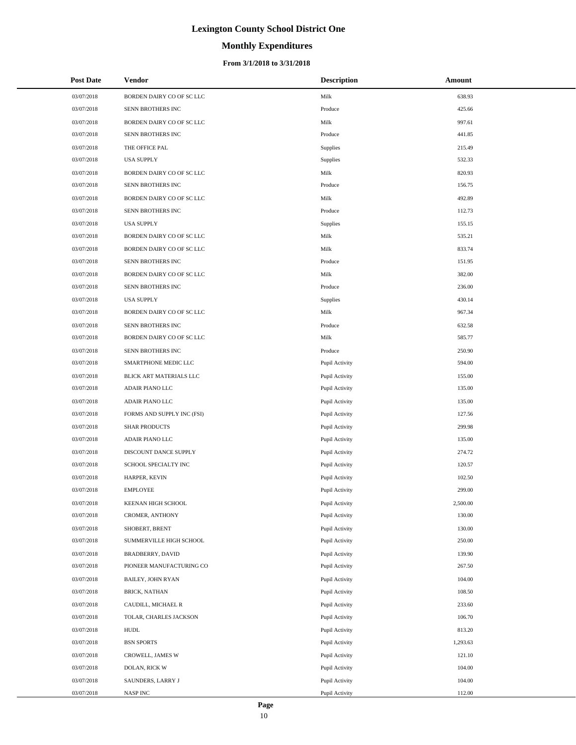# **Monthly Expenditures**

| <b>Post Date</b> | <b>Vendor</b>              | <b>Description</b> | Amount   |
|------------------|----------------------------|--------------------|----------|
| 03/07/2018       | BORDEN DAIRY CO OF SC LLC  | Milk               | 638.93   |
| 03/07/2018       | SENN BROTHERS INC          | Produce            | 425.66   |
| 03/07/2018       | BORDEN DAIRY CO OF SC LLC  | Milk               | 997.61   |
| 03/07/2018       | SENN BROTHERS INC          | Produce            | 441.85   |
| 03/07/2018       | THE OFFICE PAL             | Supplies           | 215.49   |
| 03/07/2018       | <b>USA SUPPLY</b>          | Supplies           | 532.33   |
| 03/07/2018       | BORDEN DAIRY CO OF SC LLC  | Milk               | 820.93   |
| 03/07/2018       | SENN BROTHERS INC          | Produce            | 156.75   |
| 03/07/2018       | BORDEN DAIRY CO OF SC LLC  | Milk               | 492.89   |
| 03/07/2018       | SENN BROTHERS INC          | Produce            | 112.73   |
| 03/07/2018       | <b>USA SUPPLY</b>          | Supplies           | 155.15   |
| 03/07/2018       | BORDEN DAIRY CO OF SC LLC  | Milk               | 535.21   |
| 03/07/2018       | BORDEN DAIRY CO OF SC LLC  | Milk               | 833.74   |
| 03/07/2018       | SENN BROTHERS INC          | Produce            | 151.95   |
| 03/07/2018       | BORDEN DAIRY CO OF SC LLC  | Milk               | 382.00   |
| 03/07/2018       | SENN BROTHERS INC          | Produce            | 236.00   |
| 03/07/2018       | <b>USA SUPPLY</b>          | Supplies           | 430.14   |
| 03/07/2018       | BORDEN DAIRY CO OF SC LLC  | Milk               | 967.34   |
| 03/07/2018       | SENN BROTHERS INC          | Produce            | 632.58   |
| 03/07/2018       | BORDEN DAIRY CO OF SC LLC  | Milk               | 585.77   |
| 03/07/2018       | SENN BROTHERS INC          | Produce            | 250.90   |
| 03/07/2018       | SMARTPHONE MEDIC LLC       | Pupil Activity     | 594.00   |
| 03/07/2018       | BLICK ART MATERIALS LLC    | Pupil Activity     | 155.00   |
| 03/07/2018       | ADAIR PIANO LLC            | Pupil Activity     | 135.00   |
| 03/07/2018       | ADAIR PIANO LLC            | Pupil Activity     | 135.00   |
| 03/07/2018       | FORMS AND SUPPLY INC (FSI) | Pupil Activity     | 127.56   |
| 03/07/2018       | <b>SHAR PRODUCTS</b>       | Pupil Activity     | 299.98   |
| 03/07/2018       | <b>ADAIR PIANO LLC</b>     | Pupil Activity     | 135.00   |
| 03/07/2018       | DISCOUNT DANCE SUPPLY      | Pupil Activity     | 274.72   |
| 03/07/2018       | SCHOOL SPECIALTY INC       | Pupil Activity     | 120.57   |
| 03/07/2018       | HARPER, KEVIN              | Pupil Activity     | 102.50   |
| 03/07/2018       | <b>EMPLOYEE</b>            | Pupil Activity     | 299.00   |
| 03/07/2018       | KEENAN HIGH SCHOOL         | Pupil Activity     | 2,500.00 |
| 03/07/2018       | CROMER, ANTHONY            | Pupil Activity     | 130.00   |
| 03/07/2018       | SHOBERT, BRENT             | Pupil Activity     | 130.00   |
| 03/07/2018       | SUMMERVILLE HIGH SCHOOL    | Pupil Activity     | 250.00   |
| 03/07/2018       | <b>BRADBERRY, DAVID</b>    | Pupil Activity     | 139.90   |
| 03/07/2018       | PIONEER MANUFACTURING CO   | Pupil Activity     | 267.50   |
| 03/07/2018       | BAILEY, JOHN RYAN          | Pupil Activity     | 104.00   |
| 03/07/2018       | BRICK, NATHAN              | Pupil Activity     | 108.50   |
| 03/07/2018       | CAUDILL, MICHAEL R         | Pupil Activity     | 233.60   |
| 03/07/2018       | TOLAR, CHARLES JACKSON     | Pupil Activity     | 106.70   |
| 03/07/2018       | <b>HUDL</b>                | Pupil Activity     | 813.20   |
| 03/07/2018       | <b>BSN SPORTS</b>          | Pupil Activity     | 1,293.63 |
| 03/07/2018       | CROWELL, JAMES W           | Pupil Activity     | 121.10   |
| 03/07/2018       | DOLAN, RICK W              | Pupil Activity     | 104.00   |
| 03/07/2018       | SAUNDERS, LARRY J          | Pupil Activity     | 104.00   |
| 03/07/2018       | NASP INC                   | Pupil Activity     | 112.00   |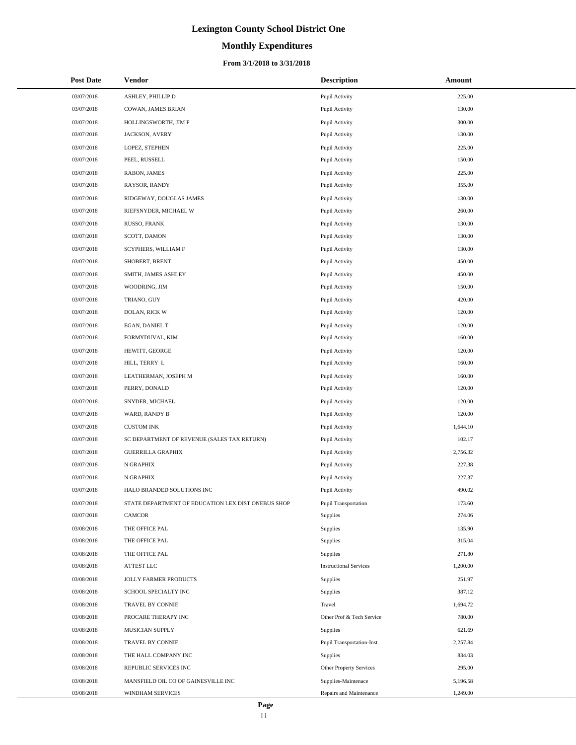# **Monthly Expenditures**

#### **From 3/1/2018 to 3/31/2018**

| <b>Post Date</b> | Vendor                                             | <b>Description</b>            | Amount   |
|------------------|----------------------------------------------------|-------------------------------|----------|
| 03/07/2018       | ASHLEY, PHILLIP D                                  | Pupil Activity                | 225.00   |
| 03/07/2018       | COWAN, JAMES BRIAN                                 | Pupil Activity                | 130.00   |
| 03/07/2018       | HOLLINGSWORTH, JIM F                               | Pupil Activity                | 300.00   |
| 03/07/2018       | JACKSON, AVERY                                     | Pupil Activity                | 130.00   |
| 03/07/2018       | LOPEZ, STEPHEN                                     | Pupil Activity                | 225.00   |
| 03/07/2018       | PEEL, RUSSELL                                      | Pupil Activity                | 150.00   |
| 03/07/2018       | RABON, JAMES                                       | Pupil Activity                | 225.00   |
| 03/07/2018       | RAYSOR, RANDY                                      | Pupil Activity                | 355.00   |
| 03/07/2018       | RIDGEWAY, DOUGLAS JAMES                            | Pupil Activity                | 130.00   |
| 03/07/2018       | RIEFSNYDER, MICHAEL W                              | Pupil Activity                | 260.00   |
| 03/07/2018       | RUSSO, FRANK                                       | Pupil Activity                | 130.00   |
| 03/07/2018       | SCOTT, DAMON                                       | Pupil Activity                | 130.00   |
| 03/07/2018       | SCYPHERS, WILLIAM F                                | Pupil Activity                | 130.00   |
| 03/07/2018       | SHOBERT, BRENT                                     | Pupil Activity                | 450.00   |
| 03/07/2018       | SMITH, JAMES ASHLEY                                | Pupil Activity                | 450.00   |
| 03/07/2018       | WOODRING, JIM                                      | Pupil Activity                | 150.00   |
| 03/07/2018       | TRIANO, GUY                                        | Pupil Activity                | 420.00   |
| 03/07/2018       | DOLAN, RICK W                                      | Pupil Activity                | 120.00   |
| 03/07/2018       | EGAN, DANIEL T                                     | Pupil Activity                | 120.00   |
| 03/07/2018       | FORMYDUVAL, KIM                                    | Pupil Activity                | 160.00   |
| 03/07/2018       | HEWITT, GEORGE                                     | Pupil Activity                | 120.00   |
| 03/07/2018       | HILL, TERRY L                                      | Pupil Activity                | 160.00   |
| 03/07/2018       | LEATHERMAN, JOSEPH M                               | Pupil Activity                | 160.00   |
| 03/07/2018       | PERRY, DONALD                                      | Pupil Activity                | 120.00   |
| 03/07/2018       | SNYDER, MICHAEL                                    | Pupil Activity                | 120.00   |
| 03/07/2018       | WARD, RANDY B                                      | Pupil Activity                | 120.00   |
| 03/07/2018       | <b>CUSTOM INK</b>                                  | Pupil Activity                | 1,644.10 |
| 03/07/2018       | SC DEPARTMENT OF REVENUE (SALES TAX RETURN)        | Pupil Activity                | 102.17   |
| 03/07/2018       | <b>GUERRILLA GRAPHIX</b>                           | Pupil Activity                | 2,756.32 |
| 03/07/2018       | N GRAPHIX                                          | Pupil Activity                | 227.38   |
| 03/07/2018       | N GRAPHIX                                          | Pupil Activity                | 227.37   |
| 03/07/2018       | HALO BRANDED SOLUTIONS INC                         | Pupil Activity                | 490.02   |
| 03/07/2018       | STATE DEPARTMENT OF EDUCATION LEX DIST ONEBUS SHOP | Pupil Transportation          | 173.60   |
| 03/07/2018       | <b>CAMCOR</b>                                      | Supplies                      | 274.06   |
| 03/08/2018       | THE OFFICE PAL                                     | Supplies                      | 135.90   |
| 03/08/2018       | THE OFFICE PAL                                     | Supplies                      | 315.04   |
| 03/08/2018       | THE OFFICE PAL                                     | Supplies                      | 271.80   |
| 03/08/2018       | ATTEST LLC                                         | <b>Instructional Services</b> | 1,200.00 |
| 03/08/2018       | JOLLY FARMER PRODUCTS                              | Supplies                      | 251.97   |
| 03/08/2018       | SCHOOL SPECIALTY INC                               | Supplies                      | 387.12   |
| 03/08/2018       | TRAVEL BY CONNIE                                   | Travel                        | 1,694.72 |
| 03/08/2018       | PROCARE THERAPY INC                                | Other Prof & Tech Service     | 780.00   |
| 03/08/2018       | MUSICIAN SUPPLY                                    | Supplies                      | 621.69   |
| 03/08/2018       | TRAVEL BY CONNIE                                   | Pupil Transportation-Inst     | 2,257.84 |
| 03/08/2018       | THE HALL COMPANY INC                               | Supplies                      | 834.03   |
| 03/08/2018       | REPUBLIC SERVICES INC                              | Other Property Services       | 295.00   |
| 03/08/2018       | MANSFIELD OIL CO OF GAINESVILLE INC                | Supplies-Maintenace           | 5,196.58 |
| 03/08/2018       | WINDHAM SERVICES                                   | Repairs and Maintenance       | 1,249.00 |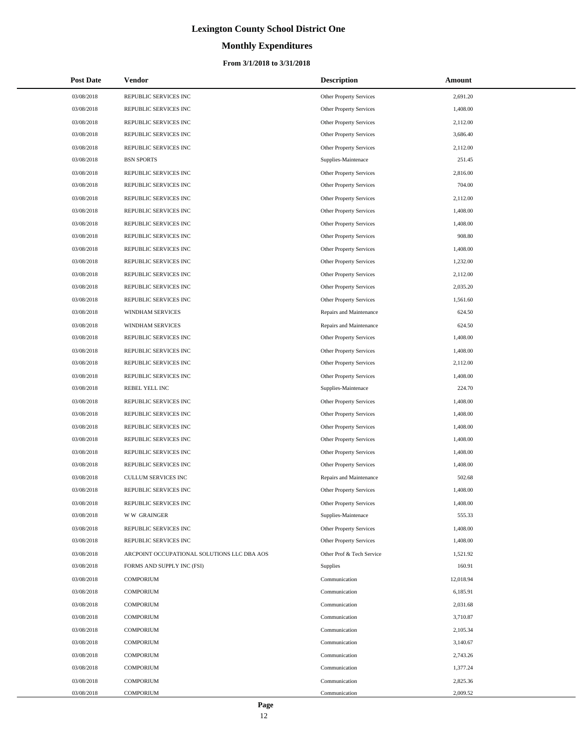# **Monthly Expenditures**

#### **From 3/1/2018 to 3/31/2018**

| <b>Post Date</b> | Vendor                                      | <b>Description</b>             | Amount    |
|------------------|---------------------------------------------|--------------------------------|-----------|
| 03/08/2018       | REPUBLIC SERVICES INC                       | Other Property Services        | 2,691.20  |
| 03/08/2018       | REPUBLIC SERVICES INC                       | Other Property Services        | 1,408.00  |
| 03/08/2018       | REPUBLIC SERVICES INC                       | Other Property Services        | 2,112.00  |
| 03/08/2018       | REPUBLIC SERVICES INC                       | Other Property Services        | 3,686.40  |
| 03/08/2018       | REPUBLIC SERVICES INC                       | Other Property Services        | 2,112.00  |
| 03/08/2018       | <b>BSN SPORTS</b>                           | Supplies-Maintenace            | 251.45    |
| 03/08/2018       | REPUBLIC SERVICES INC                       | <b>Other Property Services</b> | 2,816.00  |
| 03/08/2018       | REPUBLIC SERVICES INC                       | Other Property Services        | 704.00    |
| 03/08/2018       | REPUBLIC SERVICES INC                       | Other Property Services        | 2,112.00  |
| 03/08/2018       | REPUBLIC SERVICES INC                       | <b>Other Property Services</b> | 1,408.00  |
| 03/08/2018       | REPUBLIC SERVICES INC                       | Other Property Services        | 1,408.00  |
| 03/08/2018       | REPUBLIC SERVICES INC                       | Other Property Services        | 908.80    |
| 03/08/2018       | REPUBLIC SERVICES INC                       | <b>Other Property Services</b> | 1,408.00  |
| 03/08/2018       | REPUBLIC SERVICES INC                       | Other Property Services        | 1,232.00  |
| 03/08/2018       | REPUBLIC SERVICES INC                       | Other Property Services        | 2,112.00  |
| 03/08/2018       | REPUBLIC SERVICES INC                       | Other Property Services        | 2,035.20  |
| 03/08/2018       | REPUBLIC SERVICES INC                       | <b>Other Property Services</b> | 1,561.60  |
| 03/08/2018       | <b>WINDHAM SERVICES</b>                     | Repairs and Maintenance        | 624.50    |
| 03/08/2018       | WINDHAM SERVICES                            | Repairs and Maintenance        | 624.50    |
| 03/08/2018       | REPUBLIC SERVICES INC                       | <b>Other Property Services</b> | 1,408.00  |
| 03/08/2018       | REPUBLIC SERVICES INC                       | Other Property Services        | 1,408.00  |
| 03/08/2018       | REPUBLIC SERVICES INC                       | Other Property Services        | 2,112.00  |
| 03/08/2018       | REPUBLIC SERVICES INC                       | Other Property Services        | 1,408.00  |
| 03/08/2018       | REBEL YELL INC                              | Supplies-Maintenace            | 224.70    |
| 03/08/2018       | REPUBLIC SERVICES INC                       | <b>Other Property Services</b> | 1,408.00  |
| 03/08/2018       | REPUBLIC SERVICES INC                       | Other Property Services        | 1,408.00  |
| 03/08/2018       | REPUBLIC SERVICES INC                       | Other Property Services        | 1,408.00  |
| 03/08/2018       | REPUBLIC SERVICES INC                       | <b>Other Property Services</b> | 1,408.00  |
| 03/08/2018       | REPUBLIC SERVICES INC                       | Other Property Services        | 1,408.00  |
| 03/08/2018       | REPUBLIC SERVICES INC                       | Other Property Services        | 1,408.00  |
| 03/08/2018       | CULLUM SERVICES INC                         | Repairs and Maintenance        | 502.68    |
| 03/08/2018       | REPUBLIC SERVICES INC                       | Other Property Services        | 1,408.00  |
| 03/08/2018       | REPUBLIC SERVICES INC                       | <b>Other Property Services</b> | 1,408.00  |
| 03/08/2018       | <b>WW GRAINGER</b>                          | Supplies-Maintenace            | 555.33    |
| 03/08/2018       | REPUBLIC SERVICES INC                       | Other Property Services        | 1,408.00  |
| 03/08/2018       | REPUBLIC SERVICES INC                       | <b>Other Property Services</b> | 1,408.00  |
| 03/08/2018       | ARCPOINT OCCUPATIONAL SOLUTIONS LLC DBA AOS | Other Prof & Tech Service      | 1,521.92  |
| 03/08/2018       | FORMS AND SUPPLY INC (FSI)                  | Supplies                       | 160.91    |
| 03/08/2018       | <b>COMPORIUM</b>                            | Communication                  | 12,018.94 |
| 03/08/2018       | <b>COMPORIUM</b>                            | Communication                  | 6,185.91  |
| 03/08/2018       | <b>COMPORIUM</b>                            | Communication                  | 2,031.68  |
| 03/08/2018       | <b>COMPORIUM</b>                            | Communication                  | 3,710.87  |
| 03/08/2018       | <b>COMPORIUM</b>                            | Communication                  | 2,105.34  |
| 03/08/2018       | <b>COMPORIUM</b>                            | Communication                  | 3,140.67  |
| 03/08/2018       | <b>COMPORIUM</b>                            | Communication                  | 2,743.26  |
| 03/08/2018       | <b>COMPORIUM</b>                            | Communication                  | 1,377.24  |
| 03/08/2018       | <b>COMPORIUM</b>                            | Communication                  | 2,825.36  |
| 03/08/2018       | COMPORIUM                                   | Communication                  | 2,009.52  |

÷.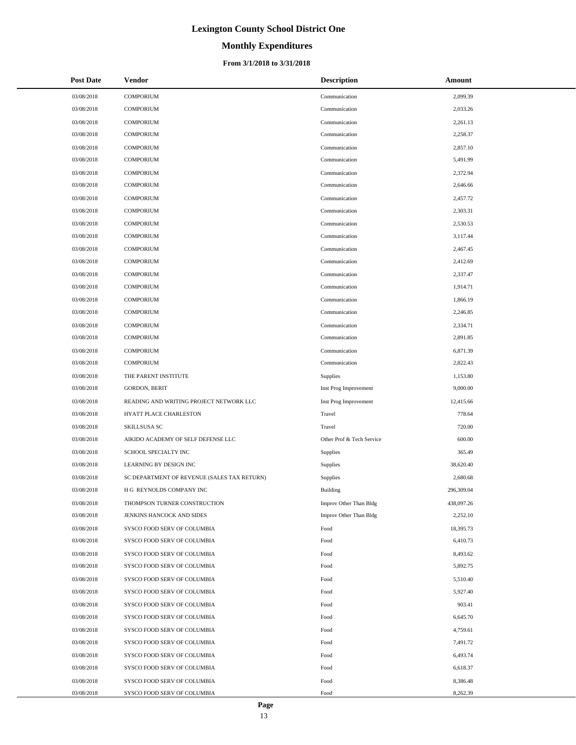# **Monthly Expenditures**

#### **From 3/1/2018 to 3/31/2018**

| <b>Post Date</b> | Vendor                                      | <b>Description</b>        | Amount     |
|------------------|---------------------------------------------|---------------------------|------------|
| 03/08/2018       | <b>COMPORIUM</b>                            | Communication             | 2,099.39   |
| 03/08/2018       | <b>COMPORIUM</b>                            | Communication             | 2,033.26   |
| 03/08/2018       | <b>COMPORIUM</b>                            | Communication             | 2,261.13   |
| 03/08/2018       | <b>COMPORIUM</b>                            | Communication             | 2,258.37   |
| 03/08/2018       | <b>COMPORIUM</b>                            | Communication             | 2,857.10   |
| 03/08/2018       | <b>COMPORIUM</b>                            | Communication             | 5,491.99   |
| 03/08/2018       | <b>COMPORIUM</b>                            | Communication             | 2,372.94   |
| 03/08/2018       | <b>COMPORIUM</b>                            | Communication             | 2,646.66   |
| 03/08/2018       | <b>COMPORIUM</b>                            | Communication             | 2,457.72   |
| 03/08/2018       | <b>COMPORIUM</b>                            | Communication             | 2,303.31   |
| 03/08/2018       | <b>COMPORIUM</b>                            | Communication             | 2,530.53   |
| 03/08/2018       | <b>COMPORIUM</b>                            | Communication             | 3,117.44   |
| 03/08/2018       | <b>COMPORIUM</b>                            | Communication             | 2,467.45   |
| 03/08/2018       | <b>COMPORIUM</b>                            | Communication             | 2,412.69   |
| 03/08/2018       | <b>COMPORIUM</b>                            | Communication             | 2,337.47   |
| 03/08/2018       | <b>COMPORIUM</b>                            | Communication             | 1,914.71   |
| 03/08/2018       | <b>COMPORIUM</b>                            | Communication             | 1,866.19   |
| 03/08/2018       | <b>COMPORIUM</b>                            | Communication             | 2,246.85   |
| 03/08/2018       | <b>COMPORIUM</b>                            | Communication             | 2,334.71   |
| 03/08/2018       | <b>COMPORIUM</b>                            | Communication             | 2,891.85   |
| 03/08/2018       | <b>COMPORIUM</b>                            | Communication             | 6,871.39   |
| 03/08/2018       | <b>COMPORIUM</b>                            | Communication             | 2,822.43   |
| 03/08/2018       | THE PARENT INSTITUTE                        | Supplies                  | 1,153.80   |
| 03/08/2018       | <b>GORDON, BERIT</b>                        | Inst Prog Improvement     | 9,000.00   |
| 03/08/2018       | READING AND WRITING PROJECT NETWORK LLC     | Inst Prog Improvement     | 12,415.66  |
| 03/08/2018       | HYATT PLACE CHARLESTON                      | Travel                    | 778.64     |
| 03/08/2018       | SKILLSUSA SC                                | Travel                    | 720.00     |
| 03/08/2018       | AIKIDO ACADEMY OF SELF DEFENSE LLC          | Other Prof & Tech Service | 600.00     |
| 03/08/2018       | SCHOOL SPECIALTY INC                        | Supplies                  | 365.49     |
| 03/08/2018       | LEARNING BY DESIGN INC                      | Supplies                  | 38,620.40  |
| 03/08/2018       | SC DEPARTMENT OF REVENUE (SALES TAX RETURN) | Supplies                  | 2,680.68   |
| 03/08/2018       | H G REYNOLDS COMPANY INC                    | <b>Building</b>           | 296,309.04 |
| 03/08/2018       | THOMPSON TURNER CONSTRUCTION                | Improv Other Than Bldg    | 438,097.26 |
| 03/08/2018       | JENKINS HANCOCK AND SIDES                   | Improv Other Than Bldg    | 2,252.10   |
| 03/08/2018       | SYSCO FOOD SERV OF COLUMBIA                 | Food                      | 18,395.73  |
| 03/08/2018       | SYSCO FOOD SERV OF COLUMBIA                 | Food                      | 6,410.73   |
| 03/08/2018       | SYSCO FOOD SERV OF COLUMBIA                 | Food                      | 8,493.62   |
| 03/08/2018       | SYSCO FOOD SERV OF COLUMBIA                 | Food                      | 5,892.75   |
| 03/08/2018       | SYSCO FOOD SERV OF COLUMBIA                 | Food                      | 5,510.40   |
| 03/08/2018       | SYSCO FOOD SERV OF COLUMBIA                 | Food                      | 5,927.40   |
| 03/08/2018       | SYSCO FOOD SERV OF COLUMBIA                 | Food                      | 903.41     |
| 03/08/2018       | SYSCO FOOD SERV OF COLUMBIA                 | Food                      | 6,645.70   |
| 03/08/2018       | SYSCO FOOD SERV OF COLUMBIA                 | Food                      | 4,759.61   |
| 03/08/2018       | SYSCO FOOD SERV OF COLUMBIA                 | Food                      | 7,491.72   |
| 03/08/2018       | SYSCO FOOD SERV OF COLUMBIA                 | Food                      | 6,493.74   |
| 03/08/2018       | SYSCO FOOD SERV OF COLUMBIA                 | Food                      | 6,618.37   |
| 03/08/2018       | SYSCO FOOD SERV OF COLUMBIA                 | Food                      | 8,386.48   |
| 03/08/2018       | SYSCO FOOD SERV OF COLUMBIA                 | Food                      | 8,262.39   |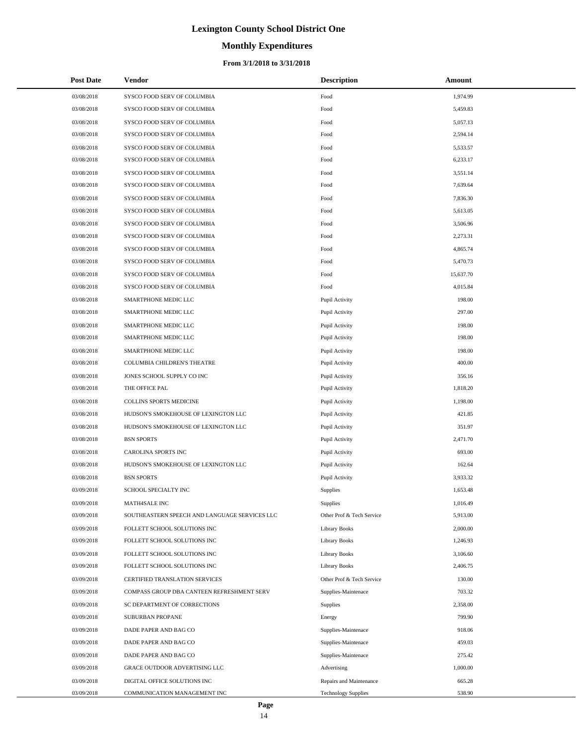# **Monthly Expenditures**

#### **From 3/1/2018 to 3/31/2018**

| <b>Post Date</b> | Vendor                                        | <b>Description</b>         | Amount    |
|------------------|-----------------------------------------------|----------------------------|-----------|
| 03/08/2018       | SYSCO FOOD SERV OF COLUMBIA                   | Food                       | 1,974.99  |
| 03/08/2018       | SYSCO FOOD SERV OF COLUMBIA                   | Food                       | 5,459.83  |
| 03/08/2018       | SYSCO FOOD SERV OF COLUMBIA                   | Food                       | 5,057.13  |
| 03/08/2018       | SYSCO FOOD SERV OF COLUMBIA                   | Food                       | 2,594.14  |
| 03/08/2018       | SYSCO FOOD SERV OF COLUMBIA                   | Food                       | 5,533.57  |
| 03/08/2018       | SYSCO FOOD SERV OF COLUMBIA                   | Food                       | 6,233.17  |
| 03/08/2018       | SYSCO FOOD SERV OF COLUMBIA                   | Food                       | 3,551.14  |
| 03/08/2018       | SYSCO FOOD SERV OF COLUMBIA                   | Food                       | 7,639.64  |
| 03/08/2018       | SYSCO FOOD SERV OF COLUMBIA                   | Food                       | 7,836.30  |
| 03/08/2018       | SYSCO FOOD SERV OF COLUMBIA                   | Food                       | 5,613.05  |
| 03/08/2018       | SYSCO FOOD SERV OF COLUMBIA                   | Food                       | 3,506.96  |
| 03/08/2018       | SYSCO FOOD SERV OF COLUMBIA                   | Food                       | 2,273.31  |
| 03/08/2018       | SYSCO FOOD SERV OF COLUMBIA                   | Food                       | 4,865.74  |
| 03/08/2018       | SYSCO FOOD SERV OF COLUMBIA                   | Food                       | 5,470.73  |
| 03/08/2018       | SYSCO FOOD SERV OF COLUMBIA                   | Food                       | 15,637.70 |
| 03/08/2018       | SYSCO FOOD SERV OF COLUMBIA                   | Food                       | 4,015.84  |
| 03/08/2018       | SMARTPHONE MEDIC LLC                          | Pupil Activity             | 198.00    |
| 03/08/2018       | SMARTPHONE MEDIC LLC                          | Pupil Activity             | 297.00    |
| 03/08/2018       | SMARTPHONE MEDIC LLC                          | Pupil Activity             | 198.00    |
| 03/08/2018       | SMARTPHONE MEDIC LLC                          | Pupil Activity             | 198.00    |
| 03/08/2018       | SMARTPHONE MEDIC LLC                          | Pupil Activity             | 198.00    |
| 03/08/2018       | COLUMBIA CHILDREN'S THEATRE                   | Pupil Activity             | 400.00    |
| 03/08/2018       | JONES SCHOOL SUPPLY CO INC                    | Pupil Activity             | 356.16    |
| 03/08/2018       | THE OFFICE PAL                                | Pupil Activity             | 1,818.20  |
| 03/08/2018       | COLLINS SPORTS MEDICINE                       | Pupil Activity             | 1,198.00  |
| 03/08/2018       | HUDSON'S SMOKEHOUSE OF LEXINGTON LLC          | Pupil Activity             | 421.85    |
| 03/08/2018       | HUDSON'S SMOKEHOUSE OF LEXINGTON LLC          | Pupil Activity             | 351.97    |
| 03/08/2018       | <b>BSN SPORTS</b>                             | Pupil Activity             | 2,471.70  |
| 03/08/2018       | <b>CAROLINA SPORTS INC</b>                    | Pupil Activity             | 693.00    |
| 03/08/2018       | HUDSON'S SMOKEHOUSE OF LEXINGTON LLC          | Pupil Activity             | 162.64    |
| 03/08/2018       | <b>BSN SPORTS</b>                             | Pupil Activity             | 3,933.32  |
| 03/09/2018       | SCHOOL SPECIALTY INC                          | Supplies                   | 1,653.48  |
| 03/09/2018       | MATH4SALE INC                                 | Supplies                   | 1,016.49  |
| 03/09/2018       | SOUTHEASTERN SPEECH AND LANGUAGE SERVICES LLC | Other Prof & Tech Service  | 5,913.00  |
| 03/09/2018       | FOLLETT SCHOOL SOLUTIONS INC                  | <b>Library Books</b>       | 2,000.00  |
| 03/09/2018       | FOLLETT SCHOOL SOLUTIONS INC                  | <b>Library Books</b>       | 1,246.93  |
| 03/09/2018       | FOLLETT SCHOOL SOLUTIONS INC                  | <b>Library Books</b>       | 3,106.60  |
| 03/09/2018       | FOLLETT SCHOOL SOLUTIONS INC                  | <b>Library Books</b>       | 2,406.75  |
| 03/09/2018       | CERTIFIED TRANSLATION SERVICES                | Other Prof & Tech Service  | 130.00    |
| 03/09/2018       | COMPASS GROUP DBA CANTEEN REFRESHMENT SERV    | Supplies-Maintenace        | 703.32    |
| 03/09/2018       | SC DEPARTMENT OF CORRECTIONS                  | Supplies                   | 2,358.00  |
| 03/09/2018       | SUBURBAN PROPANE                              | Energy                     | 799.90    |
| 03/09/2018       | DADE PAPER AND BAG CO                         | Supplies-Maintenace        | 918.06    |
| 03/09/2018       | DADE PAPER AND BAG CO                         | Supplies-Maintenace        | 459.03    |
| 03/09/2018       | DADE PAPER AND BAG CO                         | Supplies-Maintenace        | 275.42    |
| 03/09/2018       | GRACE OUTDOOR ADVERTISING LLC                 | Advertising                | 1,000.00  |
| 03/09/2018       | DIGITAL OFFICE SOLUTIONS INC                  | Repairs and Maintenance    | 665.28    |
| 03/09/2018       | COMMUNICATION MANAGEMENT INC                  | <b>Technology Supplies</b> | 538.90    |

÷.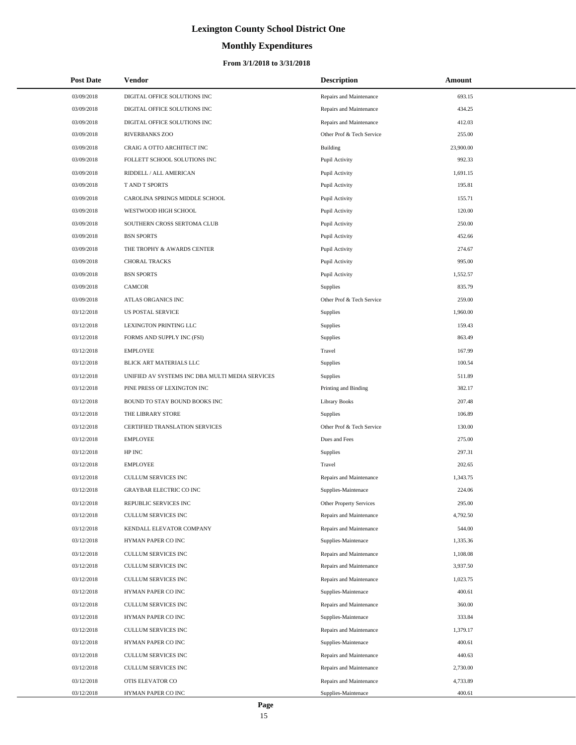# **Monthly Expenditures**

#### **From 3/1/2018 to 3/31/2018**

| <b>Post Date</b> | Vendor                                          | <b>Description</b>        | Amount    |  |
|------------------|-------------------------------------------------|---------------------------|-----------|--|
| 03/09/2018       | DIGITAL OFFICE SOLUTIONS INC                    | Repairs and Maintenance   | 693.15    |  |
| 03/09/2018       | DIGITAL OFFICE SOLUTIONS INC                    | Repairs and Maintenance   | 434.25    |  |
| 03/09/2018       | DIGITAL OFFICE SOLUTIONS INC                    | Repairs and Maintenance   | 412.03    |  |
| 03/09/2018       | RIVERBANKS ZOO                                  | Other Prof & Tech Service | 255.00    |  |
| 03/09/2018       | CRAIG A OTTO ARCHITECT INC                      | <b>Building</b>           | 23,900.00 |  |
| 03/09/2018       | FOLLETT SCHOOL SOLUTIONS INC                    | Pupil Activity            | 992.33    |  |
| 03/09/2018       | RIDDELL / ALL AMERICAN                          | Pupil Activity            | 1,691.15  |  |
| 03/09/2018       | T AND T SPORTS                                  | Pupil Activity            | 195.81    |  |
| 03/09/2018       | CAROLINA SPRINGS MIDDLE SCHOOL                  | Pupil Activity            | 155.71    |  |
| 03/09/2018       | WESTWOOD HIGH SCHOOL                            | Pupil Activity            | 120.00    |  |
| 03/09/2018       | SOUTHERN CROSS SERTOMA CLUB                     | Pupil Activity            | 250.00    |  |
| 03/09/2018       | <b>BSN SPORTS</b>                               | Pupil Activity            | 452.66    |  |
| 03/09/2018       | THE TROPHY & AWARDS CENTER                      | Pupil Activity            | 274.67    |  |
| 03/09/2018       | <b>CHORAL TRACKS</b>                            | Pupil Activity            | 995.00    |  |
| 03/09/2018       | <b>BSN SPORTS</b>                               | Pupil Activity            | 1,552.57  |  |
| 03/09/2018       | <b>CAMCOR</b>                                   | Supplies                  | 835.79    |  |
| 03/09/2018       | ATLAS ORGANICS INC                              | Other Prof & Tech Service | 259.00    |  |
| 03/12/2018       | US POSTAL SERVICE                               | Supplies                  | 1,960.00  |  |
| 03/12/2018       | LEXINGTON PRINTING LLC                          | Supplies                  | 159.43    |  |
| 03/12/2018       | FORMS AND SUPPLY INC (FSI)                      | Supplies                  | 863.49    |  |
| 03/12/2018       | <b>EMPLOYEE</b>                                 | Travel                    | 167.99    |  |
| 03/12/2018       | BLICK ART MATERIALS LLC                         | Supplies                  | 100.54    |  |
| 03/12/2018       | UNIFIED AV SYSTEMS INC DBA MULTI MEDIA SERVICES | Supplies                  | 511.89    |  |
| 03/12/2018       | PINE PRESS OF LEXINGTON INC                     | Printing and Binding      | 382.17    |  |
| 03/12/2018       | BOUND TO STAY BOUND BOOKS INC                   | <b>Library Books</b>      | 207.48    |  |
| 03/12/2018       | THE LIBRARY STORE                               | <b>Supplies</b>           | 106.89    |  |
| 03/12/2018       | CERTIFIED TRANSLATION SERVICES                  | Other Prof & Tech Service | 130.00    |  |
| 03/12/2018       | <b>EMPLOYEE</b>                                 | Dues and Fees             | 275.00    |  |
| 03/12/2018       | HP INC                                          | Supplies                  | 297.31    |  |
| 03/12/2018       | <b>EMPLOYEE</b>                                 | Travel                    | 202.65    |  |
| 03/12/2018       | CULLUM SERVICES INC                             | Repairs and Maintenance   | 1,343.75  |  |
| 03/12/2018       | <b>GRAYBAR ELECTRIC CO INC</b>                  | Supplies-Maintenace       | 224.06    |  |
| 03/12/2018       | REPUBLIC SERVICES INC                           | Other Property Services   | 295.00    |  |
| 03/12/2018       | CULLUM SERVICES INC                             | Repairs and Maintenance   | 4,792.50  |  |
| 03/12/2018       | KENDALL ELEVATOR COMPANY                        | Repairs and Maintenance   | 544.00    |  |
| 03/12/2018       | HYMAN PAPER CO INC                              | Supplies-Maintenace       | 1,335.36  |  |
| 03/12/2018       | CULLUM SERVICES INC                             | Repairs and Maintenance   | 1,108.08  |  |
| 03/12/2018       | CULLUM SERVICES INC                             | Repairs and Maintenance   | 3,937.50  |  |
| 03/12/2018       | CULLUM SERVICES INC                             | Repairs and Maintenance   | 1,023.75  |  |
| 03/12/2018       | HYMAN PAPER CO INC                              | Supplies-Maintenace       | 400.61    |  |
| 03/12/2018       | <b>CULLUM SERVICES INC</b>                      | Repairs and Maintenance   | 360.00    |  |
| 03/12/2018       | HYMAN PAPER CO INC                              | Supplies-Maintenace       | 333.84    |  |
| 03/12/2018       | CULLUM SERVICES INC                             | Repairs and Maintenance   | 1,379.17  |  |
| 03/12/2018       | HYMAN PAPER CO INC                              | Supplies-Maintenace       | 400.61    |  |
| 03/12/2018       | CULLUM SERVICES INC                             | Repairs and Maintenance   | 440.63    |  |
| 03/12/2018       | CULLUM SERVICES INC                             | Repairs and Maintenance   | 2,730.00  |  |
| 03/12/2018       | OTIS ELEVATOR CO                                | Repairs and Maintenance   | 4,733.89  |  |
| 03/12/2018       | HYMAN PAPER CO INC                              | Supplies-Maintenace       | 400.61    |  |

 $\overline{a}$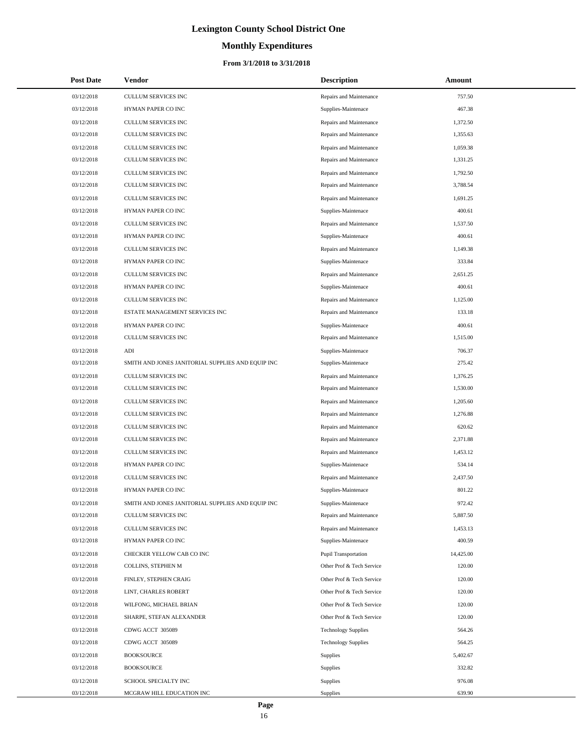# **Monthly Expenditures**

| <b>Post Date</b> | Vendor                                            | <b>Description</b>         | Amount    |
|------------------|---------------------------------------------------|----------------------------|-----------|
| 03/12/2018       | CULLUM SERVICES INC                               | Repairs and Maintenance    | 757.50    |
| 03/12/2018       | HYMAN PAPER CO INC                                | Supplies-Maintenace        | 467.38    |
| 03/12/2018       | CULLUM SERVICES INC                               | Repairs and Maintenance    | 1,372.50  |
| 03/12/2018       | <b>CULLUM SERVICES INC</b>                        | Repairs and Maintenance    | 1,355.63  |
| 03/12/2018       | CULLUM SERVICES INC                               | Repairs and Maintenance    | 1,059.38  |
| 03/12/2018       | CULLUM SERVICES INC                               | Repairs and Maintenance    | 1,331.25  |
| 03/12/2018       | CULLUM SERVICES INC                               | Repairs and Maintenance    | 1,792.50  |
| 03/12/2018       | <b>CULLUM SERVICES INC</b>                        | Repairs and Maintenance    | 3,788.54  |
| 03/12/2018       | CULLUM SERVICES INC                               | Repairs and Maintenance    | 1,691.25  |
| 03/12/2018       | HYMAN PAPER CO INC                                | Supplies-Maintenace        | 400.61    |
| 03/12/2018       | CULLUM SERVICES INC                               | Repairs and Maintenance    | 1,537.50  |
| 03/12/2018       | HYMAN PAPER CO INC                                | Supplies-Maintenace        | 400.61    |
| 03/12/2018       | CULLUM SERVICES INC                               | Repairs and Maintenance    | 1,149.38  |
| 03/12/2018       | HYMAN PAPER CO INC                                | Supplies-Maintenace        | 333.84    |
| 03/12/2018       | CULLUM SERVICES INC                               | Repairs and Maintenance    | 2,651.25  |
| 03/12/2018       | HYMAN PAPER CO INC                                | Supplies-Maintenace        | 400.61    |
| 03/12/2018       | <b>CULLUM SERVICES INC</b>                        | Repairs and Maintenance    | 1,125.00  |
| 03/12/2018       | ESTATE MANAGEMENT SERVICES INC                    | Repairs and Maintenance    | 133.18    |
| 03/12/2018       | HYMAN PAPER CO INC                                | Supplies-Maintenace        | 400.61    |
| 03/12/2018       | <b>CULLUM SERVICES INC</b>                        | Repairs and Maintenance    | 1,515.00  |
| 03/12/2018       | $\mathbf{ADI}$                                    | Supplies-Maintenace        | 706.37    |
| 03/12/2018       | SMITH AND JONES JANITORIAL SUPPLIES AND EQUIP INC | Supplies-Maintenace        | 275.42    |
| 03/12/2018       | CULLUM SERVICES INC                               | Repairs and Maintenance    | 1,376.25  |
| 03/12/2018       | CULLUM SERVICES INC                               | Repairs and Maintenance    | 1,530.00  |
| 03/12/2018       | CULLUM SERVICES INC                               | Repairs and Maintenance    | 1,205.60  |
| 03/12/2018       | CULLUM SERVICES INC                               | Repairs and Maintenance    | 1,276.88  |
| 03/12/2018       | CULLUM SERVICES INC                               | Repairs and Maintenance    | 620.62    |
| 03/12/2018       | CULLUM SERVICES INC                               | Repairs and Maintenance    | 2,371.88  |
| 03/12/2018       | CULLUM SERVICES INC                               | Repairs and Maintenance    | 1,453.12  |
| 03/12/2018       | HYMAN PAPER CO INC                                | Supplies-Maintenace        | 534.14    |
| 03/12/2018       | CULLUM SERVICES INC                               | Repairs and Maintenance    | 2,437.50  |
| 03/12/2018       | HYMAN PAPER CO INC                                | Supplies-Maintenace        | 801.22    |
| 03/12/2018       | SMITH AND JONES JANITORIAL SUPPLIES AND EQUIP INC | Supplies-Maintenace        | 972.42    |
| 03/12/2018       | <b>CULLUM SERVICES INC</b>                        | Repairs and Maintenance    | 5,887.50  |
| 03/12/2018       | <b>CULLUM SERVICES INC</b>                        | Repairs and Maintenance    | 1,453.13  |
| 03/12/2018       | HYMAN PAPER CO INC                                | Supplies-Maintenace        | 400.59    |
| 03/12/2018       | CHECKER YELLOW CAB CO INC                         | Pupil Transportation       | 14,425.00 |
| 03/12/2018       | COLLINS, STEPHEN M                                | Other Prof & Tech Service  | 120.00    |
| 03/12/2018       | FINLEY, STEPHEN CRAIG                             | Other Prof & Tech Service  | 120.00    |
| 03/12/2018       | LINT, CHARLES ROBERT                              | Other Prof & Tech Service  | 120.00    |
| 03/12/2018       | WILFONG, MICHAEL BRIAN                            | Other Prof & Tech Service  | 120.00    |
| 03/12/2018       | SHARPE, STEFAN ALEXANDER                          | Other Prof & Tech Service  | 120.00    |
| 03/12/2018       | CDWG ACCT 305089                                  | <b>Technology Supplies</b> | 564.26    |
| 03/12/2018       | CDWG ACCT 305089                                  | <b>Technology Supplies</b> | 564.25    |
| 03/12/2018       | <b>BOOKSOURCE</b>                                 | <b>Supplies</b>            | 5,402.67  |
| 03/12/2018       | <b>BOOKSOURCE</b>                                 | <b>Supplies</b>            | 332.82    |
| 03/12/2018       | SCHOOL SPECIALTY INC                              | Supplies                   | 976.08    |
| 03/12/2018       | MCGRAW HILL EDUCATION INC                         | Supplies                   | 639.90    |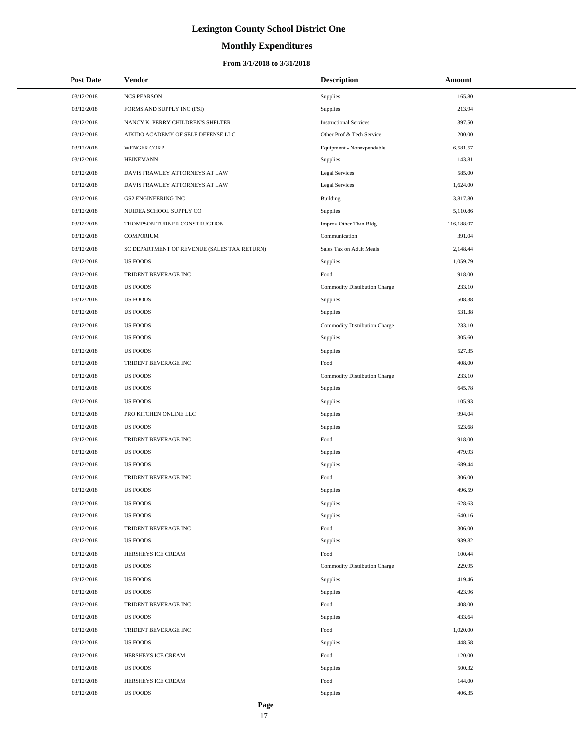# **Monthly Expenditures**

| <b>Post Date</b> | Vendor                                      | <b>Description</b>            | Amount     |
|------------------|---------------------------------------------|-------------------------------|------------|
| 03/12/2018       | <b>NCS PEARSON</b>                          | Supplies                      | 165.80     |
| 03/12/2018       | FORMS AND SUPPLY INC (FSI)                  | Supplies                      | 213.94     |
| 03/12/2018       | NANCY K PERRY CHILDREN'S SHELTER            | <b>Instructional Services</b> | 397.50     |
| 03/12/2018       | AIKIDO ACADEMY OF SELF DEFENSE LLC          | Other Prof & Tech Service     | 200.00     |
| 03/12/2018       | <b>WENGER CORP</b>                          | Equipment - Nonexpendable     | 6,581.57   |
| 03/12/2018       | <b>HEINEMANN</b>                            | <b>Supplies</b>               | 143.81     |
| 03/12/2018       | DAVIS FRAWLEY ATTORNEYS AT LAW              | <b>Legal Services</b>         | 585.00     |
| 03/12/2018       | DAVIS FRAWLEY ATTORNEYS AT LAW              | <b>Legal Services</b>         | 1,624.00   |
| 03/12/2018       | <b>GS2 ENGINEERING INC</b>                  | <b>Building</b>               | 3,817.80   |
| 03/12/2018       | NUIDEA SCHOOL SUPPLY CO                     | Supplies                      | 5,110.86   |
| 03/12/2018       | THOMPSON TURNER CONSTRUCTION                | Improv Other Than Bldg        | 116,188.07 |
| 03/12/2018       | <b>COMPORIUM</b>                            | Communication                 | 391.04     |
| 03/12/2018       | SC DEPARTMENT OF REVENUE (SALES TAX RETURN) | Sales Tax on Adult Meals      | 2,148.44   |
| 03/12/2018       | <b>US FOODS</b>                             | Supplies                      | 1,059.79   |
| 03/12/2018       | TRIDENT BEVERAGE INC                        | Food                          | 918.00     |
| 03/12/2018       | <b>US FOODS</b>                             | Commodity Distribution Charge | 233.10     |
| 03/12/2018       | <b>US FOODS</b>                             | Supplies                      | 508.38     |
| 03/12/2018       | <b>US FOODS</b>                             | Supplies                      | 531.38     |
| 03/12/2018       | <b>US FOODS</b>                             | Commodity Distribution Charge | 233.10     |
| 03/12/2018       | <b>US FOODS</b>                             | Supplies                      | 305.60     |
| 03/12/2018       | <b>US FOODS</b>                             | Supplies                      | 527.35     |
| 03/12/2018       | TRIDENT BEVERAGE INC                        | Food                          | 408.00     |
| 03/12/2018       | <b>US FOODS</b>                             | Commodity Distribution Charge | 233.10     |
| 03/12/2018       | <b>US FOODS</b>                             | Supplies                      | 645.78     |
| 03/12/2018       | <b>US FOODS</b>                             | <b>Supplies</b>               | 105.93     |
| 03/12/2018       | PRO KITCHEN ONLINE LLC                      | Supplies                      | 994.04     |
| 03/12/2018       | <b>US FOODS</b>                             | Supplies                      | 523.68     |
| 03/12/2018       | TRIDENT BEVERAGE INC                        | Food                          | 918.00     |
| 03/12/2018       | <b>US FOODS</b>                             | <b>Supplies</b>               | 479.93     |
| 03/12/2018       | <b>US FOODS</b>                             | Supplies                      | 689.44     |
| 03/12/2018       | TRIDENT BEVERAGE INC                        | Food                          | 306.00     |
| 03/12/2018       | <b>US FOODS</b>                             | Supplies                      | 496.59     |
| 03/12/2018       | <b>US FOODS</b>                             | Supplies                      | 628.63     |
| 03/12/2018       | <b>US FOODS</b>                             | Supplies                      | 640.16     |
| 03/12/2018       | TRIDENT BEVERAGE INC                        | Food                          | 306.00     |
| 03/12/2018       | <b>US FOODS</b>                             | Supplies                      | 939.82     |
| 03/12/2018       | HERSHEYS ICE CREAM                          | Food                          | 100.44     |
| 03/12/2018       | <b>US FOODS</b>                             | Commodity Distribution Charge | 229.95     |
| 03/12/2018       | <b>US FOODS</b>                             | <b>Supplies</b>               | 419.46     |
| 03/12/2018       | <b>US FOODS</b>                             | Supplies                      | 423.96     |
| 03/12/2018       | TRIDENT BEVERAGE INC                        | Food                          | 408.00     |
| 03/12/2018       | <b>US FOODS</b>                             | Supplies                      | 433.64     |
| 03/12/2018       | TRIDENT BEVERAGE INC                        | Food                          | 1,020.00   |
| 03/12/2018       | <b>US FOODS</b>                             | Supplies                      | 448.58     |
| 03/12/2018       | HERSHEYS ICE CREAM                          | Food                          | 120.00     |
| 03/12/2018       | <b>US FOODS</b>                             | Supplies                      | 500.32     |
| 03/12/2018       | HERSHEYS ICE CREAM                          | Food                          | 144.00     |
| 03/12/2018       | <b>US FOODS</b>                             | Supplies                      | 406.35     |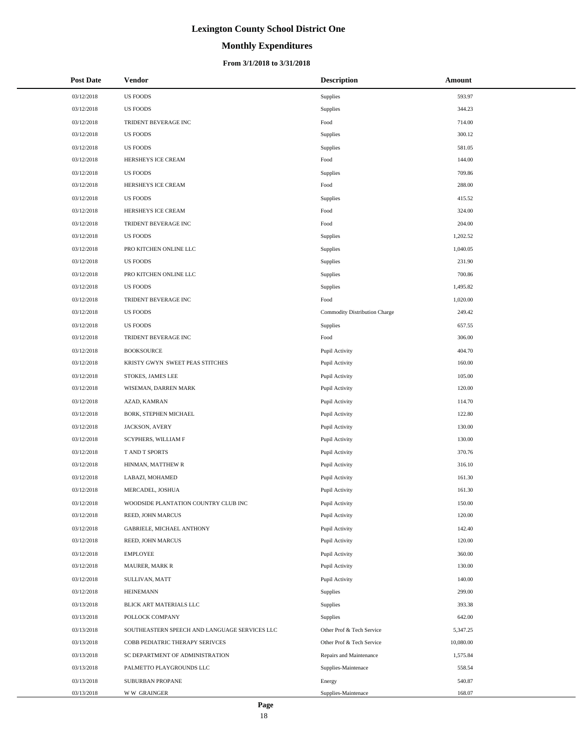# **Monthly Expenditures**

#### **From 3/1/2018 to 3/31/2018**

| <b>Post Date</b> | Vendor                                        | <b>Description</b>            | Amount    |
|------------------|-----------------------------------------------|-------------------------------|-----------|
| 03/12/2018       | <b>US FOODS</b>                               | Supplies                      | 593.97    |
| 03/12/2018       | <b>US FOODS</b>                               | Supplies                      | 344.23    |
| 03/12/2018       | TRIDENT BEVERAGE INC                          | Food                          | 714.00    |
| 03/12/2018       | <b>US FOODS</b>                               | Supplies                      | 300.12    |
| 03/12/2018       | <b>US FOODS</b>                               | Supplies                      | 581.05    |
| 03/12/2018       | HERSHEYS ICE CREAM                            | Food                          | 144.00    |
| 03/12/2018       | <b>US FOODS</b>                               | Supplies                      | 709.86    |
| 03/12/2018       | HERSHEYS ICE CREAM                            | Food                          | 288.00    |
| 03/12/2018       | <b>US FOODS</b>                               | Supplies                      | 415.52    |
| 03/12/2018       | HERSHEYS ICE CREAM                            | Food                          | 324.00    |
| 03/12/2018       | TRIDENT BEVERAGE INC                          | Food                          | 204.00    |
| 03/12/2018       | <b>US FOODS</b>                               | Supplies                      | 1,202.52  |
| 03/12/2018       | PRO KITCHEN ONLINE LLC                        | Supplies                      | 1,040.05  |
| 03/12/2018       | <b>US FOODS</b>                               | Supplies                      | 231.90    |
| 03/12/2018       | PRO KITCHEN ONLINE LLC                        | Supplies                      | 700.86    |
| 03/12/2018       | <b>US FOODS</b>                               | Supplies                      | 1,495.82  |
| 03/12/2018       | TRIDENT BEVERAGE INC                          | Food                          | 1,020.00  |
| 03/12/2018       | <b>US FOODS</b>                               | Commodity Distribution Charge | 249.42    |
| 03/12/2018       | <b>US FOODS</b>                               | Supplies                      | 657.55    |
| 03/12/2018       | TRIDENT BEVERAGE INC                          | Food                          | 306.00    |
| 03/12/2018       | <b>BOOKSOURCE</b>                             | Pupil Activity                | 404.70    |
| 03/12/2018       | KRISTY GWYN SWEET PEAS STITCHES               | Pupil Activity                | 160.00    |
| 03/12/2018       | STOKES, JAMES LEE                             | Pupil Activity                | 105.00    |
| 03/12/2018       | WISEMAN, DARREN MARK                          | Pupil Activity                | 120.00    |
| 03/12/2018       | AZAD, KAMRAN                                  | Pupil Activity                | 114.70    |
| 03/12/2018       | BORK, STEPHEN MICHAEL                         | Pupil Activity                | 122.80    |
| 03/12/2018       | JACKSON, AVERY                                | Pupil Activity                | 130.00    |
| 03/12/2018       | SCYPHERS, WILLIAM F                           | Pupil Activity                | 130.00    |
| 03/12/2018       | T AND T SPORTS                                | Pupil Activity                | 370.76    |
| 03/12/2018       | HINMAN, MATTHEW R                             | Pupil Activity                | 316.10    |
| 03/12/2018       | LABAZI, MOHAMED                               | Pupil Activity                | 161.30    |
| 03/12/2018       | MERCADEL, JOSHUA                              | Pupil Activity                | 161.30    |
| 03/12/2018       | WOODSIDE PLANTATION COUNTRY CLUB INC          | Pupil Activity                | 150.00    |
| 03/12/2018       | REED, JOHN MARCUS                             | Pupil Activity                | 120.00    |
| 03/12/2018       | GABRIELE, MICHAEL ANTHONY                     | Pupil Activity                | 142.40    |
| 03/12/2018       | REED, JOHN MARCUS                             | Pupil Activity                | 120.00    |
| 03/12/2018       | EMPLOYEE                                      | Pupil Activity                | 360.00    |
| 03/12/2018       | <b>MAURER, MARK R</b>                         | Pupil Activity                | 130.00    |
| 03/12/2018       | SULLIVAN, MATT                                | Pupil Activity                | 140.00    |
| 03/12/2018       | <b>HEINEMANN</b>                              | Supplies                      | 299.00    |
| 03/13/2018       | BLICK ART MATERIALS LLC                       | Supplies                      | 393.38    |
| 03/13/2018       | POLLOCK COMPANY                               | Supplies                      | 642.00    |
| 03/13/2018       | SOUTHEASTERN SPEECH AND LANGUAGE SERVICES LLC | Other Prof & Tech Service     | 5,347.25  |
| 03/13/2018       | COBB PEDIATRIC THERAPY SERIVCES               | Other Prof & Tech Service     | 10,080.00 |
| 03/13/2018       | SC DEPARTMENT OF ADMINISTRATION               | Repairs and Maintenance       | 1,575.84  |
| 03/13/2018       | PALMETTO PLAYGROUNDS LLC                      | Supplies-Maintenace           | 558.54    |
| 03/13/2018       | SUBURBAN PROPANE                              | Energy                        | 540.87    |
| 03/13/2018       | <b>WW GRAINGER</b>                            | Supplies-Maintenace           | 168.07    |

 $\overline{a}$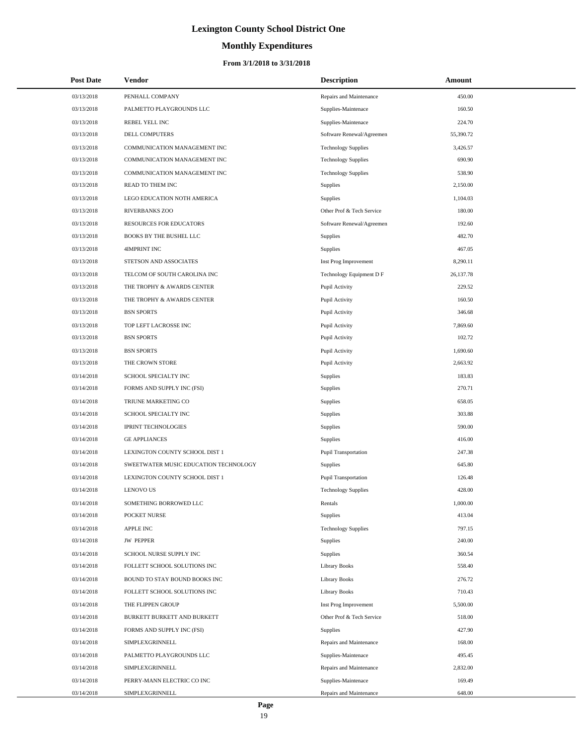# **Monthly Expenditures**

| <b>Post Date</b> | <b>Vendor</b>                         | <b>Description</b>          | Amount    |
|------------------|---------------------------------------|-----------------------------|-----------|
| 03/13/2018       | PENHALL COMPANY                       | Repairs and Maintenance     | 450.00    |
| 03/13/2018       | PALMETTO PLAYGROUNDS LLC              | Supplies-Maintenace         | 160.50    |
| 03/13/2018       | REBEL YELL INC                        | Supplies-Maintenace         | 224.70    |
| 03/13/2018       | <b>DELL COMPUTERS</b>                 | Software Renewal/Agreemen   | 55,390.72 |
| 03/13/2018       | COMMUNICATION MANAGEMENT INC          | <b>Technology Supplies</b>  | 3,426.57  |
| 03/13/2018       | COMMUNICATION MANAGEMENT INC          | <b>Technology Supplies</b>  | 690.90    |
| 03/13/2018       | COMMUNICATION MANAGEMENT INC          | <b>Technology Supplies</b>  | 538.90    |
| 03/13/2018       | READ TO THEM INC                      | <b>Supplies</b>             | 2,150.00  |
| 03/13/2018       | LEGO EDUCATION NOTH AMERICA           | Supplies                    | 1,104.03  |
| 03/13/2018       | <b>RIVERBANKS ZOO</b>                 | Other Prof & Tech Service   | 180.00    |
| 03/13/2018       | RESOURCES FOR EDUCATORS               | Software Renewal/Agreemen   | 192.60    |
| 03/13/2018       | BOOKS BY THE BUSHEL LLC               | Supplies                    | 482.70    |
| 03/13/2018       | 4IMPRINT INC                          | Supplies                    | 467.05    |
| 03/13/2018       | STETSON AND ASSOCIATES                | Inst Prog Improvement       | 8,290.11  |
| 03/13/2018       | TELCOM OF SOUTH CAROLINA INC          | Technology Equipment D F    | 26,137.78 |
| 03/13/2018       | THE TROPHY & AWARDS CENTER            | Pupil Activity              | 229.52    |
| 03/13/2018       | THE TROPHY & AWARDS CENTER            | Pupil Activity              | 160.50    |
| 03/13/2018       | <b>BSN SPORTS</b>                     | Pupil Activity              | 346.68    |
| 03/13/2018       | TOP LEFT LACROSSE INC                 | Pupil Activity              | 7,869.60  |
| 03/13/2018       | <b>BSN SPORTS</b>                     | Pupil Activity              | 102.72    |
| 03/13/2018       | <b>BSN SPORTS</b>                     | Pupil Activity              | 1,690.60  |
| 03/13/2018       | THE CROWN STORE                       | Pupil Activity              | 2,663.92  |
| 03/14/2018       | SCHOOL SPECIALTY INC                  | Supplies                    | 183.83    |
| 03/14/2018       | FORMS AND SUPPLY INC (FSI)            | Supplies                    | 270.71    |
| 03/14/2018       | TRIUNE MARKETING CO                   | Supplies                    | 658.05    |
| 03/14/2018       | SCHOOL SPECIALTY INC                  | Supplies                    | 303.88    |
| 03/14/2018       | <b>IPRINT TECHNOLOGIES</b>            | Supplies                    | 590.00    |
| 03/14/2018       | <b>GE APPLIANCES</b>                  | Supplies                    | 416.00    |
| 03/14/2018       | LEXINGTON COUNTY SCHOOL DIST 1        | <b>Pupil Transportation</b> | 247.38    |
| 03/14/2018       | SWEETWATER MUSIC EDUCATION TECHNOLOGY | <b>Supplies</b>             | 645.80    |
| 03/14/2018       | LEXINGTON COUNTY SCHOOL DIST 1        | <b>Pupil Transportation</b> | 126.48    |
| 03/14/2018       | <b>LENOVO US</b>                      | <b>Technology Supplies</b>  | 428.00    |
| 03/14/2018       | SOMETHING BORROWED LLC                | Rentals                     | 1,000.00  |
| 03/14/2018       | POCKET NURSE                          | <b>Supplies</b>             | 413.04    |
| 03/14/2018       | <b>APPLE INC</b>                      | <b>Technology Supplies</b>  | 797.15    |
| 03/14/2018       | <b>JW PEPPER</b>                      | Supplies                    | 240.00    |
| 03/14/2018       | SCHOOL NURSE SUPPLY INC               | <b>Supplies</b>             | 360.54    |
| 03/14/2018       | FOLLETT SCHOOL SOLUTIONS INC          | <b>Library Books</b>        | 558.40    |
| 03/14/2018       | BOUND TO STAY BOUND BOOKS INC         | <b>Library Books</b>        | 276.72    |
| 03/14/2018       | FOLLETT SCHOOL SOLUTIONS INC          | Library Books               | 710.43    |
| 03/14/2018       | THE FLIPPEN GROUP                     | Inst Prog Improvement       | 5,500.00  |
| 03/14/2018       | BURKETT BURKETT AND BURKETT           | Other Prof & Tech Service   | 518.00    |
| 03/14/2018       | FORMS AND SUPPLY INC (FSI)            | <b>Supplies</b>             | 427.90    |
| 03/14/2018       | SIMPLEXGRINNELL                       | Repairs and Maintenance     | 168.00    |
| 03/14/2018       | PALMETTO PLAYGROUNDS LLC              | Supplies-Maintenace         | 495.45    |
| 03/14/2018       | SIMPLEXGRINNELL                       | Repairs and Maintenance     | 2,832.00  |
| 03/14/2018       | PERRY-MANN ELECTRIC CO INC            | Supplies-Maintenace         | 169.49    |
| 03/14/2018       | SIMPLEXGRINNELL                       | Repairs and Maintenance     | 648.00    |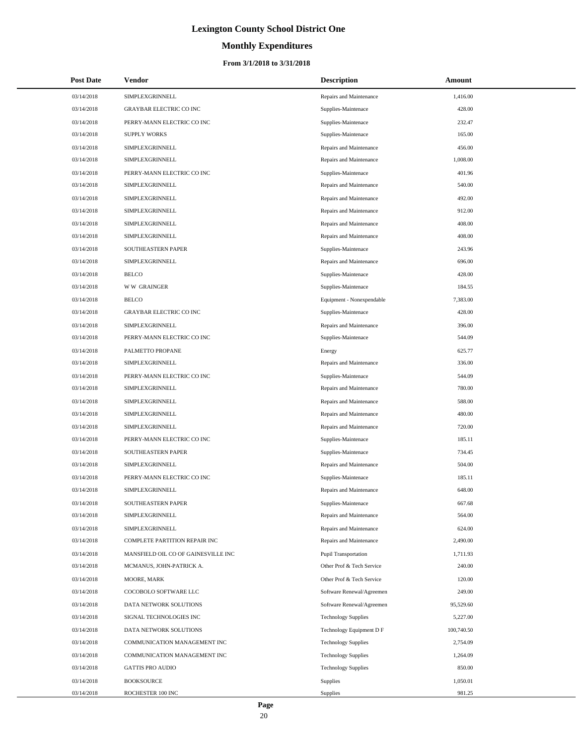# **Monthly Expenditures**

| <b>Post Date</b> | <b>Vendor</b>                       | <b>Description</b>          | Amount     |
|------------------|-------------------------------------|-----------------------------|------------|
| 03/14/2018       | SIMPLEXGRINNELL                     | Repairs and Maintenance     | 1,416.00   |
| 03/14/2018       | <b>GRAYBAR ELECTRIC CO INC</b>      | Supplies-Maintenace         | 428.00     |
| 03/14/2018       | PERRY-MANN ELECTRIC CO INC          | Supplies-Maintenace         | 232.47     |
| 03/14/2018       | <b>SUPPLY WORKS</b>                 | Supplies-Maintenace         | 165.00     |
| 03/14/2018       | SIMPLEXGRINNELL                     | Repairs and Maintenance     | 456.00     |
| 03/14/2018       | SIMPLEXGRINNELL                     | Repairs and Maintenance     | 1,008.00   |
| 03/14/2018       | PERRY-MANN ELECTRIC CO INC          | Supplies-Maintenace         | 401.96     |
| 03/14/2018       | SIMPLEXGRINNELL                     | Repairs and Maintenance     | 540.00     |
| 03/14/2018       | SIMPLEXGRINNELL                     | Repairs and Maintenance     | 492.00     |
| 03/14/2018       | SIMPLEXGRINNELL                     | Repairs and Maintenance     | 912.00     |
| 03/14/2018       | SIMPLEXGRINNELL                     | Repairs and Maintenance     | 408.00     |
| 03/14/2018       | SIMPLEXGRINNELL                     | Repairs and Maintenance     | 408.00     |
| 03/14/2018       | SOUTHEASTERN PAPER                  | Supplies-Maintenace         | 243.96     |
| 03/14/2018       | SIMPLEXGRINNELL                     | Repairs and Maintenance     | 696.00     |
| 03/14/2018       | <b>BELCO</b>                        | Supplies-Maintenace         | 428.00     |
| 03/14/2018       | <b>WW GRAINGER</b>                  | Supplies-Maintenace         | 184.55     |
| 03/14/2018       | <b>BELCO</b>                        | Equipment - Nonexpendable   | 7,383.00   |
| 03/14/2018       | <b>GRAYBAR ELECTRIC CO INC</b>      | Supplies-Maintenace         | 428.00     |
| 03/14/2018       | SIMPLEXGRINNELL                     | Repairs and Maintenance     | 396.00     |
| 03/14/2018       | PERRY-MANN ELECTRIC CO INC          | Supplies-Maintenace         | 544.09     |
| 03/14/2018       | PALMETTO PROPANE                    | Energy                      | 625.77     |
| 03/14/2018       | SIMPLEXGRINNELL                     | Repairs and Maintenance     | 336.00     |
| 03/14/2018       | PERRY-MANN ELECTRIC CO INC          | Supplies-Maintenace         | 544.09     |
| 03/14/2018       | SIMPLEXGRINNELL                     | Repairs and Maintenance     | 780.00     |
| 03/14/2018       | SIMPLEXGRINNELL                     | Repairs and Maintenance     | 588.00     |
| 03/14/2018       | SIMPLEXGRINNELL                     | Repairs and Maintenance     | 480.00     |
| 03/14/2018       | SIMPLEXGRINNELL                     | Repairs and Maintenance     | 720.00     |
| 03/14/2018       | PERRY-MANN ELECTRIC CO INC          | Supplies-Maintenace         | 185.11     |
| 03/14/2018       | SOUTHEASTERN PAPER                  | Supplies-Maintenace         | 734.45     |
| 03/14/2018       | SIMPLEXGRINNELL                     | Repairs and Maintenance     | 504.00     |
| 03/14/2018       | PERRY-MANN ELECTRIC CO INC          | Supplies-Maintenace         | 185.11     |
| 03/14/2018       | SIMPLEXGRINNELL                     | Repairs and Maintenance     | 648.00     |
| 03/14/2018       | SOUTHEASTERN PAPER                  | Supplies-Maintenace         | 667.68     |
| 03/14/2018       | SIMPLEXGRINNELL                     | Repairs and Maintenance     | 564.00     |
| 03/14/2018       | SIMPLEXGRINNELL                     | Repairs and Maintenance     | 624.00     |
| 03/14/2018       | COMPLETE PARTITION REPAIR INC       | Repairs and Maintenance     | 2,490.00   |
| 03/14/2018       | MANSFIELD OIL CO OF GAINESVILLE INC | <b>Pupil Transportation</b> | 1,711.93   |
| 03/14/2018       | MCMANUS, JOHN-PATRICK A.            | Other Prof & Tech Service   | 240.00     |
| 03/14/2018       | MOORE, MARK                         | Other Prof & Tech Service   | 120.00     |
| 03/14/2018       | COCOBOLO SOFTWARE LLC               | Software Renewal/Agreemen   | 249.00     |
| 03/14/2018       | DATA NETWORK SOLUTIONS              | Software Renewal/Agreemen   | 95,529.60  |
| 03/14/2018       | SIGNAL TECHNOLOGIES INC             | <b>Technology Supplies</b>  | 5,227.00   |
| 03/14/2018       | DATA NETWORK SOLUTIONS              | Technology Equipment D F    | 100,740.50 |
| 03/14/2018       | COMMUNICATION MANAGEMENT INC        | <b>Technology Supplies</b>  | 2,754.09   |
| 03/14/2018       | COMMUNICATION MANAGEMENT INC        | <b>Technology Supplies</b>  | 1,264.09   |
| 03/14/2018       | <b>GATTIS PRO AUDIO</b>             | <b>Technology Supplies</b>  | 850.00     |
| 03/14/2018       | <b>BOOKSOURCE</b>                   | Supplies                    | 1,050.01   |
| 03/14/2018       | ROCHESTER 100 INC                   | <b>Supplies</b>             | 981.25     |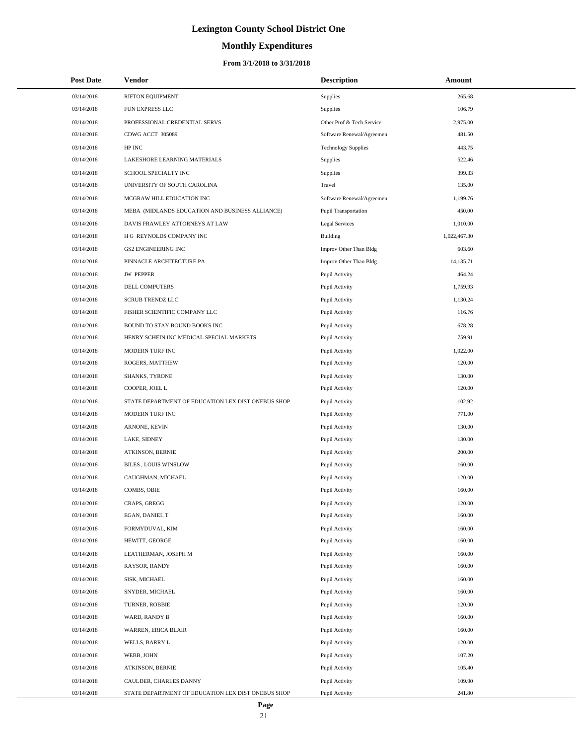# **Monthly Expenditures**

| <b>Post Date</b> | Vendor                                             | <b>Description</b>          | Amount       |
|------------------|----------------------------------------------------|-----------------------------|--------------|
| 03/14/2018       | <b>RIFTON EQUIPMENT</b>                            | Supplies                    | 265.68       |
| 03/14/2018       | FUN EXPRESS LLC                                    | Supplies                    | 106.79       |
| 03/14/2018       | PROFESSIONAL CREDENTIAL SERVS                      | Other Prof & Tech Service   | 2,975.00     |
| 03/14/2018       | CDWG ACCT 305089                                   | Software Renewal/Agreemen   | 481.50       |
| 03/14/2018       | HP INC                                             | <b>Technology Supplies</b>  | 443.75       |
| 03/14/2018       | LAKESHORE LEARNING MATERIALS                       | Supplies                    | 522.46       |
| 03/14/2018       | SCHOOL SPECIALTY INC                               | Supplies                    | 399.33       |
| 03/14/2018       | UNIVERSITY OF SOUTH CAROLINA                       | Travel                      | 135.00       |
| 03/14/2018       | MCGRAW HILL EDUCATION INC                          | Software Renewal/Agreemen   | 1,199.76     |
| 03/14/2018       | MEBA (MIDLANDS EDUCATION AND BUSINESS ALLIANCE)    | <b>Pupil Transportation</b> | 450.00       |
| 03/14/2018       | DAVIS FRAWLEY ATTORNEYS AT LAW                     | <b>Legal Services</b>       | 1,010.00     |
| 03/14/2018       | H G REYNOLDS COMPANY INC                           | Building                    | 1,022,467.30 |
| 03/14/2018       | <b>GS2 ENGINEERING INC</b>                         | Improv Other Than Bldg      | 603.60       |
| 03/14/2018       | PINNACLE ARCHITECTURE PA                           | Improv Other Than Bldg      | 14,135.71    |
| 03/14/2018       | <b>JW PEPPER</b>                                   | Pupil Activity              | 464.24       |
| 03/14/2018       | DELL COMPUTERS                                     | Pupil Activity              | 1,759.93     |
| 03/14/2018       | <b>SCRUB TRENDZ LLC</b>                            | Pupil Activity              | 1,130.24     |
| 03/14/2018       | FISHER SCIENTIFIC COMPANY LLC                      | Pupil Activity              | 116.76       |
| 03/14/2018       | BOUND TO STAY BOUND BOOKS INC                      | Pupil Activity              | 678.28       |
| 03/14/2018       | HENRY SCHEIN INC MEDICAL SPECIAL MARKETS           | Pupil Activity              | 759.91       |
| 03/14/2018       | MODERN TURF INC                                    | Pupil Activity              | 1,022.00     |
| 03/14/2018       | ROGERS, MATTHEW                                    | Pupil Activity              | 120.00       |
| 03/14/2018       | SHANKS, TYRONE                                     | Pupil Activity              | 130.00       |
| 03/14/2018       | COOPER, JOEL L                                     | Pupil Activity              | 120.00       |
| 03/14/2018       | STATE DEPARTMENT OF EDUCATION LEX DIST ONEBUS SHOP | Pupil Activity              | 102.92       |
| 03/14/2018       | MODERN TURF INC                                    | Pupil Activity              | 771.00       |
| 03/14/2018       | ARNONE, KEVIN                                      | Pupil Activity              | 130.00       |
| 03/14/2018       | LAKE, SIDNEY                                       | Pupil Activity              | 130.00       |
| 03/14/2018       | ATKINSON, BERNIE                                   | Pupil Activity              | 200.00       |
| 03/14/2018       | <b>BILES, LOUIS WINSLOW</b>                        | Pupil Activity              | 160.00       |
| 03/14/2018       | CAUGHMAN, MICHAEL                                  | Pupil Activity              | 120.00       |
| 03/14/2018       | COMBS, OBIE                                        | Pupil Activity              | 160.00       |
| 03/14/2018       | CRAPS, GREGG                                       | Pupil Activity              | 120.00       |
| 03/14/2018       | EGAN, DANIEL T                                     | Pupil Activity              | 160.00       |
| 03/14/2018       | FORMYDUVAL, KIM                                    | Pupil Activity              | 160.00       |
| 03/14/2018       | HEWITT, GEORGE                                     | Pupil Activity              | 160.00       |
| 03/14/2018       | LEATHERMAN, JOSEPH M                               | Pupil Activity              | 160.00       |
| 03/14/2018       | RAYSOR, RANDY                                      | Pupil Activity              | 160.00       |
| 03/14/2018       | SISK, MICHAEL                                      | Pupil Activity              | 160.00       |
| 03/14/2018       | SNYDER, MICHAEL                                    | Pupil Activity              | 160.00       |
| 03/14/2018       | TURNER, ROBBIE                                     | Pupil Activity              | 120.00       |
| 03/14/2018       | WARD, RANDY B                                      | Pupil Activity              | 160.00       |
| 03/14/2018       | WARREN, ERICA BLAIR                                | Pupil Activity              | 160.00       |
| 03/14/2018       | WELLS, BARRY L                                     | Pupil Activity              | 120.00       |
| 03/14/2018       | WEBB, JOHN                                         | Pupil Activity              | 107.20       |
| 03/14/2018       | ATKINSON, BERNIE                                   | Pupil Activity              | 105.40       |
| 03/14/2018       | CAULDER, CHARLES DANNY                             | Pupil Activity              | 109.90       |
| 03/14/2018       | STATE DEPARTMENT OF EDUCATION LEX DIST ONEBUS SHOP | Pupil Activity              | 241.80       |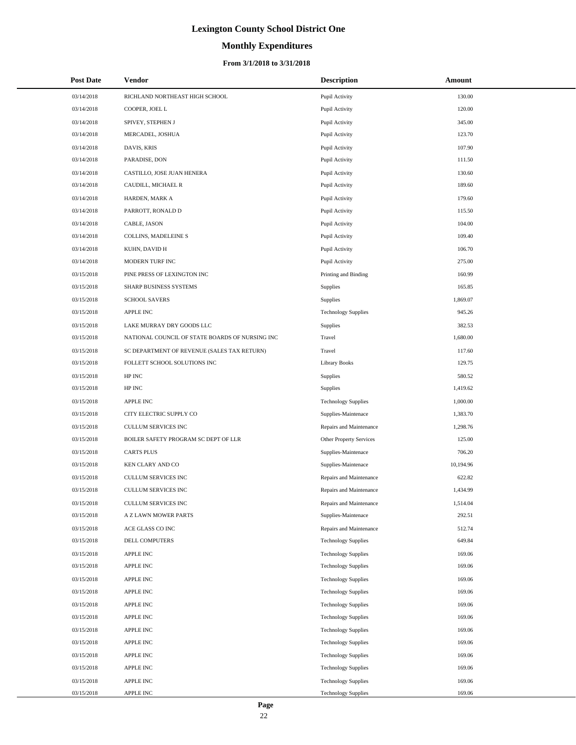# **Monthly Expenditures**

#### **From 3/1/2018 to 3/31/2018**

| <b>Post Date</b> | Vendor                                          | <b>Description</b>         | Amount    |
|------------------|-------------------------------------------------|----------------------------|-----------|
| 03/14/2018       | RICHLAND NORTHEAST HIGH SCHOOL                  | Pupil Activity             | 130.00    |
| 03/14/2018       | COOPER, JOEL L                                  | Pupil Activity             | 120.00    |
| 03/14/2018       | SPIVEY, STEPHEN J                               | Pupil Activity             | 345.00    |
| 03/14/2018       | MERCADEL, JOSHUA                                | Pupil Activity             | 123.70    |
| 03/14/2018       | DAVIS, KRIS                                     | Pupil Activity             | 107.90    |
| 03/14/2018       | PARADISE, DON                                   | Pupil Activity             | 111.50    |
| 03/14/2018       | CASTILLO, JOSE JUAN HENERA                      | Pupil Activity             | 130.60    |
| 03/14/2018       | CAUDILL, MICHAEL R                              | Pupil Activity             | 189.60    |
| 03/14/2018       | HARDEN, MARK A                                  | Pupil Activity             | 179.60    |
| 03/14/2018       | PARROTT, RONALD D                               | Pupil Activity             | 115.50    |
| 03/14/2018       | CABLE, JASON                                    | Pupil Activity             | 104.00    |
| 03/14/2018       | COLLINS, MADELEINE S                            | Pupil Activity             | 109.40    |
| 03/14/2018       | KUHN, DAVID H                                   | Pupil Activity             | 106.70    |
| 03/14/2018       | MODERN TURF INC                                 | Pupil Activity             | 275.00    |
| 03/15/2018       | PINE PRESS OF LEXINGTON INC                     | Printing and Binding       | 160.99    |
| 03/15/2018       | SHARP BUSINESS SYSTEMS                          | Supplies                   | 165.85    |
| 03/15/2018       | <b>SCHOOL SAVERS</b>                            | Supplies                   | 1,869.07  |
| 03/15/2018       | <b>APPLE INC</b>                                | <b>Technology Supplies</b> | 945.26    |
| 03/15/2018       | LAKE MURRAY DRY GOODS LLC                       | Supplies                   | 382.53    |
| 03/15/2018       | NATIONAL COUNCIL OF STATE BOARDS OF NURSING INC | Travel                     | 1,680.00  |
| 03/15/2018       | SC DEPARTMENT OF REVENUE (SALES TAX RETURN)     | Travel                     | 117.60    |
| 03/15/2018       | FOLLETT SCHOOL SOLUTIONS INC                    | <b>Library Books</b>       | 129.75    |
| 03/15/2018       | HP INC                                          | Supplies                   | 580.52    |
| 03/15/2018       | HP INC                                          | Supplies                   | 1,419.62  |
| 03/15/2018       | <b>APPLE INC</b>                                | <b>Technology Supplies</b> | 1,000.00  |
| 03/15/2018       | CITY ELECTRIC SUPPLY CO                         | Supplies-Maintenace        | 1,383.70  |
| 03/15/2018       | <b>CULLUM SERVICES INC</b>                      | Repairs and Maintenance    | 1,298.76  |
| 03/15/2018       | BOILER SAFETY PROGRAM SC DEPT OF LLR            | Other Property Services    | 125.00    |
| 03/15/2018       | <b>CARTS PLUS</b>                               | Supplies-Maintenace        | 706.20    |
| 03/15/2018       | KEN CLARY AND CO                                | Supplies-Maintenace        | 10,194.96 |
| 03/15/2018       | CULLUM SERVICES INC                             | Repairs and Maintenance    | 622.82    |
| 03/15/2018       | <b>CULLUM SERVICES INC</b>                      | Repairs and Maintenance    | 1,434.99  |
| 03/15/2018       | CULLUM SERVICES INC                             | Repairs and Maintenance    | 1,514.04  |
| 03/15/2018       | A Z LAWN MOWER PARTS                            | Supplies-Maintenace        | 292.51    |
| 03/15/2018       | ACE GLASS CO INC                                | Repairs and Maintenance    | 512.74    |
| 03/15/2018       | DELL COMPUTERS                                  | <b>Technology Supplies</b> | 649.84    |
| 03/15/2018       | APPLE INC                                       | <b>Technology Supplies</b> | 169.06    |
| 03/15/2018       | <b>APPLE INC</b>                                | <b>Technology Supplies</b> | 169.06    |
| 03/15/2018       | <b>APPLE INC</b>                                | <b>Technology Supplies</b> | 169.06    |
| 03/15/2018       | <b>APPLE INC</b>                                | <b>Technology Supplies</b> | 169.06    |
| 03/15/2018       | <b>APPLE INC</b>                                | <b>Technology Supplies</b> | 169.06    |
| 03/15/2018       | APPLE INC                                       | <b>Technology Supplies</b> | 169.06    |
| 03/15/2018       | <b>APPLE INC</b>                                | <b>Technology Supplies</b> | 169.06    |
| 03/15/2018       | <b>APPLE INC</b>                                | <b>Technology Supplies</b> | 169.06    |
| 03/15/2018       | <b>APPLE INC</b>                                | <b>Technology Supplies</b> | 169.06    |
| 03/15/2018       | <b>APPLE INC</b>                                | <b>Technology Supplies</b> | 169.06    |
| 03/15/2018       | APPLE INC                                       | <b>Technology Supplies</b> | 169.06    |
| 03/15/2018       | APPLE INC                                       | <b>Technology Supplies</b> | 169.06    |

 $\overline{a}$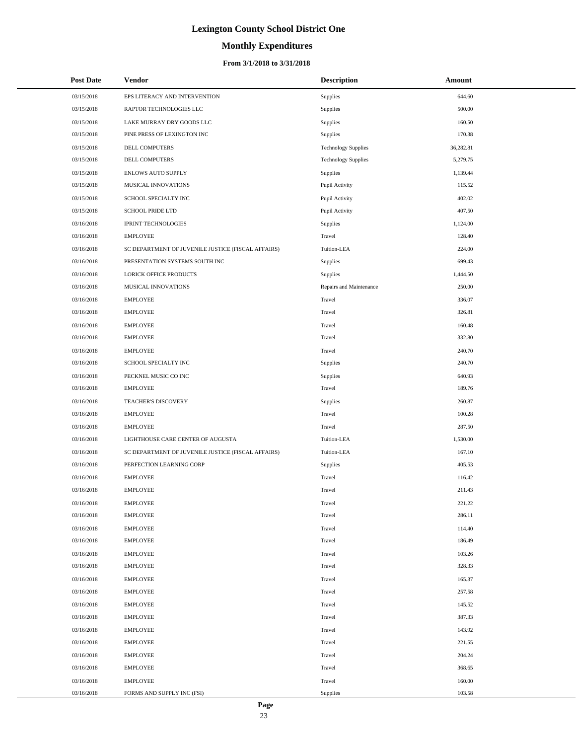# **Monthly Expenditures**

#### **From 3/1/2018 to 3/31/2018**

| <b>Post Date</b> | Vendor                                             | <b>Description</b>         | Amount    |
|------------------|----------------------------------------------------|----------------------------|-----------|
| 03/15/2018       | EPS LITERACY AND INTERVENTION                      | Supplies                   | 644.60    |
| 03/15/2018       | RAPTOR TECHNOLOGIES LLC                            | Supplies                   | 500.00    |
| 03/15/2018       | LAKE MURRAY DRY GOODS LLC                          | Supplies                   | 160.50    |
| 03/15/2018       | PINE PRESS OF LEXINGTON INC                        | Supplies                   | 170.38    |
| 03/15/2018       | DELL COMPUTERS                                     | <b>Technology Supplies</b> | 36,282.81 |
| 03/15/2018       | DELL COMPUTERS                                     | <b>Technology Supplies</b> | 5,279.75  |
| 03/15/2018       | <b>ENLOWS AUTO SUPPLY</b>                          | Supplies                   | 1,139.44  |
| 03/15/2018       | MUSICAL INNOVATIONS                                | Pupil Activity             | 115.52    |
| 03/15/2018       | SCHOOL SPECIALTY INC                               | Pupil Activity             | 402.02    |
| 03/15/2018       | <b>SCHOOL PRIDE LTD</b>                            | Pupil Activity             | 407.50    |
| 03/16/2018       | <b>IPRINT TECHNOLOGIES</b>                         | Supplies                   | 1,124.00  |
| 03/16/2018       | <b>EMPLOYEE</b>                                    | Travel                     | 128.40    |
| 03/16/2018       | SC DEPARTMENT OF JUVENILE JUSTICE (FISCAL AFFAIRS) | Tuition-LEA                | 224.00    |
| 03/16/2018       | PRESENTATION SYSTEMS SOUTH INC                     | Supplies                   | 699.43    |
| 03/16/2018       | <b>LORICK OFFICE PRODUCTS</b>                      | Supplies                   | 1,444.50  |
| 03/16/2018       | MUSICAL INNOVATIONS                                | Repairs and Maintenance    | 250.00    |
| 03/16/2018       | <b>EMPLOYEE</b>                                    | Travel                     | 336.07    |
| 03/16/2018       | <b>EMPLOYEE</b>                                    | Travel                     | 326.81    |
| 03/16/2018       | <b>EMPLOYEE</b>                                    | Travel                     | 160.48    |
| 03/16/2018       | <b>EMPLOYEE</b>                                    | Travel                     | 332.80    |
| 03/16/2018       | <b>EMPLOYEE</b>                                    | Travel                     | 240.70    |
| 03/16/2018       | SCHOOL SPECIALTY INC                               | Supplies                   | 240.70    |
| 03/16/2018       | PECKNEL MUSIC CO INC                               | Supplies                   | 640.93    |
| 03/16/2018       | <b>EMPLOYEE</b>                                    | Travel                     | 189.76    |
| 03/16/2018       | TEACHER'S DISCOVERY                                | Supplies                   | 260.87    |
| 03/16/2018       | <b>EMPLOYEE</b>                                    | Travel                     | 100.28    |
| 03/16/2018       | <b>EMPLOYEE</b>                                    | Travel                     | 287.50    |
| 03/16/2018       | LIGHTHOUSE CARE CENTER OF AUGUSTA                  | Tuition-LEA                | 1,530.00  |
| 03/16/2018       | SC DEPARTMENT OF JUVENILE JUSTICE (FISCAL AFFAIRS) | Tuition-LEA                | 167.10    |
| 03/16/2018       | PERFECTION LEARNING CORP                           | Supplies                   | 405.53    |
| 03/16/2018       | <b>EMPLOYEE</b>                                    | Travel                     | 116.42    |
| 03/16/2018       | <b>EMPLOYEE</b>                                    | Travel                     | 211.43    |
| 03/16/2018       | <b>EMPLOYEE</b>                                    | Travel                     | 221.22    |
| 03/16/2018       | <b>EMPLOYEE</b>                                    | Travel                     | 286.11    |
| 03/16/2018       | <b>EMPLOYEE</b>                                    | Travel                     | 114.40    |
| 03/16/2018       | <b>EMPLOYEE</b>                                    | Travel                     | 186.49    |
| 03/16/2018       | <b>EMPLOYEE</b>                                    | Travel                     | 103.26    |
| 03/16/2018       | <b>EMPLOYEE</b>                                    | Travel                     | 328.33    |
| 03/16/2018       | <b>EMPLOYEE</b>                                    | Travel                     | 165.37    |
| 03/16/2018       | <b>EMPLOYEE</b>                                    | Travel                     | 257.58    |
| 03/16/2018       | <b>EMPLOYEE</b>                                    | Travel                     | 145.52    |
| 03/16/2018       | <b>EMPLOYEE</b>                                    | Travel                     | 387.33    |
| 03/16/2018       | <b>EMPLOYEE</b>                                    | Travel                     | 143.92    |
| 03/16/2018       | <b>EMPLOYEE</b>                                    | Travel                     | 221.55    |
| 03/16/2018       | <b>EMPLOYEE</b>                                    | Travel                     | 204.24    |
| 03/16/2018       | <b>EMPLOYEE</b>                                    | Travel                     | 368.65    |
| 03/16/2018       | <b>EMPLOYEE</b>                                    | Travel                     | 160.00    |
| 03/16/2018       | FORMS AND SUPPLY INC (FSI)                         | Supplies                   | 103.58    |

L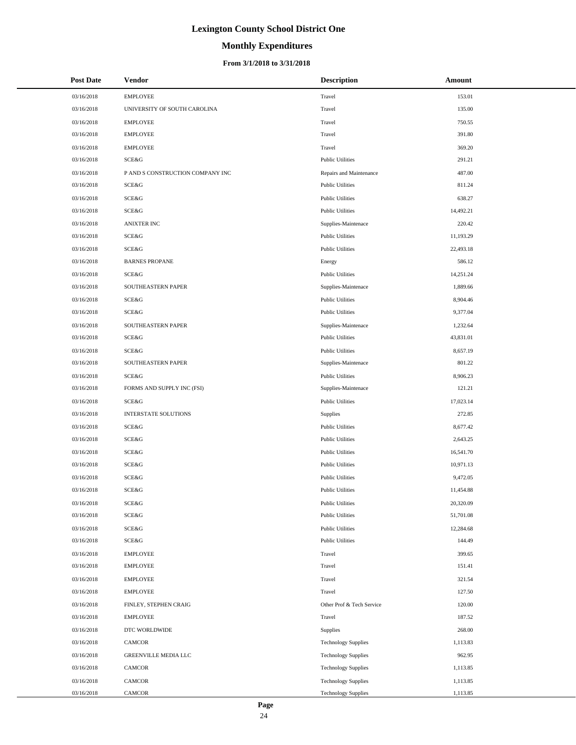# **Monthly Expenditures**

| <b>Post Date</b> | Vendor                           | <b>Description</b>         | Amount    |
|------------------|----------------------------------|----------------------------|-----------|
| 03/16/2018       | <b>EMPLOYEE</b>                  | Travel                     | 153.01    |
| 03/16/2018       | UNIVERSITY OF SOUTH CAROLINA     | Travel                     | 135.00    |
| 03/16/2018       | <b>EMPLOYEE</b>                  | Travel                     | 750.55    |
| 03/16/2018       | <b>EMPLOYEE</b>                  | Travel                     | 391.80    |
| 03/16/2018       | <b>EMPLOYEE</b>                  | Travel                     | 369.20    |
| 03/16/2018       | SCE&G                            | <b>Public Utilities</b>    | 291.21    |
| 03/16/2018       | P AND S CONSTRUCTION COMPANY INC | Repairs and Maintenance    | 487.00    |
| 03/16/2018       | <b>SCE&amp;G</b>                 | <b>Public Utilities</b>    | 811.24    |
| 03/16/2018       | <b>SCE&amp;G</b>                 | <b>Public Utilities</b>    | 638.27    |
| 03/16/2018       | SCE&G                            | <b>Public Utilities</b>    | 14,492.21 |
| 03/16/2018       | <b>ANIXTER INC</b>               | Supplies-Maintenace        | 220.42    |
| 03/16/2018       | SCE&G                            | <b>Public Utilities</b>    | 11,193.29 |
| 03/16/2018       | <b>SCE&amp;G</b>                 | <b>Public Utilities</b>    | 22,493.18 |
| 03/16/2018       | <b>BARNES PROPANE</b>            | Energy                     | 586.12    |
| 03/16/2018       | SCE&G                            | <b>Public Utilities</b>    | 14,251.24 |
| 03/16/2018       | SOUTHEASTERN PAPER               | Supplies-Maintenace        | 1,889.66  |
| 03/16/2018       | SCE&G                            | <b>Public Utilities</b>    | 8,904.46  |
| 03/16/2018       | SCE&G                            | <b>Public Utilities</b>    | 9,377.04  |
| 03/16/2018       | SOUTHEASTERN PAPER               | Supplies-Maintenace        | 1,232.64  |
| 03/16/2018       | <b>SCE&amp;G</b>                 | <b>Public Utilities</b>    | 43,831.01 |
| 03/16/2018       | SCE&G                            | <b>Public Utilities</b>    | 8,657.19  |
| 03/16/2018       | SOUTHEASTERN PAPER               | Supplies-Maintenace        | 801.22    |
| 03/16/2018       | SCE&G                            | <b>Public Utilities</b>    | 8,906.23  |
| 03/16/2018       | FORMS AND SUPPLY INC (FSI)       | Supplies-Maintenace        | 121.21    |
| 03/16/2018       | SCE&G                            | <b>Public Utilities</b>    | 17,023.14 |
| 03/16/2018       | <b>INTERSTATE SOLUTIONS</b>      | Supplies                   | 272.85    |
| 03/16/2018       | SCE&G                            | <b>Public Utilities</b>    | 8,677.42  |
| 03/16/2018       | SCE&G                            | <b>Public Utilities</b>    | 2,643.25  |
| 03/16/2018       | SCE&G                            | <b>Public Utilities</b>    | 16,541.70 |
| 03/16/2018       | SCE&G                            | <b>Public Utilities</b>    | 10,971.13 |
| 03/16/2018       | SCE&G                            | <b>Public Utilities</b>    | 9,472.05  |
| 03/16/2018       | <b>SCE&amp;G</b>                 | <b>Public Utilities</b>    | 11,454.88 |
| 03/16/2018       | SCE&G                            | <b>Public Utilities</b>    | 20,320.09 |
| 03/16/2018       | SCE&G                            | <b>Public Utilities</b>    | 51,701.08 |
| 03/16/2018       | SCE&G                            | <b>Public Utilities</b>    | 12,284.68 |
| 03/16/2018       | SCE&G                            | <b>Public Utilities</b>    | 144.49    |
| 03/16/2018       | <b>EMPLOYEE</b>                  | Travel                     | 399.65    |
| 03/16/2018       | <b>EMPLOYEE</b>                  | Travel                     | 151.41    |
| 03/16/2018       | <b>EMPLOYEE</b>                  | Travel                     | 321.54    |
| 03/16/2018       | <b>EMPLOYEE</b>                  | Travel                     | 127.50    |
| 03/16/2018       | FINLEY, STEPHEN CRAIG            | Other Prof & Tech Service  | 120.00    |
| 03/16/2018       | <b>EMPLOYEE</b>                  | Travel                     | 187.52    |
| 03/16/2018       | DTC WORLDWIDE                    | Supplies                   | 268.00    |
| 03/16/2018       | CAMCOR                           | <b>Technology Supplies</b> | 1,113.83  |
| 03/16/2018       | GREENVILLE MEDIA LLC             | <b>Technology Supplies</b> | 962.95    |
| 03/16/2018       | CAMCOR                           | <b>Technology Supplies</b> | 1,113.85  |
| 03/16/2018       | CAMCOR                           | <b>Technology Supplies</b> | 1,113.85  |
| 03/16/2018       | CAMCOR                           | <b>Technology Supplies</b> | 1,113.85  |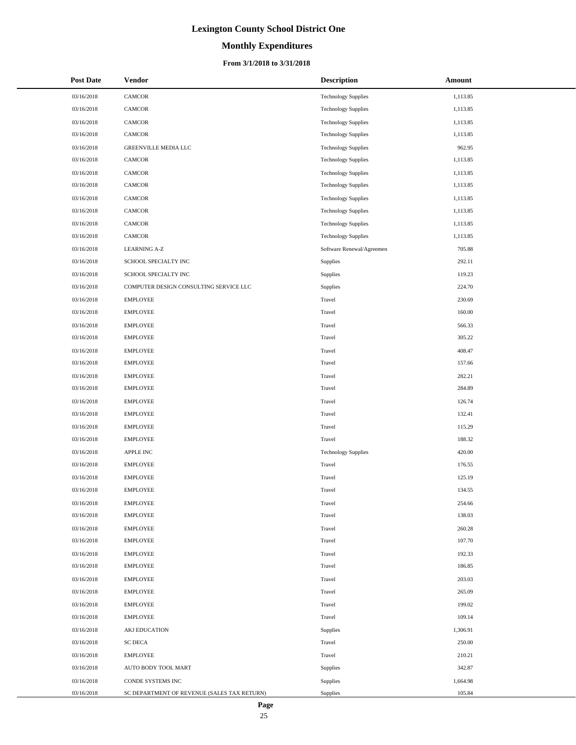# **Monthly Expenditures**

#### **From 3/1/2018 to 3/31/2018**

| <b>Post Date</b> | Vendor                                      | <b>Description</b>         | Amount   |
|------------------|---------------------------------------------|----------------------------|----------|
| 03/16/2018       | CAMCOR                                      | <b>Technology Supplies</b> | 1,113.85 |
| 03/16/2018       | CAMCOR                                      | <b>Technology Supplies</b> | 1,113.85 |
| 03/16/2018       | <b>CAMCOR</b>                               | <b>Technology Supplies</b> | 1,113.85 |
| 03/16/2018       | CAMCOR                                      | <b>Technology Supplies</b> | 1,113.85 |
| 03/16/2018       | GREENVILLE MEDIA LLC                        | <b>Technology Supplies</b> | 962.95   |
| 03/16/2018       | CAMCOR                                      | <b>Technology Supplies</b> | 1,113.85 |
| 03/16/2018       | CAMCOR                                      | <b>Technology Supplies</b> | 1,113.85 |
| 03/16/2018       | CAMCOR                                      | <b>Technology Supplies</b> | 1,113.85 |
| 03/16/2018       | <b>CAMCOR</b>                               | <b>Technology Supplies</b> | 1,113.85 |
| 03/16/2018       | CAMCOR                                      | <b>Technology Supplies</b> | 1,113.85 |
| 03/16/2018       | <b>CAMCOR</b>                               | <b>Technology Supplies</b> | 1,113.85 |
| 03/16/2018       | CAMCOR                                      | <b>Technology Supplies</b> | 1,113.85 |
| 03/16/2018       | <b>LEARNING A-Z</b>                         | Software Renewal/Agreemen  | 705.88   |
| 03/16/2018       | SCHOOL SPECIALTY INC                        | Supplies                   | 292.11   |
| 03/16/2018       | SCHOOL SPECIALTY INC                        | Supplies                   | 119.23   |
| 03/16/2018       | COMPUTER DESIGN CONSULTING SERVICE LLC      | Supplies                   | 224.70   |
| 03/16/2018       | <b>EMPLOYEE</b>                             | Travel                     | 230.69   |
| 03/16/2018       | <b>EMPLOYEE</b>                             | Travel                     | 160.00   |
| 03/16/2018       | <b>EMPLOYEE</b>                             | Travel                     | 566.33   |
| 03/16/2018       | <b>EMPLOYEE</b>                             | Travel                     | 305.22   |
| 03/16/2018       | <b>EMPLOYEE</b>                             | Travel                     | 408.47   |
| 03/16/2018       | <b>EMPLOYEE</b>                             | Travel                     | 157.66   |
| 03/16/2018       | <b>EMPLOYEE</b>                             | Travel                     | 282.21   |
| 03/16/2018       | <b>EMPLOYEE</b>                             | Travel                     | 284.89   |
| 03/16/2018       | <b>EMPLOYEE</b>                             | Travel                     | 126.74   |
| 03/16/2018       | <b>EMPLOYEE</b>                             | Travel                     | 132.41   |
| 03/16/2018       | <b>EMPLOYEE</b>                             | Travel                     | 115.29   |
| 03/16/2018       | <b>EMPLOYEE</b>                             | Travel                     | 188.32   |
| 03/16/2018       | APPLE INC                                   | <b>Technology Supplies</b> | 420.00   |
| 03/16/2018       | <b>EMPLOYEE</b>                             | Travel                     | 176.55   |
| 03/16/2018       | <b>EMPLOYEE</b>                             | Travel                     | 125.19   |
| 03/16/2018       | <b>EMPLOYEE</b>                             | Travel                     | 134.55   |
| 03/16/2018       | <b>EMPLOYEE</b>                             | Travel                     | 254.66   |
| 03/16/2018       | <b>EMPLOYEE</b>                             | Travel                     | 138.03   |
| 03/16/2018       | <b>EMPLOYEE</b>                             | Travel                     | 260.28   |
| 03/16/2018       | <b>EMPLOYEE</b>                             | Travel                     | 107.70   |
| 03/16/2018       | <b>EMPLOYEE</b>                             | Travel                     | 192.33   |
| 03/16/2018       | <b>EMPLOYEE</b>                             | Travel                     | 186.85   |
| 03/16/2018       | <b>EMPLOYEE</b>                             | Travel                     | 203.03   |
| 03/16/2018       | <b>EMPLOYEE</b>                             | Travel                     | 265.09   |
| 03/16/2018       | <b>EMPLOYEE</b>                             | Travel                     | 199.02   |
| 03/16/2018       | <b>EMPLOYEE</b>                             | Travel                     | 109.14   |
| 03/16/2018       | <b>AKJ EDUCATION</b>                        | Supplies                   | 1,306.91 |
| 03/16/2018       | <b>SC DECA</b>                              | Travel                     | 250.00   |
| 03/16/2018       | <b>EMPLOYEE</b>                             | Travel                     | 210.21   |
| 03/16/2018       | AUTO BODY TOOL MART                         | Supplies                   | 342.87   |
| 03/16/2018       | CONDE SYSTEMS INC                           | Supplies                   | 1,664.98 |
| 03/16/2018       | SC DEPARTMENT OF REVENUE (SALES TAX RETURN) | Supplies                   | 105.84   |

 $\overline{a}$ L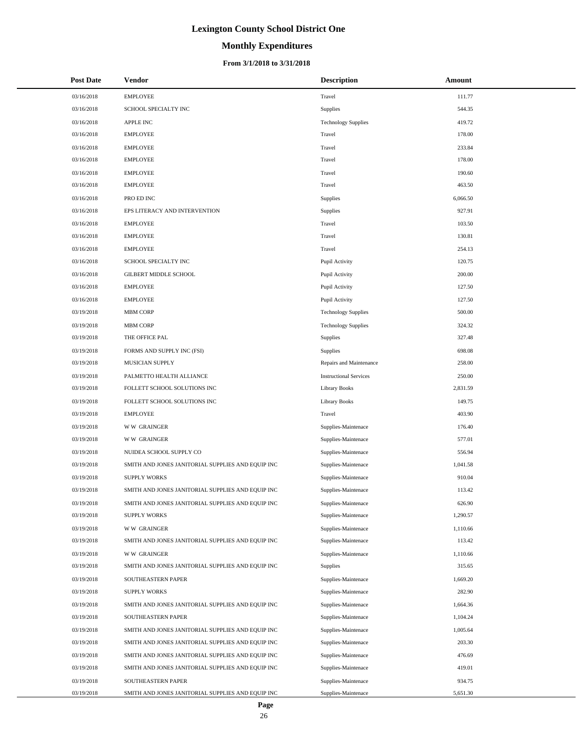# **Monthly Expenditures**

| <b>Post Date</b> | Vendor                                            | <b>Description</b>            | Amount   |
|------------------|---------------------------------------------------|-------------------------------|----------|
| 03/16/2018       | <b>EMPLOYEE</b>                                   | Travel                        | 111.77   |
| 03/16/2018       | SCHOOL SPECIALTY INC                              | Supplies                      | 544.35   |
| 03/16/2018       | <b>APPLE INC</b>                                  | <b>Technology Supplies</b>    | 419.72   |
| 03/16/2018       | <b>EMPLOYEE</b>                                   | Travel                        | 178.00   |
| 03/16/2018       | <b>EMPLOYEE</b>                                   | Travel                        | 233.84   |
| 03/16/2018       | <b>EMPLOYEE</b>                                   | Travel                        | 178.00   |
| 03/16/2018       | <b>EMPLOYEE</b>                                   | Travel                        | 190.60   |
| 03/16/2018       | <b>EMPLOYEE</b>                                   | Travel                        | 463.50   |
| 03/16/2018       | PRO ED INC                                        | Supplies                      | 6,066.50 |
| 03/16/2018       | EPS LITERACY AND INTERVENTION                     | Supplies                      | 927.91   |
| 03/16/2018       | <b>EMPLOYEE</b>                                   | Travel                        | 103.50   |
| 03/16/2018       | <b>EMPLOYEE</b>                                   | Travel                        | 130.81   |
| 03/16/2018       | <b>EMPLOYEE</b>                                   | Travel                        | 254.13   |
| 03/16/2018       | SCHOOL SPECIALTY INC                              | Pupil Activity                | 120.75   |
| 03/16/2018       | <b>GILBERT MIDDLE SCHOOL</b>                      | Pupil Activity                | 200.00   |
| 03/16/2018       | <b>EMPLOYEE</b>                                   | Pupil Activity                | 127.50   |
| 03/16/2018       | <b>EMPLOYEE</b>                                   | Pupil Activity                | 127.50   |
| 03/19/2018       | <b>MBM CORP</b>                                   | <b>Technology Supplies</b>    | 500.00   |
| 03/19/2018       | <b>MBM CORP</b>                                   | <b>Technology Supplies</b>    | 324.32   |
| 03/19/2018       | THE OFFICE PAL                                    | Supplies                      | 327.48   |
| 03/19/2018       | FORMS AND SUPPLY INC (FSI)                        | <b>Supplies</b>               | 698.08   |
| 03/19/2018       | MUSICIAN SUPPLY                                   | Repairs and Maintenance       | 258.00   |
| 03/19/2018       | PALMETTO HEALTH ALLIANCE                          | <b>Instructional Services</b> | 250.00   |
| 03/19/2018       | FOLLETT SCHOOL SOLUTIONS INC                      | <b>Library Books</b>          | 2,831.59 |
| 03/19/2018       | FOLLETT SCHOOL SOLUTIONS INC                      | <b>Library Books</b>          | 149.75   |
| 03/19/2018       | <b>EMPLOYEE</b>                                   | Travel                        | 403.90   |
| 03/19/2018       | <b>WW GRAINGER</b>                                | Supplies-Maintenace           | 176.40   |
| 03/19/2018       | <b>WW GRAINGER</b>                                | Supplies-Maintenace           | 577.01   |
| 03/19/2018       | NUIDEA SCHOOL SUPPLY CO                           | Supplies-Maintenace           | 556.94   |
| 03/19/2018       | SMITH AND JONES JANITORIAL SUPPLIES AND EQUIP INC | Supplies-Maintenace           | 1,041.58 |
| 03/19/2018       | <b>SUPPLY WORKS</b>                               | Supplies-Maintenace           | 910.04   |
| 03/19/2018       | SMITH AND JONES JANITORIAL SUPPLIES AND EQUIP INC | Supplies-Maintenace           | 113.42   |
| 03/19/2018       | SMITH AND JONES JANITORIAL SUPPLIES AND EQUIP INC | Supplies-Maintenace           | 626.90   |
| 03/19/2018       | <b>SUPPLY WORKS</b>                               | Supplies-Maintenace           | 1,290.57 |
| 03/19/2018       | <b>WW GRAINGER</b>                                | Supplies-Maintenace           | 1,110.66 |
| 03/19/2018       | SMITH AND JONES JANITORIAL SUPPLIES AND EQUIP INC | Supplies-Maintenace           | 113.42   |
| 03/19/2018       | <b>WW GRAINGER</b>                                | Supplies-Maintenace           | 1,110.66 |
| 03/19/2018       | SMITH AND JONES JANITORIAL SUPPLIES AND EQUIP INC | Supplies                      | 315.65   |
| 03/19/2018       | SOUTHEASTERN PAPER                                | Supplies-Maintenace           | 1,669.20 |
| 03/19/2018       | <b>SUPPLY WORKS</b>                               | Supplies-Maintenace           | 282.90   |
| 03/19/2018       | SMITH AND JONES JANITORIAL SUPPLIES AND EQUIP INC | Supplies-Maintenace           | 1,664.36 |
| 03/19/2018       | SOUTHEASTERN PAPER                                | Supplies-Maintenace           | 1,104.24 |
| 03/19/2018       | SMITH AND JONES JANITORIAL SUPPLIES AND EQUIP INC | Supplies-Maintenace           | 1,005.64 |
| 03/19/2018       | SMITH AND JONES JANITORIAL SUPPLIES AND EQUIP INC | Supplies-Maintenace           | 203.30   |
| 03/19/2018       | SMITH AND JONES JANITORIAL SUPPLIES AND EQUIP INC | Supplies-Maintenace           | 476.69   |
| 03/19/2018       | SMITH AND JONES JANITORIAL SUPPLIES AND EQUIP INC | Supplies-Maintenace           | 419.01   |
| 03/19/2018       | SOUTHEASTERN PAPER                                | Supplies-Maintenace           | 934.75   |
| 03/19/2018       | SMITH AND JONES JANITORIAL SUPPLIES AND EQUIP INC | Supplies-Maintenace           | 5,651.30 |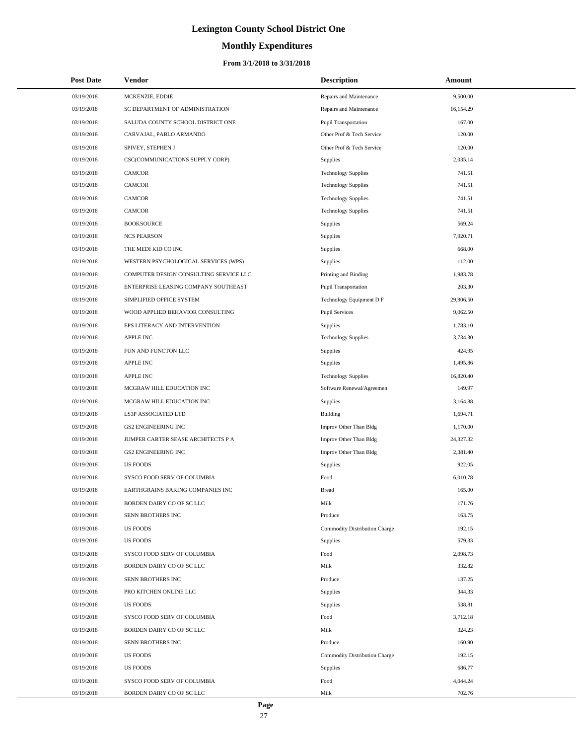# **Monthly Expenditures**

#### **From 3/1/2018 to 3/31/2018**

| <b>Post Date</b> | Vendor                                 | <b>Description</b>            | Amount    |
|------------------|----------------------------------------|-------------------------------|-----------|
| 03/19/2018       | MCKENZIE, EDDIE                        | Repairs and Maintenance       | 9,500.00  |
| 03/19/2018       | SC DEPARTMENT OF ADMINISTRATION        | Repairs and Maintenance       | 16,154.29 |
| 03/19/2018       | SALUDA COUNTY SCHOOL DISTRICT ONE      | <b>Pupil Transportation</b>   | 167.00    |
| 03/19/2018       | CARVAJAL, PABLO ARMANDO                | Other Prof & Tech Service     | 120.00    |
| 03/19/2018       | SPIVEY, STEPHEN J                      | Other Prof & Tech Service     | 120.00    |
| 03/19/2018       | CSC(COMMUNICATIONS SUPPLY CORP)        | Supplies                      | 2,035.14  |
| 03/19/2018       | CAMCOR                                 | <b>Technology Supplies</b>    | 741.51    |
| 03/19/2018       | CAMCOR                                 | <b>Technology Supplies</b>    | 741.51    |
| 03/19/2018       | <b>CAMCOR</b>                          | <b>Technology Supplies</b>    | 741.51    |
| 03/19/2018       | <b>CAMCOR</b>                          | <b>Technology Supplies</b>    | 741.51    |
| 03/19/2018       | <b>BOOKSOURCE</b>                      | Supplies                      | 569.24    |
| 03/19/2018       | <b>NCS PEARSON</b>                     | Supplies                      | 7,920.71  |
| 03/19/2018       | THE MEDI KID CO INC                    | Supplies                      | 668.00    |
| 03/19/2018       | WESTERN PSYCHOLOGICAL SERVICES (WPS)   | Supplies                      | 112.00    |
| 03/19/2018       | COMPUTER DESIGN CONSULTING SERVICE LLC | Printing and Binding          | 1,983.78  |
| 03/19/2018       | ENTERPRISE LEASING COMPANY SOUTHEAST   | <b>Pupil Transportation</b>   | 203.30    |
| 03/19/2018       | SIMPLIFIED OFFICE SYSTEM               | Technology Equipment D F      | 29,906.50 |
| 03/19/2018       | WOOD APPLIED BEHAVIOR CONSULTING       | <b>Pupil Services</b>         | 9,062.50  |
| 03/19/2018       | EPS LITERACY AND INTERVENTION          | Supplies                      | 1,783.10  |
| 03/19/2018       | APPLE INC                              | <b>Technology Supplies</b>    | 3,734.30  |
| 03/19/2018       | FUN AND FUNCTON LLC                    | Supplies                      | 424.95    |
| 03/19/2018       | <b>APPLE INC</b>                       | Supplies                      | 1,495.86  |
| 03/19/2018       | <b>APPLE INC</b>                       | <b>Technology Supplies</b>    | 16,820.40 |
| 03/19/2018       | MCGRAW HILL EDUCATION INC              | Software Renewal/Agreemen     | 149.97    |
| 03/19/2018       | MCGRAW HILL EDUCATION INC              | Supplies                      | 3,164.88  |
| 03/19/2018       | LS3P ASSOCIATED LTD                    | Building                      | 1,694.71  |
| 03/19/2018       | <b>GS2 ENGINEERING INC</b>             | Improv Other Than Bldg        | 1,170.00  |
| 03/19/2018       | JUMPER CARTER SEASE ARCHITECTS P A     | Improv Other Than Bldg        | 24,327.32 |
| 03/19/2018       | <b>GS2 ENGINEERING INC</b>             | Improv Other Than Bldg        | 2,381.40  |
| 03/19/2018       | <b>US FOODS</b>                        | Supplies                      | 922.05    |
| 03/19/2018       | SYSCO FOOD SERV OF COLUMBIA            | Food                          | 6,010.78  |
| 03/19/2018       | EARTHGRAINS BAKING COMPANIES INC       | <b>Bread</b>                  | 165.00    |
| 03/19/2018       | BORDEN DAIRY CO OF SC LLC              | Milk                          | 171.76    |
| 03/19/2018       | SENN BROTHERS INC                      | Produce                       | 163.75    |
| 03/19/2018       | US FOODS                               | Commodity Distribution Charge | 192.15    |
| 03/19/2018       | <b>US FOODS</b>                        | Supplies                      | 579.33    |
| 03/19/2018       | SYSCO FOOD SERV OF COLUMBIA            | Food                          | 2,098.73  |
| 03/19/2018       | BORDEN DAIRY CO OF SC LLC              | Milk                          | 332.82    |
| 03/19/2018       | SENN BROTHERS INC                      | Produce                       | 137.25    |
| 03/19/2018       | PRO KITCHEN ONLINE LLC                 | Supplies                      | 344.33    |
| 03/19/2018       | <b>US FOODS</b>                        | Supplies                      | 538.81    |
| 03/19/2018       | SYSCO FOOD SERV OF COLUMBIA            | Food                          | 3,712.18  |
| 03/19/2018       | BORDEN DAIRY CO OF SC LLC              | Milk                          | 324.23    |
| 03/19/2018       | SENN BROTHERS INC                      | Produce                       | 160.90    |
| 03/19/2018       | <b>US FOODS</b>                        | Commodity Distribution Charge | 192.15    |
| 03/19/2018       | <b>US FOODS</b>                        | Supplies                      | 686.77    |
| 03/19/2018       | SYSCO FOOD SERV OF COLUMBIA            | Food                          | 4,044.24  |
| 03/19/2018       | BORDEN DAIRY CO OF SC LLC              | Milk                          | 702.76    |

 $\overline{a}$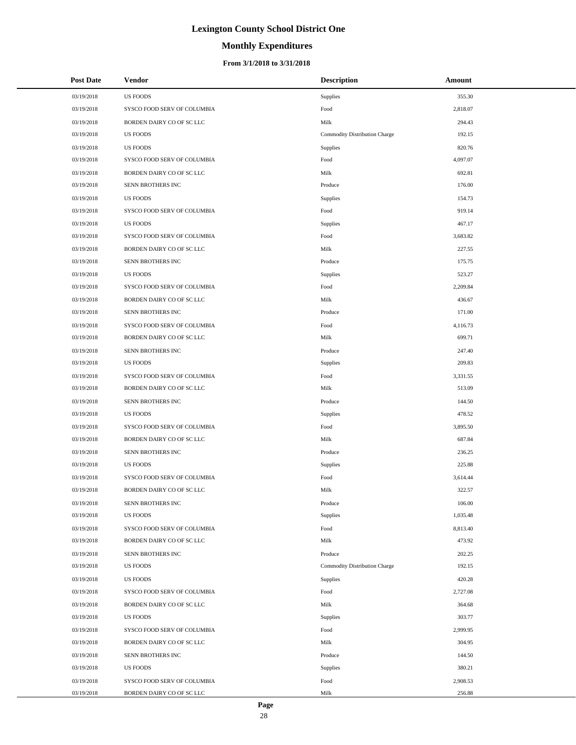# **Monthly Expenditures**

| <b>Post Date</b> | Vendor                      | <b>Description</b>            | Amount   |
|------------------|-----------------------------|-------------------------------|----------|
| 03/19/2018       | <b>US FOODS</b>             | Supplies                      | 355.30   |
| 03/19/2018       | SYSCO FOOD SERV OF COLUMBIA | Food                          | 2,818.07 |
| 03/19/2018       | BORDEN DAIRY CO OF SC LLC   | Milk                          | 294.43   |
| 03/19/2018       | <b>US FOODS</b>             | Commodity Distribution Charge | 192.15   |
| 03/19/2018       | <b>US FOODS</b>             | <b>Supplies</b>               | 820.76   |
| 03/19/2018       | SYSCO FOOD SERV OF COLUMBIA | Food                          | 4,097.07 |
| 03/19/2018       | BORDEN DAIRY CO OF SC LLC   | Milk                          | 692.81   |
| 03/19/2018       | SENN BROTHERS INC           | Produce                       | 176.00   |
| 03/19/2018       | <b>US FOODS</b>             | Supplies                      | 154.73   |
| 03/19/2018       | SYSCO FOOD SERV OF COLUMBIA | Food                          | 919.14   |
| 03/19/2018       | <b>US FOODS</b>             | Supplies                      | 467.17   |
| 03/19/2018       | SYSCO FOOD SERV OF COLUMBIA | Food                          | 3,683.82 |
| 03/19/2018       | BORDEN DAIRY CO OF SC LLC   | Milk                          | 227.55   |
| 03/19/2018       | SENN BROTHERS INC           | Produce                       | 175.75   |
| 03/19/2018       | <b>US FOODS</b>             | Supplies                      | 523.27   |
| 03/19/2018       | SYSCO FOOD SERV OF COLUMBIA | Food                          | 2,209.84 |
| 03/19/2018       | BORDEN DAIRY CO OF SC LLC   | Milk                          | 436.67   |
| 03/19/2018       | SENN BROTHERS INC           | Produce                       | 171.00   |
| 03/19/2018       | SYSCO FOOD SERV OF COLUMBIA | Food                          | 4,116.73 |
| 03/19/2018       | BORDEN DAIRY CO OF SC LLC   | Milk                          | 699.71   |
| 03/19/2018       | SENN BROTHERS INC           | Produce                       | 247.40   |
| 03/19/2018       | <b>US FOODS</b>             | Supplies                      | 209.83   |
| 03/19/2018       | SYSCO FOOD SERV OF COLUMBIA | Food                          | 3,331.55 |
| 03/19/2018       | BORDEN DAIRY CO OF SC LLC   | Milk                          | 513.09   |
| 03/19/2018       | SENN BROTHERS INC           | Produce                       | 144.50   |
| 03/19/2018       | <b>US FOODS</b>             | Supplies                      | 478.52   |
| 03/19/2018       | SYSCO FOOD SERV OF COLUMBIA | Food                          | 3,895.50 |
| 03/19/2018       | BORDEN DAIRY CO OF SC LLC   | Milk                          | 687.84   |
| 03/19/2018       | SENN BROTHERS INC           | Produce                       | 236.25   |
| 03/19/2018       | <b>US FOODS</b>             | Supplies                      | 225.88   |
| 03/19/2018       | SYSCO FOOD SERV OF COLUMBIA | Food                          | 3,614.44 |
| 03/19/2018       | BORDEN DAIRY CO OF SC LLC   | Milk                          | 322.57   |
| 03/19/2018       | SENN BROTHERS INC           | Produce                       | 106.00   |
| 03/19/2018       | <b>US FOODS</b>             | Supplies                      | 1,035.48 |
| 03/19/2018       | SYSCO FOOD SERV OF COLUMBIA | Food                          | 8,813.40 |
| 03/19/2018       | BORDEN DAIRY CO OF SC LLC   | Milk                          | 473.92   |
| 03/19/2018       | SENN BROTHERS INC           | Produce                       | 202.25   |
| 03/19/2018       | <b>US FOODS</b>             | Commodity Distribution Charge | 192.15   |
| 03/19/2018       | <b>US FOODS</b>             | <b>Supplies</b>               | 420.28   |
| 03/19/2018       | SYSCO FOOD SERV OF COLUMBIA | Food                          | 2,727.08 |
| 03/19/2018       | BORDEN DAIRY CO OF SC LLC   | Milk                          | 364.68   |
| 03/19/2018       | <b>US FOODS</b>             | Supplies                      | 303.77   |
| 03/19/2018       | SYSCO FOOD SERV OF COLUMBIA | Food                          | 2,999.95 |
| 03/19/2018       | BORDEN DAIRY CO OF SC LLC   | Milk                          | 304.95   |
| 03/19/2018       | SENN BROTHERS INC           | Produce                       | 144.50   |
| 03/19/2018       | <b>US FOODS</b>             | Supplies                      | 380.21   |
| 03/19/2018       | SYSCO FOOD SERV OF COLUMBIA | Food                          | 2,908.53 |
| 03/19/2018       | BORDEN DAIRY CO OF SC LLC   | Milk                          | 256.88   |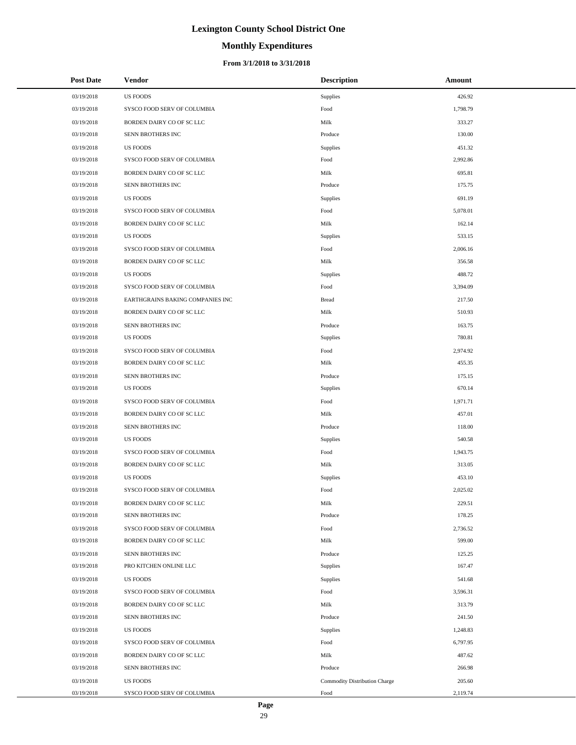# **Monthly Expenditures**

#### **From 3/1/2018 to 3/31/2018**

| <b>Post Date</b> | Vendor                           | <b>Description</b>            | Amount   |
|------------------|----------------------------------|-------------------------------|----------|
| 03/19/2018       | <b>US FOODS</b>                  | Supplies                      | 426.92   |
| 03/19/2018       | SYSCO FOOD SERV OF COLUMBIA      | Food                          | 1,798.79 |
| 03/19/2018       | BORDEN DAIRY CO OF SC LLC        | Milk                          | 333.27   |
| 03/19/2018       | SENN BROTHERS INC                | Produce                       | 130.00   |
| 03/19/2018       | <b>US FOODS</b>                  | Supplies                      | 451.32   |
| 03/19/2018       | SYSCO FOOD SERV OF COLUMBIA      | Food                          | 2,992.86 |
| 03/19/2018       | BORDEN DAIRY CO OF SC LLC        | Milk                          | 695.81   |
| 03/19/2018       | SENN BROTHERS INC                | Produce                       | 175.75   |
| 03/19/2018       | <b>US FOODS</b>                  | Supplies                      | 691.19   |
| 03/19/2018       | SYSCO FOOD SERV OF COLUMBIA      | Food                          | 5,078.01 |
| 03/19/2018       | BORDEN DAIRY CO OF SC LLC        | Milk                          | 162.14   |
| 03/19/2018       | <b>US FOODS</b>                  | Supplies                      | 533.15   |
| 03/19/2018       | SYSCO FOOD SERV OF COLUMBIA      | Food                          | 2,006.16 |
| 03/19/2018       | BORDEN DAIRY CO OF SC LLC        | Milk                          | 356.58   |
| 03/19/2018       | <b>US FOODS</b>                  | Supplies                      | 488.72   |
| 03/19/2018       | SYSCO FOOD SERV OF COLUMBIA      | Food                          | 3,394.09 |
| 03/19/2018       | EARTHGRAINS BAKING COMPANIES INC | <b>Bread</b>                  | 217.50   |
| 03/19/2018       | BORDEN DAIRY CO OF SC LLC        | Milk                          | 510.93   |
| 03/19/2018       | SENN BROTHERS INC                | Produce                       | 163.75   |
| 03/19/2018       | <b>US FOODS</b>                  | Supplies                      | 780.81   |
| 03/19/2018       | SYSCO FOOD SERV OF COLUMBIA      | Food                          | 2,974.92 |
| 03/19/2018       | BORDEN DAIRY CO OF SC LLC        | Milk                          | 455.35   |
| 03/19/2018       | SENN BROTHERS INC                | Produce                       | 175.15   |
| 03/19/2018       | <b>US FOODS</b>                  | Supplies                      | 670.14   |
| 03/19/2018       | SYSCO FOOD SERV OF COLUMBIA      | Food                          | 1,971.71 |
| 03/19/2018       | BORDEN DAIRY CO OF SC LLC        | Milk                          | 457.01   |
| 03/19/2018       | SENN BROTHERS INC                | Produce                       | 118.00   |
| 03/19/2018       | <b>US FOODS</b>                  | Supplies                      | 540.58   |
| 03/19/2018       | SYSCO FOOD SERV OF COLUMBIA      | Food                          | 1,943.75 |
| 03/19/2018       | BORDEN DAIRY CO OF SC LLC        | Milk                          | 313.05   |
| 03/19/2018       | <b>US FOODS</b>                  | Supplies                      | 453.10   |
| 03/19/2018       | SYSCO FOOD SERV OF COLUMBIA      | Food                          | 2,025.02 |
| 03/19/2018       | BORDEN DAIRY CO OF SC LLC        | Milk                          | 229.51   |
| 03/19/2018       | SENN BROTHERS INC                | Produce                       | 178.25   |
| 03/19/2018       | SYSCO FOOD SERV OF COLUMBIA      | Food                          | 2,736.52 |
| 03/19/2018       | BORDEN DAIRY CO OF SC LLC        | Milk                          | 599.00   |
| 03/19/2018       | SENN BROTHERS INC                | Produce                       | 125.25   |
| 03/19/2018       | PRO KITCHEN ONLINE LLC           | Supplies                      | 167.47   |
| 03/19/2018       | <b>US FOODS</b>                  | Supplies                      | 541.68   |
| 03/19/2018       | SYSCO FOOD SERV OF COLUMBIA      | Food                          | 3,596.31 |
| 03/19/2018       | BORDEN DAIRY CO OF SC LLC        | Milk                          | 313.79   |
| 03/19/2018       | SENN BROTHERS INC                | Produce                       | 241.50   |
| 03/19/2018       | <b>US FOODS</b>                  | Supplies                      | 1,248.83 |
| 03/19/2018       | SYSCO FOOD SERV OF COLUMBIA      | Food                          | 6,797.95 |
| 03/19/2018       | BORDEN DAIRY CO OF SC LLC        | Milk                          | 487.62   |
| 03/19/2018       | SENN BROTHERS INC                | Produce                       | 266.98   |
| 03/19/2018       | US FOODS                         | Commodity Distribution Charge | 205.60   |
| 03/19/2018       | SYSCO FOOD SERV OF COLUMBIA      | Food                          | 2,119.74 |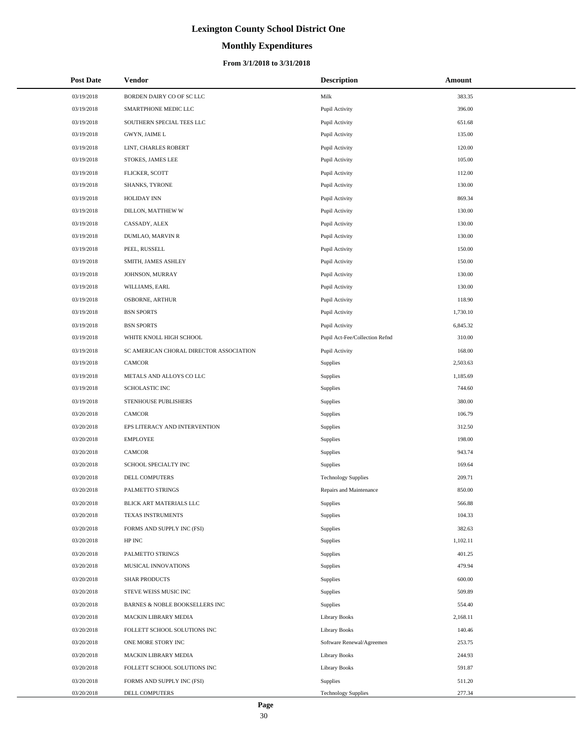# **Monthly Expenditures**

| <b>Post Date</b> | Vendor                                  | <b>Description</b>             | Amount   |
|------------------|-----------------------------------------|--------------------------------|----------|
| 03/19/2018       | BORDEN DAIRY CO OF SC LLC               | Milk                           | 383.35   |
| 03/19/2018       | SMARTPHONE MEDIC LLC                    | Pupil Activity                 | 396.00   |
| 03/19/2018       | SOUTHERN SPECIAL TEES LLC               | Pupil Activity                 | 651.68   |
| 03/19/2018       | GWYN, JAIME L                           | Pupil Activity                 | 135.00   |
| 03/19/2018       | LINT, CHARLES ROBERT                    | Pupil Activity                 | 120.00   |
| 03/19/2018       | STOKES, JAMES LEE                       | Pupil Activity                 | 105.00   |
| 03/19/2018       | FLICKER, SCOTT                          | Pupil Activity                 | 112.00   |
| 03/19/2018       | SHANKS, TYRONE                          | Pupil Activity                 | 130.00   |
| 03/19/2018       | <b>HOLIDAY INN</b>                      | Pupil Activity                 | 869.34   |
| 03/19/2018       | DILLON, MATTHEW W                       | Pupil Activity                 | 130.00   |
| 03/19/2018       | CASSADY, ALEX                           | Pupil Activity                 | 130.00   |
| 03/19/2018       | DUMLAO, MARVIN R                        | Pupil Activity                 | 130.00   |
| 03/19/2018       | PEEL, RUSSELL                           | Pupil Activity                 | 150.00   |
| 03/19/2018       | SMITH, JAMES ASHLEY                     | Pupil Activity                 | 150.00   |
| 03/19/2018       | JOHNSON, MURRAY                         | Pupil Activity                 | 130.00   |
| 03/19/2018       | WILLIAMS, EARL                          | Pupil Activity                 | 130.00   |
| 03/19/2018       | <b>OSBORNE, ARTHUR</b>                  | Pupil Activity                 | 118.90   |
| 03/19/2018       | <b>BSN SPORTS</b>                       | Pupil Activity                 | 1,730.10 |
| 03/19/2018       | <b>BSN SPORTS</b>                       | Pupil Activity                 | 6,845.32 |
| 03/19/2018       | WHITE KNOLL HIGH SCHOOL                 | Pupil Act-Fee/Collection Refnd | 310.00   |
| 03/19/2018       | SC AMERICAN CHORAL DIRECTOR ASSOCIATION | Pupil Activity                 | 168.00   |
| 03/19/2018       | CAMCOR                                  | Supplies                       | 2,503.63 |
| 03/19/2018       | METALS AND ALLOYS CO LLC                | Supplies                       | 1,185.69 |
| 03/19/2018       | SCHOLASTIC INC                          | Supplies                       | 744.60   |
| 03/19/2018       | STENHOUSE PUBLISHERS                    | Supplies                       | 380.00   |
| 03/20/2018       | <b>CAMCOR</b>                           | Supplies                       | 106.79   |
| 03/20/2018       | EPS LITERACY AND INTERVENTION           | Supplies                       | 312.50   |
| 03/20/2018       | <b>EMPLOYEE</b>                         | Supplies                       | 198.00   |
| 03/20/2018       | CAMCOR                                  | Supplies                       | 943.74   |
| 03/20/2018       | SCHOOL SPECIALTY INC                    | Supplies                       | 169.64   |
| 03/20/2018       | DELL COMPUTERS                          | <b>Technology Supplies</b>     | 209.71   |
| 03/20/2018       | PALMETTO STRINGS                        | Repairs and Maintenance        | 850.00   |
| 03/20/2018       | BLICK ART MATERIALS LLC                 | Supplies                       | 566.88   |
| 03/20/2018       | TEXAS INSTRUMENTS                       | Supplies                       | 104.33   |
| 03/20/2018       | FORMS AND SUPPLY INC (FSI)              | Supplies                       | 382.63   |
| 03/20/2018       | HP INC                                  | Supplies                       | 1,102.11 |
| 03/20/2018       | PALMETTO STRINGS                        | Supplies                       | 401.25   |
| 03/20/2018       | MUSICAL INNOVATIONS                     | Supplies                       | 479.94   |
| 03/20/2018       | <b>SHAR PRODUCTS</b>                    | Supplies                       | 600.00   |
| 03/20/2018       | STEVE WEISS MUSIC INC                   | Supplies                       | 509.89   |
| 03/20/2018       | BARNES & NOBLE BOOKSELLERS INC          | Supplies                       | 554.40   |
| 03/20/2018       | MACKIN LIBRARY MEDIA                    | <b>Library Books</b>           | 2,168.11 |
| 03/20/2018       | FOLLETT SCHOOL SOLUTIONS INC            | <b>Library Books</b>           | 140.46   |
| 03/20/2018       | ONE MORE STORY INC                      | Software Renewal/Agreemen      | 253.75   |
| 03/20/2018       | MACKIN LIBRARY MEDIA                    | Library Books                  | 244.93   |
| 03/20/2018       | FOLLETT SCHOOL SOLUTIONS INC            | <b>Library Books</b>           | 591.87   |
| 03/20/2018       | FORMS AND SUPPLY INC (FSI)              | Supplies                       | 511.20   |
| 03/20/2018       | DELL COMPUTERS                          | <b>Technology Supplies</b>     | 277.34   |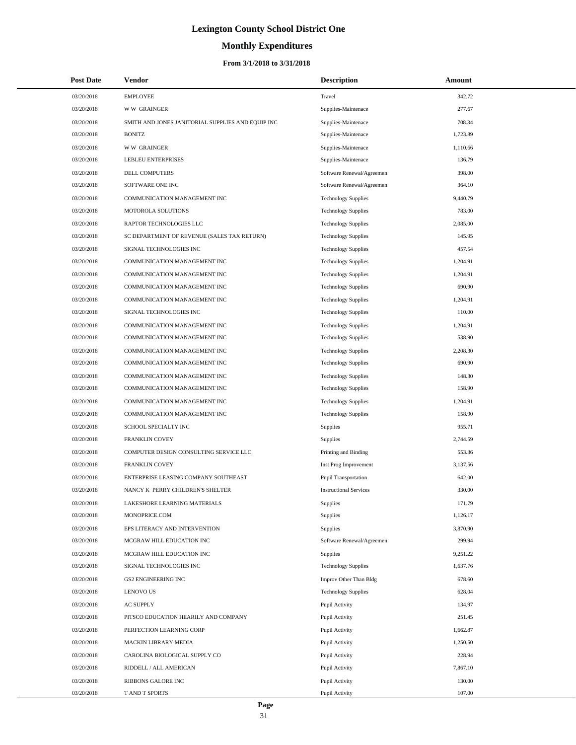# **Monthly Expenditures**

#### **From 3/1/2018 to 3/31/2018**

| <b>Post Date</b> | Vendor                                            | <b>Description</b>            | Amount   |
|------------------|---------------------------------------------------|-------------------------------|----------|
| 03/20/2018       | <b>EMPLOYEE</b>                                   | Travel                        | 342.72   |
| 03/20/2018       | <b>WW GRAINGER</b>                                | Supplies-Maintenace           | 277.67   |
| 03/20/2018       | SMITH AND JONES JANITORIAL SUPPLIES AND EQUIP INC | Supplies-Maintenace           | 708.34   |
| 03/20/2018       | <b>BONITZ</b>                                     | Supplies-Maintenace           | 1,723.89 |
| 03/20/2018       | <b>WW GRAINGER</b>                                | Supplies-Maintenace           | 1,110.66 |
| 03/20/2018       | LEBLEU ENTERPRISES                                | Supplies-Maintenace           | 136.79   |
| 03/20/2018       | DELL COMPUTERS                                    | Software Renewal/Agreemen     | 398.00   |
| 03/20/2018       | SOFTWARE ONE INC                                  | Software Renewal/Agreemen     | 364.10   |
| 03/20/2018       | COMMUNICATION MANAGEMENT INC                      | <b>Technology Supplies</b>    | 9,440.79 |
| 03/20/2018       | MOTOROLA SOLUTIONS                                | <b>Technology Supplies</b>    | 783.00   |
| 03/20/2018       | RAPTOR TECHNOLOGIES LLC                           | <b>Technology Supplies</b>    | 2,085.00 |
| 03/20/2018       | SC DEPARTMENT OF REVENUE (SALES TAX RETURN)       | <b>Technology Supplies</b>    | 145.95   |
| 03/20/2018       | SIGNAL TECHNOLOGIES INC                           | <b>Technology Supplies</b>    | 457.54   |
| 03/20/2018       | COMMUNICATION MANAGEMENT INC                      | <b>Technology Supplies</b>    | 1,204.91 |
| 03/20/2018       | COMMUNICATION MANAGEMENT INC                      | <b>Technology Supplies</b>    | 1,204.91 |
| 03/20/2018       | COMMUNICATION MANAGEMENT INC                      | <b>Technology Supplies</b>    | 690.90   |
| 03/20/2018       | COMMUNICATION MANAGEMENT INC                      | <b>Technology Supplies</b>    | 1,204.91 |
| 03/20/2018       | SIGNAL TECHNOLOGIES INC                           | <b>Technology Supplies</b>    | 110.00   |
| 03/20/2018       | COMMUNICATION MANAGEMENT INC                      | <b>Technology Supplies</b>    | 1,204.91 |
| 03/20/2018       | COMMUNICATION MANAGEMENT INC                      | <b>Technology Supplies</b>    | 538.90   |
| 03/20/2018       | COMMUNICATION MANAGEMENT INC                      | <b>Technology Supplies</b>    | 2,208.30 |
| 03/20/2018       | COMMUNICATION MANAGEMENT INC                      | <b>Technology Supplies</b>    | 690.90   |
| 03/20/2018       | COMMUNICATION MANAGEMENT INC                      | <b>Technology Supplies</b>    | 148.30   |
| 03/20/2018       | COMMUNICATION MANAGEMENT INC                      | <b>Technology Supplies</b>    | 158.90   |
| 03/20/2018       | COMMUNICATION MANAGEMENT INC                      | <b>Technology Supplies</b>    | 1,204.91 |
| 03/20/2018       | COMMUNICATION MANAGEMENT INC                      | <b>Technology Supplies</b>    | 158.90   |
| 03/20/2018       | SCHOOL SPECIALTY INC                              | Supplies                      | 955.71   |
| 03/20/2018       | <b>FRANKLIN COVEY</b>                             | Supplies                      | 2,744.59 |
| 03/20/2018       | COMPUTER DESIGN CONSULTING SERVICE LLC            | Printing and Binding          | 553.36   |
| 03/20/2018       | <b>FRANKLIN COVEY</b>                             | Inst Prog Improvement         | 3,137.56 |
| 03/20/2018       | ENTERPRISE LEASING COMPANY SOUTHEAST              | <b>Pupil Transportation</b>   | 642.00   |
| 03/20/2018       | NANCY K PERRY CHILDREN'S SHELTER                  | <b>Instructional Services</b> | 330.00   |
| 03/20/2018       | LAKESHORE LEARNING MATERIALS                      | Supplies                      | 171.79   |
| 03/20/2018       | MONOPRICE.COM                                     | Supplies                      | 1,126.17 |
| 03/20/2018       | EPS LITERACY AND INTERVENTION                     | Supplies                      | 3,870.90 |
| 03/20/2018       | MCGRAW HILL EDUCATION INC                         | Software Renewal/Agreemen     | 299.94   |
| 03/20/2018       | MCGRAW HILL EDUCATION INC                         | Supplies                      | 9,251.22 |
| 03/20/2018       | SIGNAL TECHNOLOGIES INC                           | <b>Technology Supplies</b>    | 1,637.76 |
| 03/20/2018       | <b>GS2 ENGINEERING INC</b>                        | Improv Other Than Bldg        | 678.60   |
| 03/20/2018       | <b>LENOVO US</b>                                  | <b>Technology Supplies</b>    | 628.04   |
| 03/20/2018       | AC SUPPLY                                         | Pupil Activity                | 134.97   |
| 03/20/2018       | PITSCO EDUCATION HEARILY AND COMPANY              | Pupil Activity                | 251.45   |
| 03/20/2018       | PERFECTION LEARNING CORP                          | Pupil Activity                | 1,662.87 |
| 03/20/2018       | MACKIN LIBRARY MEDIA                              | Pupil Activity                | 1,250.50 |
| 03/20/2018       | CAROLINA BIOLOGICAL SUPPLY CO                     | Pupil Activity                | 228.94   |
| 03/20/2018       | RIDDELL / ALL AMERICAN                            | Pupil Activity                | 7,867.10 |
| 03/20/2018       | RIBBONS GALORE INC                                | Pupil Activity                | 130.00   |
| 03/20/2018       | T AND T SPORTS                                    | Pupil Activity                | 107.00   |

 $\overline{a}$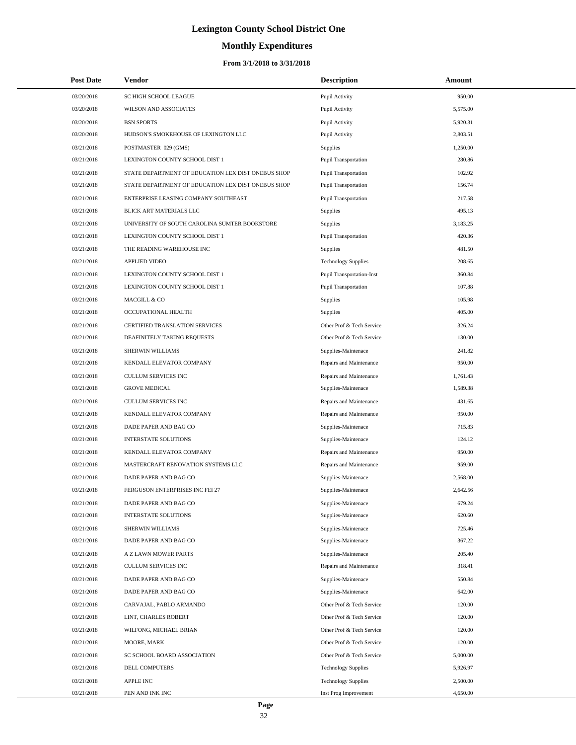# **Monthly Expenditures**

| <b>Post Date</b> | Vendor                                             | <b>Description</b>          | Amount   |  |
|------------------|----------------------------------------------------|-----------------------------|----------|--|
| 03/20/2018       | SC HIGH SCHOOL LEAGUE                              | Pupil Activity              | 950.00   |  |
| 03/20/2018       | WILSON AND ASSOCIATES                              | Pupil Activity              | 5,575.00 |  |
| 03/20/2018       | <b>BSN SPORTS</b>                                  | Pupil Activity              | 5,920.31 |  |
| 03/20/2018       | HUDSON'S SMOKEHOUSE OF LEXINGTON LLC               | Pupil Activity              | 2,803.51 |  |
| 03/21/2018       | POSTMASTER 029 (GMS)                               | Supplies                    | 1,250.00 |  |
| 03/21/2018       | LEXINGTON COUNTY SCHOOL DIST 1                     | <b>Pupil Transportation</b> | 280.86   |  |
| 03/21/2018       | STATE DEPARTMENT OF EDUCATION LEX DIST ONEBUS SHOP | <b>Pupil Transportation</b> | 102.92   |  |
| 03/21/2018       | STATE DEPARTMENT OF EDUCATION LEX DIST ONEBUS SHOP | <b>Pupil Transportation</b> | 156.74   |  |
| 03/21/2018       | ENTERPRISE LEASING COMPANY SOUTHEAST               | <b>Pupil Transportation</b> | 217.58   |  |
| 03/21/2018       | BLICK ART MATERIALS LLC                            | Supplies                    | 495.13   |  |
| 03/21/2018       | UNIVERSITY OF SOUTH CAROLINA SUMTER BOOKSTORE      | Supplies                    | 3,183.25 |  |
| 03/21/2018       | LEXINGTON COUNTY SCHOOL DIST 1                     | <b>Pupil Transportation</b> | 420.36   |  |
| 03/21/2018       | THE READING WAREHOUSE INC                          | Supplies                    | 481.50   |  |
| 03/21/2018       | <b>APPLIED VIDEO</b>                               | <b>Technology Supplies</b>  | 208.65   |  |
| 03/21/2018       | LEXINGTON COUNTY SCHOOL DIST 1                     | Pupil Transportation-Inst   | 360.84   |  |
| 03/21/2018       | LEXINGTON COUNTY SCHOOL DIST 1                     | <b>Pupil Transportation</b> | 107.88   |  |
| 03/21/2018       | MACGILL & CO                                       | Supplies                    | 105.98   |  |
| 03/21/2018       | OCCUPATIONAL HEALTH                                | Supplies                    | 405.00   |  |
| 03/21/2018       | CERTIFIED TRANSLATION SERVICES                     | Other Prof & Tech Service   | 326.24   |  |
| 03/21/2018       | DEAFINITELY TAKING REQUESTS                        | Other Prof & Tech Service   | 130.00   |  |
| 03/21/2018       | SHERWIN WILLIAMS                                   | Supplies-Maintenace         | 241.82   |  |
| 03/21/2018       | KENDALL ELEVATOR COMPANY                           | Repairs and Maintenance     | 950.00   |  |
| 03/21/2018       | CULLUM SERVICES INC                                | Repairs and Maintenance     | 1,761.43 |  |
| 03/21/2018       | <b>GROVE MEDICAL</b>                               | Supplies-Maintenace         | 1,589.38 |  |
| 03/21/2018       | CULLUM SERVICES INC                                | Repairs and Maintenance     | 431.65   |  |
| 03/21/2018       | KENDALL ELEVATOR COMPANY                           | Repairs and Maintenance     | 950.00   |  |
| 03/21/2018       | DADE PAPER AND BAG CO                              | Supplies-Maintenace         | 715.83   |  |
| 03/21/2018       | <b>INTERSTATE SOLUTIONS</b>                        | Supplies-Maintenace         | 124.12   |  |
| 03/21/2018       | KENDALL ELEVATOR COMPANY                           | Repairs and Maintenance     | 950.00   |  |
| 03/21/2018       | MASTERCRAFT RENOVATION SYSTEMS LLC                 | Repairs and Maintenance     | 959.00   |  |
| 03/21/2018       | DADE PAPER AND BAG CO                              | Supplies-Maintenace         | 2,568.00 |  |
| 03/21/2018       | FERGUSON ENTERPRISES INC FEI 27                    | Supplies-Maintenace         | 2,642.56 |  |
| 03/21/2018       | DADE PAPER AND BAG CO                              | Supplies-Maintenace         | 679.24   |  |
| 03/21/2018       | <b>INTERSTATE SOLUTIONS</b>                        | Supplies-Maintenace         | 620.60   |  |
| 03/21/2018       | SHERWIN WILLIAMS                                   | Supplies-Maintenace         | 725.46   |  |
| 03/21/2018       | DADE PAPER AND BAG CO                              | Supplies-Maintenace         | 367.22   |  |
| 03/21/2018       | A Z LAWN MOWER PARTS                               | Supplies-Maintenace         | 205.40   |  |
| 03/21/2018       | CULLUM SERVICES INC                                | Repairs and Maintenance     | 318.41   |  |
| 03/21/2018       | DADE PAPER AND BAG CO                              | Supplies-Maintenace         | 550.84   |  |
| 03/21/2018       | DADE PAPER AND BAG CO                              | Supplies-Maintenace         | 642.00   |  |
| 03/21/2018       | CARVAJAL, PABLO ARMANDO                            | Other Prof & Tech Service   | 120.00   |  |
| 03/21/2018       | LINT, CHARLES ROBERT                               | Other Prof & Tech Service   | 120.00   |  |
| 03/21/2018       | WILFONG, MICHAEL BRIAN                             | Other Prof & Tech Service   | 120.00   |  |
| 03/21/2018       | MOORE, MARK                                        | Other Prof & Tech Service   | 120.00   |  |
| 03/21/2018       | SC SCHOOL BOARD ASSOCIATION                        | Other Prof & Tech Service   | 5,000.00 |  |
| 03/21/2018       | DELL COMPUTERS                                     | <b>Technology Supplies</b>  | 5,926.97 |  |
| 03/21/2018       | APPLE INC                                          | <b>Technology Supplies</b>  | 2,500.00 |  |
| 03/21/2018       | PEN AND INK INC                                    | Inst Prog Improvement       | 4,650.00 |  |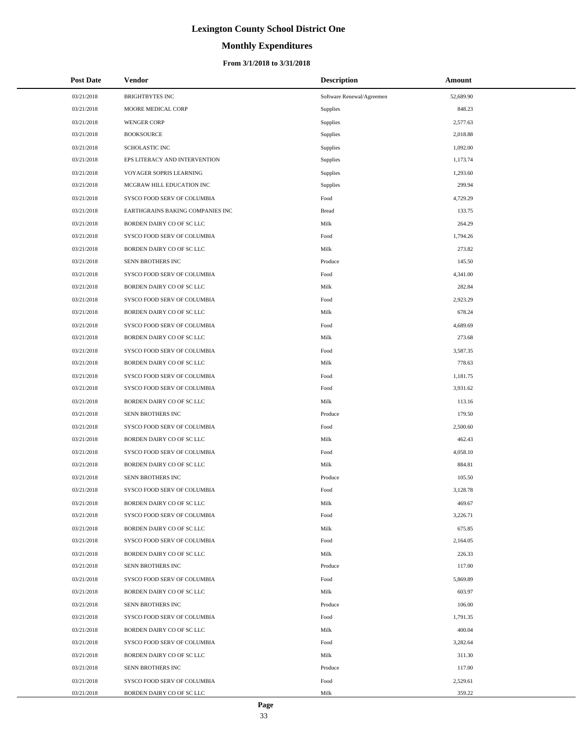# **Monthly Expenditures**

| <b>Post Date</b> | Vendor                           | <b>Description</b>        | Amount    |
|------------------|----------------------------------|---------------------------|-----------|
| 03/21/2018       | <b>BRIGHTBYTES INC</b>           | Software Renewal/Agreemen | 52,689.90 |
| 03/21/2018       | MOORE MEDICAL CORP               | Supplies                  | 848.23    |
| 03/21/2018       | <b>WENGER CORP</b>               | Supplies                  | 2,577.63  |
| 03/21/2018       | <b>BOOKSOURCE</b>                | Supplies                  | 2,018.88  |
| 03/21/2018       | <b>SCHOLASTIC INC</b>            | Supplies                  | 1,092.00  |
| 03/21/2018       | EPS LITERACY AND INTERVENTION    | Supplies                  | 1,173.74  |
| 03/21/2018       | VOYAGER SOPRIS LEARNING          | Supplies                  | 1,293.60  |
| 03/21/2018       | MCGRAW HILL EDUCATION INC        | Supplies                  | 299.94    |
| 03/21/2018       | SYSCO FOOD SERV OF COLUMBIA      | Food                      | 4,729.29  |
| 03/21/2018       | EARTHGRAINS BAKING COMPANIES INC | <b>Bread</b>              | 133.75    |
| 03/21/2018       | BORDEN DAIRY CO OF SC LLC        | Milk                      | 264.29    |
| 03/21/2018       | SYSCO FOOD SERV OF COLUMBIA      | Food                      | 1,794.26  |
| 03/21/2018       | BORDEN DAIRY CO OF SC LLC        | Milk                      | 273.82    |
| 03/21/2018       | SENN BROTHERS INC                | Produce                   | 145.50    |
| 03/21/2018       | SYSCO FOOD SERV OF COLUMBIA      | Food                      | 4,341.00  |
| 03/21/2018       | BORDEN DAIRY CO OF SC LLC        | Milk                      | 282.84    |
| 03/21/2018       | SYSCO FOOD SERV OF COLUMBIA      | Food                      | 2,923.29  |
| 03/21/2018       | BORDEN DAIRY CO OF SC LLC        | Milk                      | 678.24    |
| 03/21/2018       | SYSCO FOOD SERV OF COLUMBIA      | Food                      | 4,689.69  |
| 03/21/2018       | BORDEN DAIRY CO OF SC LLC        | Milk                      | 273.68    |
| 03/21/2018       | SYSCO FOOD SERV OF COLUMBIA      | Food                      | 3,587.35  |
| 03/21/2018       | BORDEN DAIRY CO OF SC LLC        | Milk                      | 778.63    |
| 03/21/2018       | SYSCO FOOD SERV OF COLUMBIA      | Food                      | 1,181.75  |
| 03/21/2018       | SYSCO FOOD SERV OF COLUMBIA      | Food                      | 3,931.62  |
| 03/21/2018       | BORDEN DAIRY CO OF SC LLC        | Milk                      | 113.16    |
| 03/21/2018       | SENN BROTHERS INC                | Produce                   | 179.50    |
| 03/21/2018       | SYSCO FOOD SERV OF COLUMBIA      | Food                      | 2,500.60  |
| 03/21/2018       | BORDEN DAIRY CO OF SC LLC        | Milk                      | 462.43    |
| 03/21/2018       | SYSCO FOOD SERV OF COLUMBIA      | Food                      | 4,058.10  |
| 03/21/2018       | BORDEN DAIRY CO OF SC LLC        | Milk                      | 884.81    |
| 03/21/2018       | SENN BROTHERS INC                | Produce                   | 105.50    |
| 03/21/2018       | SYSCO FOOD SERV OF COLUMBIA      | Food                      | 3,128.78  |
| 03/21/2018       | BORDEN DAIRY CO OF SC LLC        | Milk                      | 469.67    |
| 03/21/2018       | SYSCO FOOD SERV OF COLUMBIA      | Food                      | 3,226.71  |
| 03/21/2018       | BORDEN DAIRY CO OF SC LLC        | Milk                      | 675.85    |
| 03/21/2018       | SYSCO FOOD SERV OF COLUMBIA      | Food                      | 2,164.05  |
| 03/21/2018       | BORDEN DAIRY CO OF SC LLC        | Milk                      | 226.33    |
| 03/21/2018       | SENN BROTHERS INC                | Produce                   | 117.00    |
| 03/21/2018       | SYSCO FOOD SERV OF COLUMBIA      | Food                      | 5,869.89  |
| 03/21/2018       | BORDEN DAIRY CO OF SC LLC        | Milk                      | 603.97    |
| 03/21/2018       | SENN BROTHERS INC                | Produce                   | 106.00    |
| 03/21/2018       | SYSCO FOOD SERV OF COLUMBIA      | Food                      | 1,791.35  |
| 03/21/2018       | BORDEN DAIRY CO OF SC LLC        | Milk                      | 400.04    |
| 03/21/2018       | SYSCO FOOD SERV OF COLUMBIA      | Food                      | 3,282.64  |
| 03/21/2018       | BORDEN DAIRY CO OF SC LLC        | Milk                      | 311.30    |
| 03/21/2018       | SENN BROTHERS INC                | Produce                   | 117.00    |
| 03/21/2018       | SYSCO FOOD SERV OF COLUMBIA      | Food                      | 2,529.61  |
| 03/21/2018       | BORDEN DAIRY CO OF SC LLC        | Milk                      | 359.22    |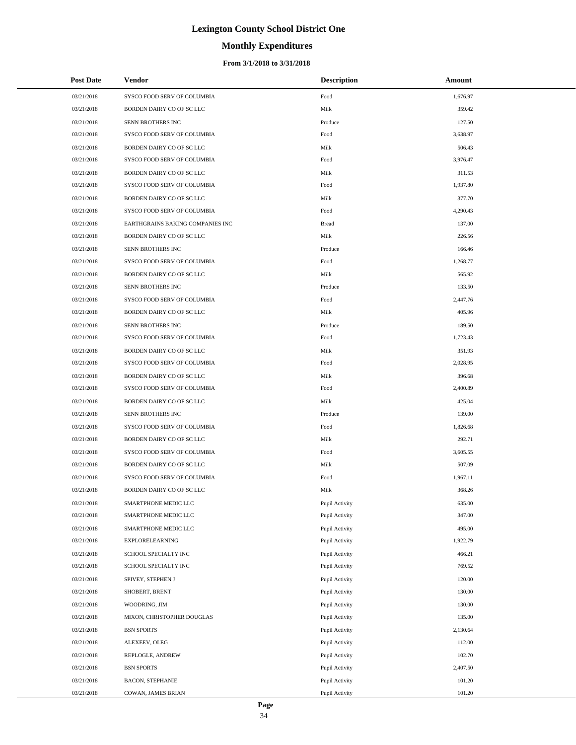# **Monthly Expenditures**

#### **From 3/1/2018 to 3/31/2018**

| <b>Post Date</b>         | Vendor                                      | <b>Description</b>               | Amount           |
|--------------------------|---------------------------------------------|----------------------------------|------------------|
| 03/21/2018               | SYSCO FOOD SERV OF COLUMBIA                 | Food                             | 1,676.97         |
| 03/21/2018               | BORDEN DAIRY CO OF SC LLC                   | Milk                             | 359.42           |
| 03/21/2018               | SENN BROTHERS INC                           | Produce                          | 127.50           |
| 03/21/2018               | SYSCO FOOD SERV OF COLUMBIA                 | Food                             | 3,638.97         |
| 03/21/2018               | BORDEN DAIRY CO OF SC LLC                   | Milk                             | 506.43           |
| 03/21/2018               | SYSCO FOOD SERV OF COLUMBIA                 | Food                             | 3,976.47         |
| 03/21/2018               | BORDEN DAIRY CO OF SC LLC                   | Milk                             | 311.53           |
| 03/21/2018               | SYSCO FOOD SERV OF COLUMBIA                 | Food                             | 1,937.80         |
| 03/21/2018               | BORDEN DAIRY CO OF SC LLC                   | Milk                             | 377.70           |
| 03/21/2018               | SYSCO FOOD SERV OF COLUMBIA                 | Food                             | 4,290.43         |
| 03/21/2018               | EARTHGRAINS BAKING COMPANIES INC            | <b>Bread</b>                     | 137.00           |
| 03/21/2018               | BORDEN DAIRY CO OF SC LLC                   | Milk                             | 226.56           |
| 03/21/2018               | SENN BROTHERS INC                           | Produce                          | 166.46           |
| 03/21/2018               | SYSCO FOOD SERV OF COLUMBIA                 | Food                             | 1,268.77         |
| 03/21/2018               | BORDEN DAIRY CO OF SC LLC                   | Milk                             | 565.92           |
| 03/21/2018               | SENN BROTHERS INC                           | Produce                          | 133.50           |
| 03/21/2018               | SYSCO FOOD SERV OF COLUMBIA                 | Food                             | 2,447.76         |
| 03/21/2018               | BORDEN DAIRY CO OF SC LLC                   | Milk                             | 405.96           |
| 03/21/2018               | SENN BROTHERS INC                           | Produce                          | 189.50           |
| 03/21/2018               | SYSCO FOOD SERV OF COLUMBIA                 | Food                             | 1,723.43         |
| 03/21/2018               | BORDEN DAIRY CO OF SC LLC                   | Milk                             | 351.93           |
| 03/21/2018               | SYSCO FOOD SERV OF COLUMBIA                 | Food                             | 2,028.95         |
| 03/21/2018               | BORDEN DAIRY CO OF SC LLC                   | Milk                             | 396.68           |
| 03/21/2018               | SYSCO FOOD SERV OF COLUMBIA                 | Food                             | 2,400.89         |
| 03/21/2018               | BORDEN DAIRY CO OF SC LLC                   | Milk                             | 425.04           |
| 03/21/2018               | SENN BROTHERS INC                           | Produce                          | 139.00           |
| 03/21/2018               | SYSCO FOOD SERV OF COLUMBIA                 | Food                             | 1,826.68         |
| 03/21/2018               | BORDEN DAIRY CO OF SC LLC                   | Milk                             | 292.71           |
| 03/21/2018               | SYSCO FOOD SERV OF COLUMBIA                 | Food                             | 3,605.55         |
| 03/21/2018               | BORDEN DAIRY CO OF SC LLC                   | Milk                             | 507.09           |
| 03/21/2018               | SYSCO FOOD SERV OF COLUMBIA                 | Food                             | 1,967.11         |
| 03/21/2018               | BORDEN DAIRY CO OF SC LLC                   | Milk                             | 368.26           |
| 03/21/2018               | SMARTPHONE MEDIC LLC                        | Pupil Activity                   | 635.00           |
| 03/21/2018               | SMARTPHONE MEDIC LLC                        | Pupil Activity                   | 347.00           |
| 03/21/2018               | SMARTPHONE MEDIC LLC                        | Pupil Activity                   | 495.00           |
| 03/21/2018               | EXPLORELEARNING                             | Pupil Activity                   | 1,922.79         |
| 03/21/2018               | SCHOOL SPECIALTY INC                        | Pupil Activity                   | 466.21           |
| 03/21/2018               | SCHOOL SPECIALTY INC                        | Pupil Activity                   | 769.52           |
| 03/21/2018               | SPIVEY, STEPHEN J                           | Pupil Activity                   | 120.00           |
| 03/21/2018               | SHOBERT, BRENT                              | Pupil Activity                   | 130.00           |
| 03/21/2018<br>03/21/2018 | WOODRING, JIM<br>MIXON, CHRISTOPHER DOUGLAS | Pupil Activity<br>Pupil Activity | 130.00<br>135.00 |
| 03/21/2018               |                                             |                                  | 2,130.64         |
| 03/21/2018               | <b>BSN SPORTS</b><br>ALEXEEV, OLEG          | Pupil Activity<br>Pupil Activity | 112.00           |
| 03/21/2018               |                                             |                                  | 102.70           |
| 03/21/2018               | REPLOGLE, ANDREW<br><b>BSN SPORTS</b>       | Pupil Activity<br>Pupil Activity | 2,407.50         |
| 03/21/2018               | <b>BACON, STEPHANIE</b>                     | Pupil Activity                   | 101.20           |
| 03/21/2018               | COWAN, JAMES BRIAN                          | Pupil Activity                   | 101.20           |
|                          |                                             |                                  |                  |

÷.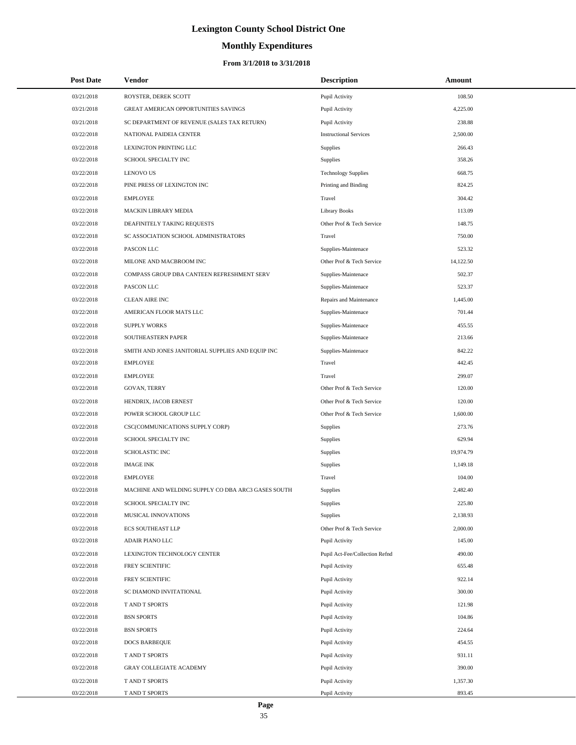# **Monthly Expenditures**

| <b>Post Date</b> | Vendor                                             | <b>Description</b>             | Amount    |
|------------------|----------------------------------------------------|--------------------------------|-----------|
| 03/21/2018       | ROYSTER, DEREK SCOTT                               | Pupil Activity                 | 108.50    |
| 03/21/2018       | <b>GREAT AMERICAN OPPORTUNITIES SAVINGS</b>        | Pupil Activity                 | 4,225.00  |
| 03/21/2018       | SC DEPARTMENT OF REVENUE (SALES TAX RETURN)        | Pupil Activity                 | 238.88    |
| 03/22/2018       | NATIONAL PAIDEIA CENTER                            | <b>Instructional Services</b>  | 2,500.00  |
| 03/22/2018       | LEXINGTON PRINTING LLC                             | Supplies                       | 266.43    |
| 03/22/2018       | SCHOOL SPECIALTY INC                               | Supplies                       | 358.26    |
| 03/22/2018       | <b>LENOVO US</b>                                   | <b>Technology Supplies</b>     | 668.75    |
| 03/22/2018       | PINE PRESS OF LEXINGTON INC                        | Printing and Binding           | 824.25    |
| 03/22/2018       | <b>EMPLOYEE</b>                                    | Travel                         | 304.42    |
| 03/22/2018       | MACKIN LIBRARY MEDIA                               | <b>Library Books</b>           | 113.09    |
| 03/22/2018       | DEAFINITELY TAKING REQUESTS                        | Other Prof & Tech Service      | 148.75    |
| 03/22/2018       | SC ASSOCIATION SCHOOL ADMINISTRATORS               | Travel                         | 750.00    |
| 03/22/2018       | PASCON LLC                                         | Supplies-Maintenace            | 523.32    |
| 03/22/2018       | MILONE AND MACBROOM INC                            | Other Prof & Tech Service      | 14,122.50 |
| 03/22/2018       | COMPASS GROUP DBA CANTEEN REFRESHMENT SERV         | Supplies-Maintenace            | 502.37    |
| 03/22/2018       | PASCON LLC                                         | Supplies-Maintenace            | 523.37    |
| 03/22/2018       | <b>CLEAN AIRE INC</b>                              | Repairs and Maintenance        | 1,445.00  |
| 03/22/2018       | AMERICAN FLOOR MATS LLC                            | Supplies-Maintenace            | 701.44    |
| 03/22/2018       | <b>SUPPLY WORKS</b>                                | Supplies-Maintenace            | 455.55    |
| 03/22/2018       | SOUTHEASTERN PAPER                                 | Supplies-Maintenace            | 213.66    |
| 03/22/2018       | SMITH AND JONES JANITORIAL SUPPLIES AND EQUIP INC  | Supplies-Maintenace            | 842.22    |
| 03/22/2018       | <b>EMPLOYEE</b>                                    | Travel                         | 442.45    |
| 03/22/2018       | <b>EMPLOYEE</b>                                    | Travel                         | 299.07    |
| 03/22/2018       | GOVAN, TERRY                                       | Other Prof & Tech Service      | 120.00    |
| 03/22/2018       | HENDRIX, JACOB ERNEST                              | Other Prof & Tech Service      | 120.00    |
| 03/22/2018       | POWER SCHOOL GROUP LLC                             | Other Prof & Tech Service      | 1,600.00  |
| 03/22/2018       | CSC(COMMUNICATIONS SUPPLY CORP)                    | Supplies                       | 273.76    |
| 03/22/2018       | <b>SCHOOL SPECIALTY INC</b>                        | Supplies                       | 629.94    |
| 03/22/2018       | <b>SCHOLASTIC INC</b>                              | Supplies                       | 19,974.79 |
| 03/22/2018       | <b>IMAGE INK</b>                                   | Supplies                       | 1,149.18  |
| 03/22/2018       | <b>EMPLOYEE</b>                                    | Travel                         | 104.00    |
| 03/22/2018       | MACHINE AND WELDING SUPPLY CO DBA ARC3 GASES SOUTH | Supplies                       | 2,482.40  |
| 03/22/2018       | SCHOOL SPECIALTY INC                               | Supplies                       | 225.80    |
| 03/22/2018       | MUSICAL INNOVATIONS                                | Supplies                       | 2,138.93  |
| 03/22/2018       | <b>ECS SOUTHEAST LLP</b>                           | Other Prof & Tech Service      | 2,000.00  |
| 03/22/2018       | ADAIR PIANO LLC                                    | Pupil Activity                 | 145.00    |
| 03/22/2018       | LEXINGTON TECHNOLOGY CENTER                        | Pupil Act-Fee/Collection Refnd | 490.00    |
| 03/22/2018       | FREY SCIENTIFIC                                    | Pupil Activity                 | 655.48    |
| 03/22/2018       | FREY SCIENTIFIC                                    | Pupil Activity                 | 922.14    |
| 03/22/2018       | SC DIAMOND INVITATIONAL                            | Pupil Activity                 | 300.00    |
| 03/22/2018       | T AND T SPORTS                                     | Pupil Activity                 | 121.98    |
| 03/22/2018       | <b>BSN SPORTS</b>                                  | Pupil Activity                 | 104.86    |
| 03/22/2018       | <b>BSN SPORTS</b>                                  | Pupil Activity                 | 224.64    |
| 03/22/2018       | <b>DOCS BARBEQUE</b>                               | Pupil Activity                 | 454.55    |
| 03/22/2018       | T AND T SPORTS                                     | Pupil Activity                 | 931.11    |
| 03/22/2018       | <b>GRAY COLLEGIATE ACADEMY</b>                     | Pupil Activity                 | 390.00    |
| 03/22/2018       | T AND T SPORTS                                     | Pupil Activity                 | 1,357.30  |
| 03/22/2018       | T AND T SPORTS                                     | Pupil Activity                 | 893.45    |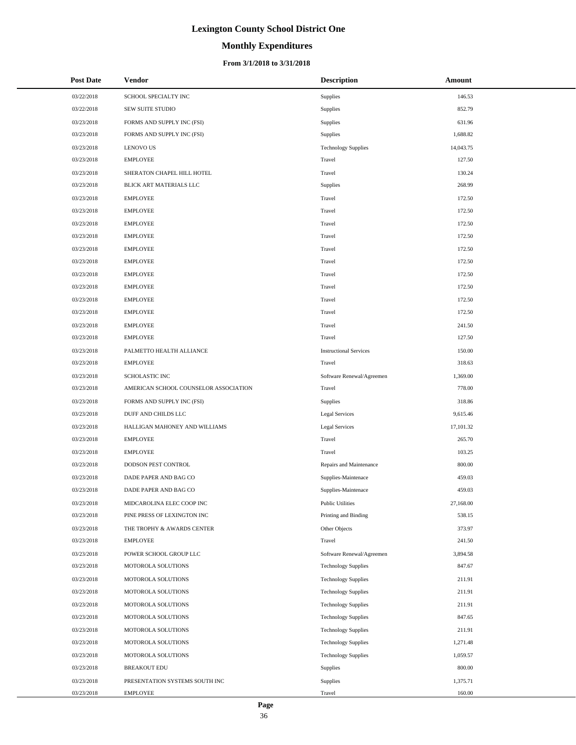# **Monthly Expenditures**

#### **From 3/1/2018 to 3/31/2018**

| <b>Post Date</b> | Vendor                                | <b>Description</b>            | Amount    |
|------------------|---------------------------------------|-------------------------------|-----------|
| 03/22/2018       | SCHOOL SPECIALTY INC                  | Supplies                      | 146.53    |
| 03/22/2018       | <b>SEW SUITE STUDIO</b>               | Supplies                      | 852.79    |
| 03/23/2018       | FORMS AND SUPPLY INC (FSI)            | Supplies                      | 631.96    |
| 03/23/2018       | FORMS AND SUPPLY INC (FSI)            | Supplies                      | 1,688.82  |
| 03/23/2018       | <b>LENOVO US</b>                      | <b>Technology Supplies</b>    | 14,043.75 |
| 03/23/2018       | <b>EMPLOYEE</b>                       | Travel                        | 127.50    |
| 03/23/2018       | SHERATON CHAPEL HILL HOTEL            | Travel                        | 130.24    |
| 03/23/2018       | BLICK ART MATERIALS LLC               | Supplies                      | 268.99    |
| 03/23/2018       | <b>EMPLOYEE</b>                       | Travel                        | 172.50    |
| 03/23/2018       | <b>EMPLOYEE</b>                       | Travel                        | 172.50    |
| 03/23/2018       | <b>EMPLOYEE</b>                       | Travel                        | 172.50    |
| 03/23/2018       | <b>EMPLOYEE</b>                       | Travel                        | 172.50    |
| 03/23/2018       | <b>EMPLOYEE</b>                       | Travel                        | 172.50    |
| 03/23/2018       | <b>EMPLOYEE</b>                       | Travel                        | 172.50    |
| 03/23/2018       | <b>EMPLOYEE</b>                       | Travel                        | 172.50    |
| 03/23/2018       | <b>EMPLOYEE</b>                       | Travel                        | 172.50    |
| 03/23/2018       | <b>EMPLOYEE</b>                       | Travel                        | 172.50    |
| 03/23/2018       | <b>EMPLOYEE</b>                       | Travel                        | 172.50    |
| 03/23/2018       | <b>EMPLOYEE</b>                       | Travel                        | 241.50    |
| 03/23/2018       | <b>EMPLOYEE</b>                       | Travel                        | 127.50    |
| 03/23/2018       | PALMETTO HEALTH ALLIANCE              | <b>Instructional Services</b> | 150.00    |
| 03/23/2018       | <b>EMPLOYEE</b>                       | Travel                        | 318.63    |
| 03/23/2018       | <b>SCHOLASTIC INC</b>                 | Software Renewal/Agreemen     | 1,369.00  |
| 03/23/2018       | AMERICAN SCHOOL COUNSELOR ASSOCIATION | Travel                        | 778.00    |
| 03/23/2018       | FORMS AND SUPPLY INC (FSI)            | Supplies                      | 318.86    |
| 03/23/2018       | DUFF AND CHILDS LLC                   | <b>Legal Services</b>         | 9,615.46  |
| 03/23/2018       | HALLIGAN MAHONEY AND WILLIAMS         | <b>Legal Services</b>         | 17,101.32 |
| 03/23/2018       | <b>EMPLOYEE</b>                       | Travel                        | 265.70    |
| 03/23/2018       | <b>EMPLOYEE</b>                       | Travel                        | 103.25    |
| 03/23/2018       | DODSON PEST CONTROL                   | Repairs and Maintenance       | 800.00    |
| 03/23/2018       | DADE PAPER AND BAG CO                 | Supplies-Maintenace           | 459.03    |
| 03/23/2018       | DADE PAPER AND BAG CO                 | Supplies-Maintenace           | 459.03    |
| 03/23/2018       | MIDCAROLINA ELEC COOP INC             | <b>Public Utilities</b>       | 27,168.00 |
| 03/23/2018       | PINE PRESS OF LEXINGTON INC           | Printing and Binding          | 538.15    |
| 03/23/2018       | THE TROPHY & AWARDS CENTER            | Other Objects                 | 373.97    |
| 03/23/2018       | <b>EMPLOYEE</b>                       | Travel                        | 241.50    |
| 03/23/2018       | POWER SCHOOL GROUP LLC                | Software Renewal/Agreemen     | 3,894.58  |
| 03/23/2018       | MOTOROLA SOLUTIONS                    | <b>Technology Supplies</b>    | 847.67    |
| 03/23/2018       | MOTOROLA SOLUTIONS                    | <b>Technology Supplies</b>    | 211.91    |
| 03/23/2018       | MOTOROLA SOLUTIONS                    | <b>Technology Supplies</b>    | 211.91    |
| 03/23/2018       | MOTOROLA SOLUTIONS                    | <b>Technology Supplies</b>    | 211.91    |
| 03/23/2018       | MOTOROLA SOLUTIONS                    | <b>Technology Supplies</b>    | 847.65    |
| 03/23/2018       | MOTOROLA SOLUTIONS                    | <b>Technology Supplies</b>    | 211.91    |
| 03/23/2018       | MOTOROLA SOLUTIONS                    | <b>Technology Supplies</b>    | 1,271.48  |
| 03/23/2018       | MOTOROLA SOLUTIONS                    | <b>Technology Supplies</b>    | 1,059.57  |
| 03/23/2018       | <b>BREAKOUT EDU</b>                   | Supplies                      | 800.00    |
| 03/23/2018       | PRESENTATION SYSTEMS SOUTH INC        | Supplies                      | 1,375.71  |
| 03/23/2018       | <b>EMPLOYEE</b>                       | Travel                        | 160.00    |

÷.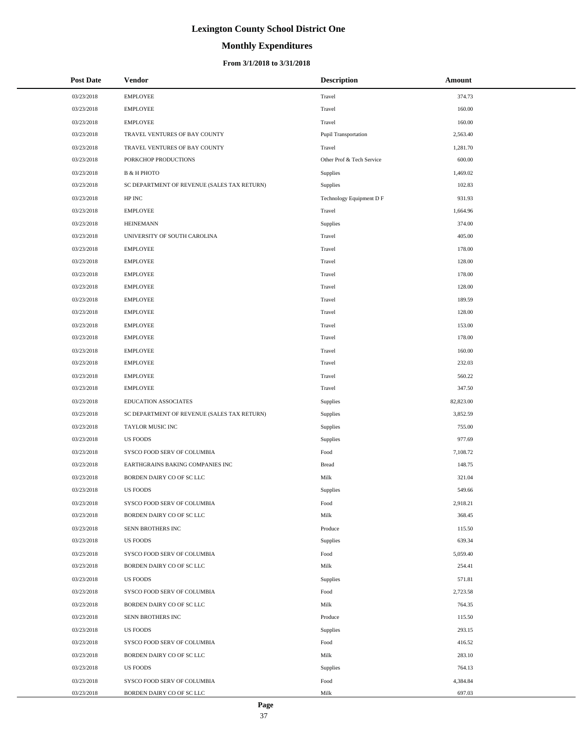# **Monthly Expenditures**

#### **From 3/1/2018 to 3/31/2018**

| <b>Post Date</b> | Vendor                                      | <b>Description</b>          | Amount    |
|------------------|---------------------------------------------|-----------------------------|-----------|
| 03/23/2018       | <b>EMPLOYEE</b>                             | Travel                      | 374.73    |
| 03/23/2018       | <b>EMPLOYEE</b>                             | Travel                      | 160.00    |
| 03/23/2018       | <b>EMPLOYEE</b>                             | Travel                      | 160.00    |
| 03/23/2018       | TRAVEL VENTURES OF BAY COUNTY               | <b>Pupil Transportation</b> | 2,563.40  |
| 03/23/2018       | TRAVEL VENTURES OF BAY COUNTY               | Travel                      | 1,281.70  |
| 03/23/2018       | PORKCHOP PRODUCTIONS                        | Other Prof & Tech Service   | 600.00    |
| 03/23/2018       | <b>B &amp; H PHOTO</b>                      | Supplies                    | 1,469.02  |
| 03/23/2018       | SC DEPARTMENT OF REVENUE (SALES TAX RETURN) | Supplies                    | 102.83    |
| 03/23/2018       | HP INC                                      | Technology Equipment D F    | 931.93    |
| 03/23/2018       | <b>EMPLOYEE</b>                             | Travel                      | 1,664.96  |
| 03/23/2018       | <b>HEINEMANN</b>                            | Supplies                    | 374.00    |
| 03/23/2018       | UNIVERSITY OF SOUTH CAROLINA                | Travel                      | 405.00    |
| 03/23/2018       | <b>EMPLOYEE</b>                             | Travel                      | 178.00    |
| 03/23/2018       | <b>EMPLOYEE</b>                             | Travel                      | 128.00    |
| 03/23/2018       | <b>EMPLOYEE</b>                             | Travel                      | 178.00    |
| 03/23/2018       | <b>EMPLOYEE</b>                             | Travel                      | 128.00    |
| 03/23/2018       | <b>EMPLOYEE</b>                             | Travel                      | 189.59    |
| 03/23/2018       | <b>EMPLOYEE</b>                             | Travel                      | 128.00    |
| 03/23/2018       | <b>EMPLOYEE</b>                             | Travel                      | 153.00    |
| 03/23/2018       | <b>EMPLOYEE</b>                             | Travel                      | 178.00    |
| 03/23/2018       | <b>EMPLOYEE</b>                             | Travel                      | 160.00    |
| 03/23/2018       | <b>EMPLOYEE</b>                             | Travel                      | 232.03    |
| 03/23/2018       | <b>EMPLOYEE</b>                             | Travel                      | 560.22    |
| 03/23/2018       | <b>EMPLOYEE</b>                             | Travel                      | 347.50    |
| 03/23/2018       | <b>EDUCATION ASSOCIATES</b>                 | Supplies                    | 82,823.00 |
| 03/23/2018       | SC DEPARTMENT OF REVENUE (SALES TAX RETURN) | Supplies                    | 3,852.59  |
| 03/23/2018       | TAYLOR MUSIC INC                            | Supplies                    | 755.00    |
| 03/23/2018       | <b>US FOODS</b>                             | Supplies                    | 977.69    |
| 03/23/2018       | SYSCO FOOD SERV OF COLUMBIA                 | Food                        | 7,108.72  |
| 03/23/2018       | EARTHGRAINS BAKING COMPANIES INC            | <b>Bread</b>                | 148.75    |
| 03/23/2018       | BORDEN DAIRY CO OF SC LLC                   | Milk                        | 321.04    |
| 03/23/2018       | <b>US FOODS</b>                             | Supplies                    | 549.66    |
| 03/23/2018       | SYSCO FOOD SERV OF COLUMBIA                 | Food                        | 2,918.21  |
| 03/23/2018       | BORDEN DAIRY CO OF SC LLC                   | Milk                        | 368.45    |
| 03/23/2018       | SENN BROTHERS INC                           | Produce                     | 115.50    |
| 03/23/2018       | <b>US FOODS</b>                             | Supplies                    | 639.34    |
| 03/23/2018       | SYSCO FOOD SERV OF COLUMBIA                 | Food                        | 5,059.40  |
| 03/23/2018       | BORDEN DAIRY CO OF SC LLC                   | Milk                        | 254.41    |
| 03/23/2018       | <b>US FOODS</b>                             | Supplies                    | 571.81    |
| 03/23/2018       | SYSCO FOOD SERV OF COLUMBIA                 | Food                        | 2,723.58  |
| 03/23/2018       | BORDEN DAIRY CO OF SC LLC                   | Milk                        | 764.35    |
| 03/23/2018       | SENN BROTHERS INC                           | Produce                     | 115.50    |
| 03/23/2018       | <b>US FOODS</b>                             | Supplies                    | 293.15    |
| 03/23/2018       | SYSCO FOOD SERV OF COLUMBIA                 | Food                        | 416.52    |
| 03/23/2018       | BORDEN DAIRY CO OF SC LLC                   | Milk                        | 283.10    |
| 03/23/2018       | <b>US FOODS</b>                             | Supplies                    | 764.13    |
| 03/23/2018       | SYSCO FOOD SERV OF COLUMBIA                 | Food                        | 4,384.84  |
| 03/23/2018       | BORDEN DAIRY CO OF SC LLC                   | Milk                        | 697.03    |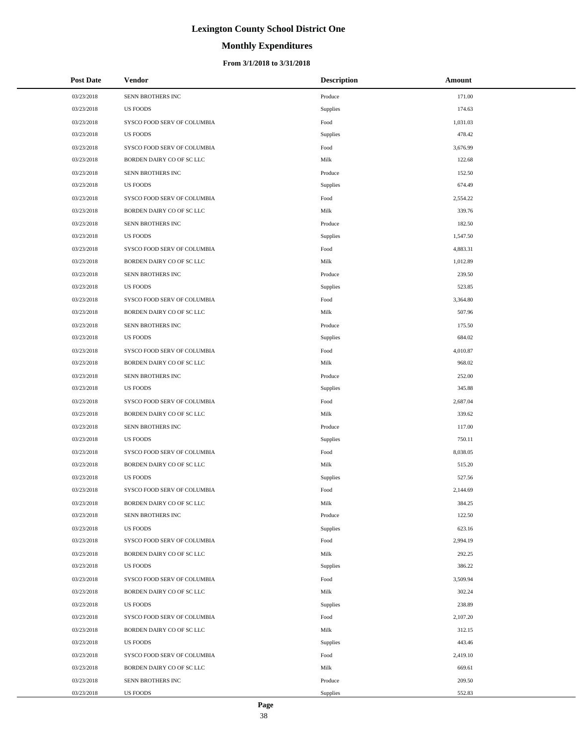# **Monthly Expenditures**

#### **From 3/1/2018 to 3/31/2018**

| <b>Post Date</b> | Vendor                      | <b>Description</b> | Amount   |
|------------------|-----------------------------|--------------------|----------|
| 03/23/2018       | SENN BROTHERS INC           | Produce            | 171.00   |
| 03/23/2018       | <b>US FOODS</b>             | Supplies           | 174.63   |
| 03/23/2018       | SYSCO FOOD SERV OF COLUMBIA | Food               | 1,031.03 |
| 03/23/2018       | <b>US FOODS</b>             | Supplies           | 478.42   |
| 03/23/2018       | SYSCO FOOD SERV OF COLUMBIA | Food               | 3,676.99 |
| 03/23/2018       | BORDEN DAIRY CO OF SC LLC   | Milk               | 122.68   |
| 03/23/2018       | SENN BROTHERS INC           | Produce            | 152.50   |
| 03/23/2018       | <b>US FOODS</b>             | Supplies           | 674.49   |
| 03/23/2018       | SYSCO FOOD SERV OF COLUMBIA | Food               | 2,554.22 |
| 03/23/2018       | BORDEN DAIRY CO OF SC LLC   | Milk               | 339.76   |
| 03/23/2018       | SENN BROTHERS INC           | Produce            | 182.50   |
| 03/23/2018       | <b>US FOODS</b>             | Supplies           | 1,547.50 |
| 03/23/2018       | SYSCO FOOD SERV OF COLUMBIA | Food               | 4,883.31 |
| 03/23/2018       | BORDEN DAIRY CO OF SC LLC   | Milk               | 1,012.89 |
| 03/23/2018       | SENN BROTHERS INC           | Produce            | 239.50   |
| 03/23/2018       | <b>US FOODS</b>             | Supplies           | 523.85   |
| 03/23/2018       | SYSCO FOOD SERV OF COLUMBIA | Food               | 3,364.80 |
| 03/23/2018       | BORDEN DAIRY CO OF SC LLC   | Milk               | 507.96   |
| 03/23/2018       | SENN BROTHERS INC           | Produce            | 175.50   |
| 03/23/2018       | <b>US FOODS</b>             | Supplies           | 684.02   |
| 03/23/2018       | SYSCO FOOD SERV OF COLUMBIA | Food               | 4,010.87 |
| 03/23/2018       | BORDEN DAIRY CO OF SC LLC   | Milk               | 968.02   |
| 03/23/2018       | SENN BROTHERS INC           | Produce            | 252.00   |
| 03/23/2018       | <b>US FOODS</b>             | Supplies           | 345.88   |
| 03/23/2018       | SYSCO FOOD SERV OF COLUMBIA | Food               | 2,687.04 |
| 03/23/2018       | BORDEN DAIRY CO OF SC LLC   | Milk               | 339.62   |
| 03/23/2018       | SENN BROTHERS INC           | Produce            | 117.00   |
| 03/23/2018       | <b>US FOODS</b>             | Supplies           | 750.11   |
| 03/23/2018       | SYSCO FOOD SERV OF COLUMBIA | Food               | 8,038.05 |
| 03/23/2018       | BORDEN DAIRY CO OF SC LLC   | Milk               | 515.20   |
| 03/23/2018       | <b>US FOODS</b>             | Supplies           | 527.56   |
| 03/23/2018       | SYSCO FOOD SERV OF COLUMBIA | Food               | 2,144.69 |
| 03/23/2018       | BORDEN DAIRY CO OF SC LLC   | Milk               | 384.25   |
| 03/23/2018       | SENN BROTHERS INC           | Produce            | 122.50   |
| 03/23/2018       | <b>US FOODS</b>             | Supplies           | 623.16   |
| 03/23/2018       | SYSCO FOOD SERV OF COLUMBIA | Food               | 2,994.19 |
| 03/23/2018       | BORDEN DAIRY CO OF SC LLC   | Milk               | 292.25   |
| 03/23/2018       | <b>US FOODS</b>             | Supplies           | 386.22   |
| 03/23/2018       | SYSCO FOOD SERV OF COLUMBIA | Food               | 3,509.94 |
| 03/23/2018       | BORDEN DAIRY CO OF SC LLC   | Milk               | 302.24   |
| 03/23/2018       | <b>US FOODS</b>             | Supplies           | 238.89   |
| 03/23/2018       | SYSCO FOOD SERV OF COLUMBIA | Food               | 2,107.20 |
| 03/23/2018       | BORDEN DAIRY CO OF SC LLC   | Milk               | 312.15   |
| 03/23/2018       | <b>US FOODS</b>             | Supplies           | 443.46   |
| 03/23/2018       | SYSCO FOOD SERV OF COLUMBIA | Food               | 2,419.10 |
| 03/23/2018       | BORDEN DAIRY CO OF SC LLC   | Milk               | 669.61   |
| 03/23/2018       | SENN BROTHERS INC           | Produce            | 209.50   |
| 03/23/2018       | <b>US FOODS</b>             | Supplies           | 552.83   |

÷.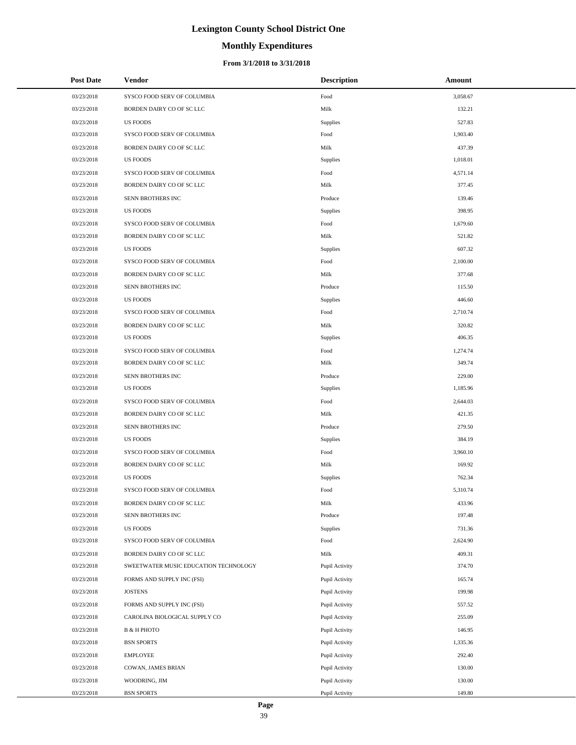# **Monthly Expenditures**

| <b>Post Date</b> | Vendor                                | <b>Description</b> | Amount   |
|------------------|---------------------------------------|--------------------|----------|
| 03/23/2018       | SYSCO FOOD SERV OF COLUMBIA           | Food               | 3,058.67 |
| 03/23/2018       | BORDEN DAIRY CO OF SC LLC             | Milk               | 132.21   |
| 03/23/2018       | <b>US FOODS</b>                       | Supplies           | 527.83   |
| 03/23/2018       | SYSCO FOOD SERV OF COLUMBIA           | Food               | 1,903.40 |
| 03/23/2018       | BORDEN DAIRY CO OF SC LLC             | Milk               | 437.39   |
| 03/23/2018       | <b>US FOODS</b>                       | Supplies           | 1,018.01 |
| 03/23/2018       | SYSCO FOOD SERV OF COLUMBIA           | Food               | 4,571.14 |
| 03/23/2018       | BORDEN DAIRY CO OF SC LLC             | Milk               | 377.45   |
| 03/23/2018       | SENN BROTHERS INC                     | Produce            | 139.46   |
| 03/23/2018       | <b>US FOODS</b>                       | Supplies           | 398.95   |
| 03/23/2018       | SYSCO FOOD SERV OF COLUMBIA           | Food               | 1,679.60 |
| 03/23/2018       | BORDEN DAIRY CO OF SC LLC             | Milk               | 521.82   |
| 03/23/2018       | <b>US FOODS</b>                       | Supplies           | 607.32   |
| 03/23/2018       | SYSCO FOOD SERV OF COLUMBIA           | Food               | 2,100.00 |
| 03/23/2018       | BORDEN DAIRY CO OF SC LLC             | Milk               | 377.68   |
| 03/23/2018       | SENN BROTHERS INC                     | Produce            | 115.50   |
| 03/23/2018       | <b>US FOODS</b>                       | Supplies           | 446.60   |
| 03/23/2018       | SYSCO FOOD SERV OF COLUMBIA           | Food               | 2,710.74 |
| 03/23/2018       | BORDEN DAIRY CO OF SC LLC             | Milk               | 320.82   |
| 03/23/2018       | <b>US FOODS</b>                       | Supplies           | 406.35   |
| 03/23/2018       | SYSCO FOOD SERV OF COLUMBIA           | Food               | 1,274.74 |
| 03/23/2018       | BORDEN DAIRY CO OF SC LLC             | Milk               | 349.74   |
| 03/23/2018       | SENN BROTHERS INC                     | Produce            | 229.00   |
| 03/23/2018       | <b>US FOODS</b>                       | Supplies           | 1,185.96 |
| 03/23/2018       | SYSCO FOOD SERV OF COLUMBIA           | Food               | 2,644.03 |
| 03/23/2018       | BORDEN DAIRY CO OF SC LLC             | Milk               | 421.35   |
| 03/23/2018       | SENN BROTHERS INC                     | Produce            | 279.50   |
| 03/23/2018       | <b>US FOODS</b>                       | Supplies           | 384.19   |
| 03/23/2018       | SYSCO FOOD SERV OF COLUMBIA           | Food               | 3,960.10 |
| 03/23/2018       | BORDEN DAIRY CO OF SC LLC             | Milk               | 169.92   |
| 03/23/2018       | <b>US FOODS</b>                       | Supplies           | 762.34   |
| 03/23/2018       | SYSCO FOOD SERV OF COLUMBIA           | Food               | 5,310.74 |
| 03/23/2018       | BORDEN DAIRY CO OF SC LLC             | Milk               | 433.96   |
| 03/23/2018       | SENN BROTHERS INC                     | Produce            | 197.48   |
| 03/23/2018       | <b>US FOODS</b>                       | Supplies           | 731.36   |
| 03/23/2018       | SYSCO FOOD SERV OF COLUMBIA           | Food               | 2,624.90 |
| 03/23/2018       | BORDEN DAIRY CO OF SC LLC             | Milk               | 409.31   |
| 03/23/2018       | SWEETWATER MUSIC EDUCATION TECHNOLOGY | Pupil Activity     | 374.70   |
| 03/23/2018       | FORMS AND SUPPLY INC (FSI)            | Pupil Activity     | 165.74   |
| 03/23/2018       | <b>JOSTENS</b>                        | Pupil Activity     | 199.98   |
| 03/23/2018       | FORMS AND SUPPLY INC (FSI)            | Pupil Activity     | 557.52   |
| 03/23/2018       | CAROLINA BIOLOGICAL SUPPLY CO         | Pupil Activity     | 255.09   |
| 03/23/2018       | <b>B &amp; H PHOTO</b>                | Pupil Activity     | 146.95   |
| 03/23/2018       | <b>BSN SPORTS</b>                     | Pupil Activity     | 1,335.36 |
| 03/23/2018       | <b>EMPLOYEE</b>                       | Pupil Activity     | 292.40   |
| 03/23/2018       | COWAN, JAMES BRIAN                    | Pupil Activity     | 130.00   |
| 03/23/2018       | WOODRING, JIM                         | Pupil Activity     | 130.00   |
| 03/23/2018       | <b>BSN SPORTS</b>                     | Pupil Activity     | 149.80   |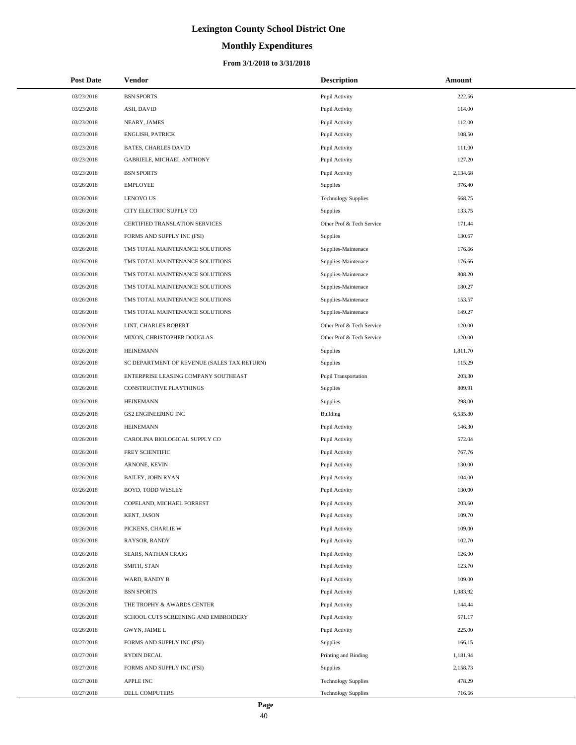# **Monthly Expenditures**

#### **From 3/1/2018 to 3/31/2018**

| <b>Post Date</b> | <b>Vendor</b>                               | <b>Description</b>          | Amount   |
|------------------|---------------------------------------------|-----------------------------|----------|
| 03/23/2018       | <b>BSN SPORTS</b>                           | Pupil Activity              | 222.56   |
| 03/23/2018       | ASH, DAVID                                  | Pupil Activity              | 114.00   |
| 03/23/2018       | NEARY, JAMES                                | Pupil Activity              | 112.00   |
| 03/23/2018       | <b>ENGLISH, PATRICK</b>                     | Pupil Activity              | 108.50   |
| 03/23/2018       | <b>BATES, CHARLES DAVID</b>                 | Pupil Activity              | 111.00   |
| 03/23/2018       | GABRIELE, MICHAEL ANTHONY                   | Pupil Activity              | 127.20   |
| 03/23/2018       | <b>BSN SPORTS</b>                           | Pupil Activity              | 2,134.68 |
| 03/26/2018       | <b>EMPLOYEE</b>                             | Supplies                    | 976.40   |
| 03/26/2018       | <b>LENOVO US</b>                            | <b>Technology Supplies</b>  | 668.75   |
| 03/26/2018       | CITY ELECTRIC SUPPLY CO                     | <b>Supplies</b>             | 133.75   |
| 03/26/2018       | CERTIFIED TRANSLATION SERVICES              | Other Prof & Tech Service   | 171.44   |
| 03/26/2018       | FORMS AND SUPPLY INC (FSI)                  | Supplies                    | 130.67   |
| 03/26/2018       | TMS TOTAL MAINTENANCE SOLUTIONS             | Supplies-Maintenace         | 176.66   |
| 03/26/2018       | TMS TOTAL MAINTENANCE SOLUTIONS             | Supplies-Maintenace         | 176.66   |
| 03/26/2018       | TMS TOTAL MAINTENANCE SOLUTIONS             | Supplies-Maintenace         | 808.20   |
| 03/26/2018       | TMS TOTAL MAINTENANCE SOLUTIONS             | Supplies-Maintenace         | 180.27   |
| 03/26/2018       | TMS TOTAL MAINTENANCE SOLUTIONS             | Supplies-Maintenace         | 153.57   |
| 03/26/2018       | TMS TOTAL MAINTENANCE SOLUTIONS             | Supplies-Maintenace         | 149.27   |
| 03/26/2018       | LINT, CHARLES ROBERT                        | Other Prof & Tech Service   | 120.00   |
| 03/26/2018       | MIXON, CHRISTOPHER DOUGLAS                  | Other Prof & Tech Service   | 120.00   |
| 03/26/2018       | <b>HEINEMANN</b>                            | Supplies                    | 1,811.70 |
| 03/26/2018       | SC DEPARTMENT OF REVENUE (SALES TAX RETURN) | Supplies                    | 115.29   |
| 03/26/2018       | ENTERPRISE LEASING COMPANY SOUTHEAST        | <b>Pupil Transportation</b> | 203.30   |
| 03/26/2018       | CONSTRUCTIVE PLAYTHINGS                     | <b>Supplies</b>             | 809.91   |
| 03/26/2018       | <b>HEINEMANN</b>                            | Supplies                    | 298.00   |
| 03/26/2018       | <b>GS2 ENGINEERING INC</b>                  | <b>Building</b>             | 6,535.80 |
| 03/26/2018       | <b>HEINEMANN</b>                            | Pupil Activity              | 146.30   |
| 03/26/2018       | CAROLINA BIOLOGICAL SUPPLY CO               | Pupil Activity              | 572.04   |
| 03/26/2018       | FREY SCIENTIFIC                             | Pupil Activity              | 767.76   |
| 03/26/2018       | ARNONE, KEVIN                               | Pupil Activity              | 130.00   |
| 03/26/2018       | BAILEY, JOHN RYAN                           | Pupil Activity              | 104.00   |
| 03/26/2018       | BOYD, TODD WESLEY                           | Pupil Activity              | 130.00   |
| 03/26/2018       | COPELAND, MICHAEL FORREST                   | Pupil Activity              | 203.60   |
| 03/26/2018       | KENT, JASON                                 | Pupil Activity              | 109.70   |
| 03/26/2018       | PICKENS, CHARLIE W                          | Pupil Activity              | 109.00   |
| 03/26/2018       | RAYSOR, RANDY                               | Pupil Activity              | 102.70   |
| 03/26/2018       | SEARS, NATHAN CRAIG                         | Pupil Activity              | 126.00   |
| 03/26/2018       | SMITH, STAN                                 | Pupil Activity              | 123.70   |
| 03/26/2018       | WARD, RANDY B                               | Pupil Activity              | 109.00   |
| 03/26/2018       | <b>BSN SPORTS</b>                           | Pupil Activity              | 1,083.92 |
| 03/26/2018       | THE TROPHY & AWARDS CENTER                  | Pupil Activity              | 144.44   |
| 03/26/2018       | SCHOOL CUTS SCREENING AND EMBROIDERY        | Pupil Activity              | 571.17   |
| 03/26/2018       | GWYN, JAIME L                               | Pupil Activity              | 225.00   |
| 03/27/2018       | FORMS AND SUPPLY INC (FSI)                  | Supplies                    | 166.15   |
| 03/27/2018       | <b>RYDIN DECAL</b>                          | Printing and Binding        | 1,181.94 |
| 03/27/2018       | FORMS AND SUPPLY INC (FSI)                  | Supplies                    | 2,158.73 |
| 03/27/2018       | APPLE INC                                   | <b>Technology Supplies</b>  | 478.29   |
| 03/27/2018       | DELL COMPUTERS                              | <b>Technology Supplies</b>  | 716.66   |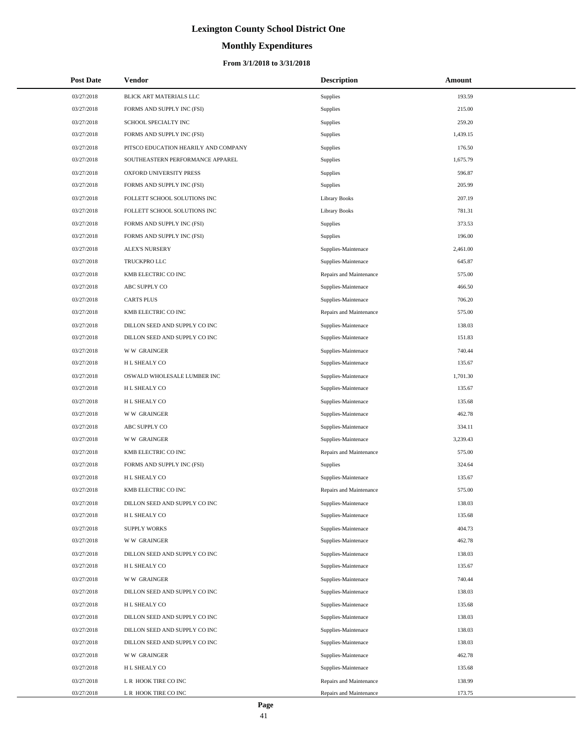# **Monthly Expenditures**

| <b>Post Date</b> | Vendor                               | <b>Description</b>      | Amount   |
|------------------|--------------------------------------|-------------------------|----------|
| 03/27/2018       | BLICK ART MATERIALS LLC              | Supplies                | 193.59   |
| 03/27/2018       | FORMS AND SUPPLY INC (FSI)           | Supplies                | 215.00   |
| 03/27/2018       | SCHOOL SPECIALTY INC                 | Supplies                | 259.20   |
| 03/27/2018       | FORMS AND SUPPLY INC (FSI)           | Supplies                | 1,439.15 |
| 03/27/2018       | PITSCO EDUCATION HEARILY AND COMPANY | Supplies                | 176.50   |
| 03/27/2018       | SOUTHEASTERN PERFORMANCE APPAREL     | Supplies                | 1,675.79 |
| 03/27/2018       | OXFORD UNIVERSITY PRESS              | Supplies                | 596.87   |
| 03/27/2018       | FORMS AND SUPPLY INC (FSI)           | Supplies                | 205.99   |
| 03/27/2018       | FOLLETT SCHOOL SOLUTIONS INC         | <b>Library Books</b>    | 207.19   |
| 03/27/2018       | FOLLETT SCHOOL SOLUTIONS INC         | <b>Library Books</b>    | 781.31   |
| 03/27/2018       | FORMS AND SUPPLY INC (FSI)           | <b>Supplies</b>         | 373.53   |
| 03/27/2018       | FORMS AND SUPPLY INC (FSI)           | Supplies                | 196.00   |
| 03/27/2018       | <b>ALEX'S NURSERY</b>                | Supplies-Maintenace     | 2,461.00 |
| 03/27/2018       | TRUCKPRO LLC                         | Supplies-Maintenace     | 645.87   |
| 03/27/2018       | KMB ELECTRIC CO INC                  | Repairs and Maintenance | 575.00   |
| 03/27/2018       | ABC SUPPLY CO                        | Supplies-Maintenace     | 466.50   |
| 03/27/2018       | <b>CARTS PLUS</b>                    | Supplies-Maintenace     | 706.20   |
| 03/27/2018       | KMB ELECTRIC CO INC                  | Repairs and Maintenance | 575.00   |
| 03/27/2018       | DILLON SEED AND SUPPLY CO INC        | Supplies-Maintenace     | 138.03   |
| 03/27/2018       | DILLON SEED AND SUPPLY CO INC        | Supplies-Maintenace     | 151.83   |
| 03/27/2018       | <b>WW GRAINGER</b>                   | Supplies-Maintenace     | 740.44   |
| 03/27/2018       | H L SHEALY CO                        | Supplies-Maintenace     | 135.67   |
| 03/27/2018       | OSWALD WHOLESALE LUMBER INC          | Supplies-Maintenace     | 1,701.30 |
| 03/27/2018       | H L SHEALY CO                        | Supplies-Maintenace     | 135.67   |
| 03/27/2018       | H L SHEALY CO                        | Supplies-Maintenace     | 135.68   |
| 03/27/2018       | <b>WW GRAINGER</b>                   | Supplies-Maintenace     | 462.78   |
| 03/27/2018       | ABC SUPPLY CO                        | Supplies-Maintenace     | 334.11   |
| 03/27/2018       | <b>WW GRAINGER</b>                   | Supplies-Maintenace     | 3,239.43 |
| 03/27/2018       | KMB ELECTRIC CO INC                  | Repairs and Maintenance | 575.00   |
| 03/27/2018       | FORMS AND SUPPLY INC (FSI)           | Supplies                | 324.64   |
| 03/27/2018       | H L SHEALY CO                        | Supplies-Maintenace     | 135.67   |
| 03/27/2018       | KMB ELECTRIC CO INC                  | Repairs and Maintenance | 575.00   |
| 03/27/2018       | DILLON SEED AND SUPPLY CO INC        | Supplies-Maintenace     | 138.03   |
| 03/27/2018       | H L SHEALY CO                        | Supplies-Maintenace     | 135.68   |
| 03/27/2018       | <b>SUPPLY WORKS</b>                  | Supplies-Maintenace     | 404.73   |
| 03/27/2018       | <b>WW GRAINGER</b>                   | Supplies-Maintenace     | 462.78   |
| 03/27/2018       | DILLON SEED AND SUPPLY CO INC        | Supplies-Maintenace     | 138.03   |
| 03/27/2018       | H L SHEALY CO                        | Supplies-Maintenace     | 135.67   |
| 03/27/2018       | <b>WW GRAINGER</b>                   | Supplies-Maintenace     | 740.44   |
| 03/27/2018       | DILLON SEED AND SUPPLY CO INC        | Supplies-Maintenace     | 138.03   |
| 03/27/2018       | H L SHEALY CO                        | Supplies-Maintenace     | 135.68   |
| 03/27/2018       | DILLON SEED AND SUPPLY CO INC        | Supplies-Maintenace     | 138.03   |
| 03/27/2018       | DILLON SEED AND SUPPLY CO INC        | Supplies-Maintenace     | 138.03   |
| 03/27/2018       | DILLON SEED AND SUPPLY CO INC        | Supplies-Maintenace     | 138.03   |
| 03/27/2018       | <b>WW GRAINGER</b>                   | Supplies-Maintenace     | 462.78   |
| 03/27/2018       | H L SHEALY CO                        | Supplies-Maintenace     | 135.68   |
| 03/27/2018       | L R HOOK TIRE CO INC                 | Repairs and Maintenance | 138.99   |
| 03/27/2018       | L R HOOK TIRE CO INC                 | Repairs and Maintenance | 173.75   |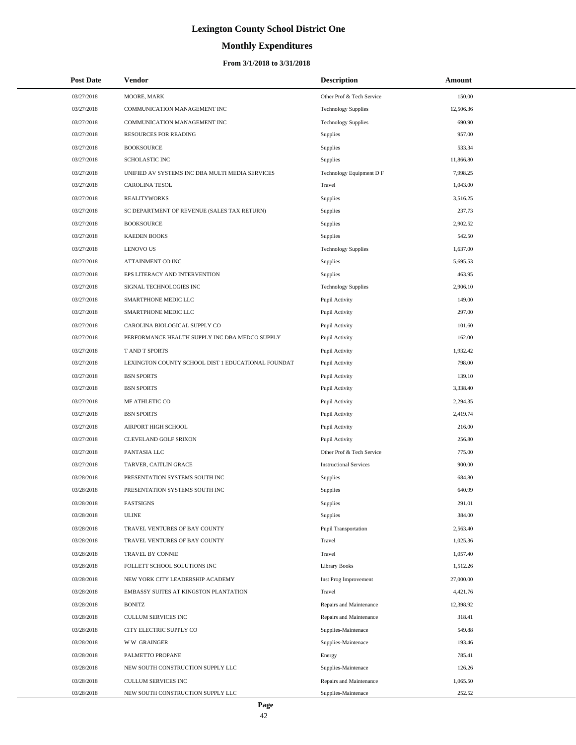# **Monthly Expenditures**

#### **From 3/1/2018 to 3/31/2018**

| <b>Post Date</b> | Vendor                                             | <b>Description</b>            | Amount    |  |
|------------------|----------------------------------------------------|-------------------------------|-----------|--|
| 03/27/2018       | MOORE, MARK                                        | Other Prof & Tech Service     | 150.00    |  |
| 03/27/2018       | COMMUNICATION MANAGEMENT INC                       | <b>Technology Supplies</b>    | 12,506.36 |  |
| 03/27/2018       | COMMUNICATION MANAGEMENT INC                       | <b>Technology Supplies</b>    | 690.90    |  |
| 03/27/2018       | <b>RESOURCES FOR READING</b>                       | Supplies                      | 957.00    |  |
| 03/27/2018       | <b>BOOKSOURCE</b>                                  | Supplies                      | 533.34    |  |
| 03/27/2018       | SCHOLASTIC INC                                     | Supplies                      | 11,866.80 |  |
| 03/27/2018       | UNIFIED AV SYSTEMS INC DBA MULTI MEDIA SERVICES    | Technology Equipment D F      | 7,998.25  |  |
| 03/27/2018       | CAROLINA TESOL                                     | Travel                        | 1,043.00  |  |
| 03/27/2018       | <b>REALITYWORKS</b>                                | Supplies                      | 3,516.25  |  |
| 03/27/2018       | SC DEPARTMENT OF REVENUE (SALES TAX RETURN)        | Supplies                      | 237.73    |  |
| 03/27/2018       | <b>BOOKSOURCE</b>                                  | Supplies                      | 2,902.52  |  |
| 03/27/2018       | <b>KAEDEN BOOKS</b>                                | Supplies                      | 542.50    |  |
| 03/27/2018       | <b>LENOVO US</b>                                   | <b>Technology Supplies</b>    | 1,637.00  |  |
| 03/27/2018       | ATTAINMENT CO INC                                  | Supplies                      | 5,695.53  |  |
| 03/27/2018       | EPS LITERACY AND INTERVENTION                      | Supplies                      | 463.95    |  |
| 03/27/2018       | SIGNAL TECHNOLOGIES INC                            | <b>Technology Supplies</b>    | 2,906.10  |  |
| 03/27/2018       | SMARTPHONE MEDIC LLC                               | Pupil Activity                | 149.00    |  |
| 03/27/2018       | SMARTPHONE MEDIC LLC                               | Pupil Activity                | 297.00    |  |
| 03/27/2018       | CAROLINA BIOLOGICAL SUPPLY CO                      | Pupil Activity                | 101.60    |  |
| 03/27/2018       | PERFORMANCE HEALTH SUPPLY INC DBA MEDCO SUPPLY     | Pupil Activity                | 162.00    |  |
| 03/27/2018       | <b>TAND T SPORTS</b>                               | Pupil Activity                | 1,932.42  |  |
| 03/27/2018       | LEXINGTON COUNTY SCHOOL DIST 1 EDUCATIONAL FOUNDAT | Pupil Activity                | 798.00    |  |
| 03/27/2018       | <b>BSN SPORTS</b>                                  | Pupil Activity                | 139.10    |  |
| 03/27/2018       | <b>BSN SPORTS</b>                                  | Pupil Activity                | 3,338.40  |  |
| 03/27/2018       | MF ATHLETIC CO                                     | Pupil Activity                | 2,294.35  |  |
| 03/27/2018       | <b>BSN SPORTS</b>                                  | Pupil Activity                | 2,419.74  |  |
| 03/27/2018       | AIRPORT HIGH SCHOOL                                | Pupil Activity                | 216.00    |  |
| 03/27/2018       | CLEVELAND GOLF SRIXON                              | Pupil Activity                | 256.80    |  |
| 03/27/2018       | PANTASIA LLC                                       | Other Prof & Tech Service     | 775.00    |  |
| 03/27/2018       | TARVER, CAITLIN GRACE                              | <b>Instructional Services</b> | 900.00    |  |
| 03/28/2018       | PRESENTATION SYSTEMS SOUTH INC                     | Supplies                      | 684.80    |  |
| 03/28/2018       | PRESENTATION SYSTEMS SOUTH INC                     | Supplies                      | 640.99    |  |
| 03/28/2018       | <b>FASTSIGNS</b>                                   | Supplies                      | 291.01    |  |
| 03/28/2018       | <b>ULINE</b>                                       | Supplies                      | 384.00    |  |
| 03/28/2018       | TRAVEL VENTURES OF BAY COUNTY                      | <b>Pupil Transportation</b>   | 2,563.40  |  |
| 03/28/2018       | TRAVEL VENTURES OF BAY COUNTY                      | Travel                        | 1,025.36  |  |
| 03/28/2018       | TRAVEL BY CONNIE                                   | Travel                        | 1,057.40  |  |
| 03/28/2018       | FOLLETT SCHOOL SOLUTIONS INC                       | <b>Library Books</b>          | 1,512.26  |  |
| 03/28/2018       | NEW YORK CITY LEADERSHIP ACADEMY                   | Inst Prog Improvement         | 27,000.00 |  |
| 03/28/2018       | EMBASSY SUITES AT KINGSTON PLANTATION              | Travel                        | 4,421.76  |  |
| 03/28/2018       | <b>BONITZ</b>                                      | Repairs and Maintenance       | 12,398.92 |  |
| 03/28/2018       | CULLUM SERVICES INC                                | Repairs and Maintenance       | 318.41    |  |
| 03/28/2018       | CITY ELECTRIC SUPPLY CO                            | Supplies-Maintenace           | 549.88    |  |
| 03/28/2018       | <b>WW GRAINGER</b>                                 | Supplies-Maintenace           | 193.46    |  |
| 03/28/2018       | PALMETTO PROPANE                                   | Energy                        | 785.41    |  |
| 03/28/2018       | NEW SOUTH CONSTRUCTION SUPPLY LLC                  | Supplies-Maintenace           | 126.26    |  |
| 03/28/2018       | CULLUM SERVICES INC                                | Repairs and Maintenance       | 1,065.50  |  |
| 03/28/2018       | NEW SOUTH CONSTRUCTION SUPPLY LLC                  | Supplies-Maintenace           | 252.52    |  |

 $\overline{a}$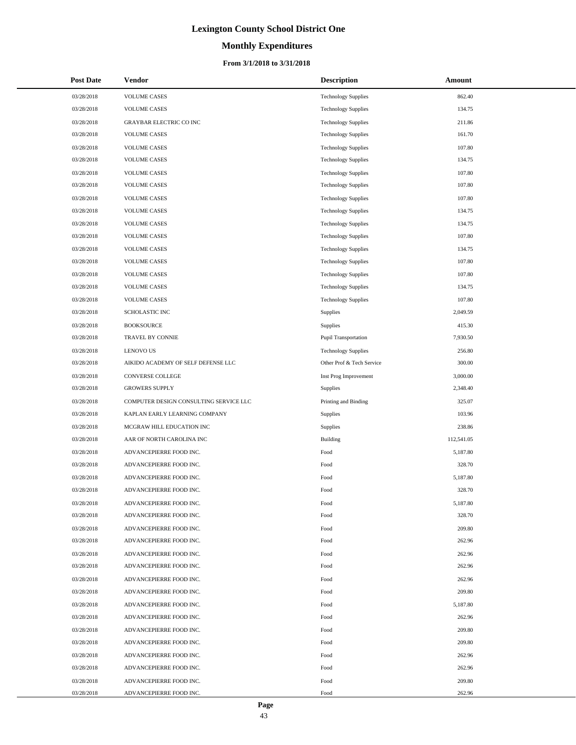# **Monthly Expenditures**

#### **From 3/1/2018 to 3/31/2018**

| <b>Post Date</b> | <b>Vendor</b>                          | <b>Description</b>          | Amount     |
|------------------|----------------------------------------|-----------------------------|------------|
| 03/28/2018       | <b>VOLUME CASES</b>                    | <b>Technology Supplies</b>  | 862.40     |
| 03/28/2018       | <b>VOLUME CASES</b>                    | <b>Technology Supplies</b>  | 134.75     |
| 03/28/2018       | GRAYBAR ELECTRIC CO INC                | <b>Technology Supplies</b>  | 211.86     |
| 03/28/2018       | <b>VOLUME CASES</b>                    | <b>Technology Supplies</b>  | 161.70     |
| 03/28/2018       | <b>VOLUME CASES</b>                    | <b>Technology Supplies</b>  | 107.80     |
| 03/28/2018       | <b>VOLUME CASES</b>                    | <b>Technology Supplies</b>  | 134.75     |
| 03/28/2018       | <b>VOLUME CASES</b>                    | <b>Technology Supplies</b>  | 107.80     |
| 03/28/2018       | <b>VOLUME CASES</b>                    | <b>Technology Supplies</b>  | 107.80     |
| 03/28/2018       | <b>VOLUME CASES</b>                    | <b>Technology Supplies</b>  | 107.80     |
| 03/28/2018       | <b>VOLUME CASES</b>                    | <b>Technology Supplies</b>  | 134.75     |
| 03/28/2018       | <b>VOLUME CASES</b>                    | <b>Technology Supplies</b>  | 134.75     |
| 03/28/2018       | <b>VOLUME CASES</b>                    | <b>Technology Supplies</b>  | 107.80     |
| 03/28/2018       | <b>VOLUME CASES</b>                    | <b>Technology Supplies</b>  | 134.75     |
| 03/28/2018       | <b>VOLUME CASES</b>                    | <b>Technology Supplies</b>  | 107.80     |
| 03/28/2018       | <b>VOLUME CASES</b>                    | <b>Technology Supplies</b>  | 107.80     |
| 03/28/2018       | <b>VOLUME CASES</b>                    | <b>Technology Supplies</b>  | 134.75     |
| 03/28/2018       | <b>VOLUME CASES</b>                    | <b>Technology Supplies</b>  | 107.80     |
| 03/28/2018       | SCHOLASTIC INC                         | Supplies                    | 2,049.59   |
| 03/28/2018       | <b>BOOKSOURCE</b>                      | Supplies                    | 415.30     |
| 03/28/2018       | TRAVEL BY CONNIE                       | <b>Pupil Transportation</b> | 7,930.50   |
| 03/28/2018       | <b>LENOVO US</b>                       | <b>Technology Supplies</b>  | 256.80     |
| 03/28/2018       | AIKIDO ACADEMY OF SELF DEFENSE LLC     | Other Prof & Tech Service   | 300.00     |
| 03/28/2018       | CONVERSE COLLEGE                       | Inst Prog Improvement       | 3,000.00   |
| 03/28/2018       | <b>GROWERS SUPPLY</b>                  | Supplies                    | 2,348.40   |
| 03/28/2018       | COMPUTER DESIGN CONSULTING SERVICE LLC | Printing and Binding        | 325.07     |
| 03/28/2018       | KAPLAN EARLY LEARNING COMPANY          | Supplies                    | 103.96     |
| 03/28/2018       | MCGRAW HILL EDUCATION INC              | Supplies                    | 238.86     |
| 03/28/2018       | AAR OF NORTH CAROLINA INC              | <b>Building</b>             | 112,541.05 |
| 03/28/2018       | ADVANCEPIERRE FOOD INC.                | Food                        | 5,187.80   |
| 03/28/2018       | ADVANCEPIERRE FOOD INC.                | Food                        | 328.70     |
| 03/28/2018       | ADVANCEPIERRE FOOD INC.                | Food                        | 5,187.80   |
| 03/28/2018       | ADVANCEPIERRE FOOD INC.                | Food                        | 328.70     |
| 03/28/2018       | ADVANCEPIERRE FOOD INC.                | Food                        | 5,187.80   |
| 03/28/2018       | ADVANCEPIERRE FOOD INC.                | Food                        | 328.70     |
| 03/28/2018       | ADVANCEPIERRE FOOD INC.                | Food                        | 209.80     |
| 03/28/2018       | ADVANCEPIERRE FOOD INC.                | Food                        | 262.96     |
| 03/28/2018       | ADVANCEPIERRE FOOD INC.                | Food                        | 262.96     |
| 03/28/2018       | ADVANCEPIERRE FOOD INC.                | Food                        | 262.96     |
| 03/28/2018       | ADVANCEPIERRE FOOD INC.                | Food                        | 262.96     |
| 03/28/2018       | ADVANCEPIERRE FOOD INC.                | Food                        | 209.80     |
| 03/28/2018       | ADVANCEPIERRE FOOD INC.                | Food                        | 5,187.80   |
| 03/28/2018       | ADVANCEPIERRE FOOD INC.                | Food                        | 262.96     |
| 03/28/2018       | ADVANCEPIERRE FOOD INC.                | Food                        | 209.80     |
| 03/28/2018       | ADVANCEPIERRE FOOD INC.                | Food                        | 209.80     |
| 03/28/2018       | ADVANCEPIERRE FOOD INC.                | Food                        | 262.96     |
| 03/28/2018       | ADVANCEPIERRE FOOD INC.                | Food                        | 262.96     |
| 03/28/2018       | ADVANCEPIERRE FOOD INC.                | Food                        | 209.80     |
| 03/28/2018       | ADVANCEPIERRE FOOD INC.                | Food                        | 262.96     |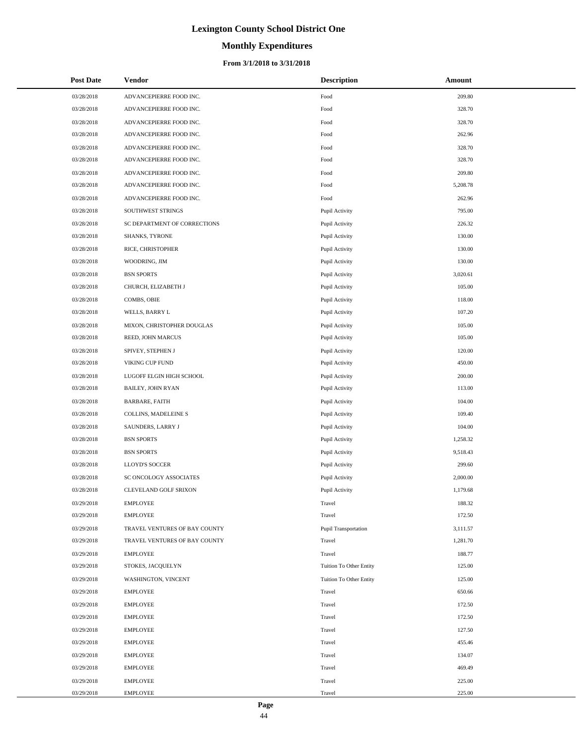# **Monthly Expenditures**

#### **From 3/1/2018 to 3/31/2018**

| <b>Post Date</b> | Vendor                        | <b>Description</b>             | Amount   |
|------------------|-------------------------------|--------------------------------|----------|
| 03/28/2018       | ADVANCEPIERRE FOOD INC.       | Food                           | 209.80   |
| 03/28/2018       | ADVANCEPIERRE FOOD INC.       | Food                           | 328.70   |
| 03/28/2018       | ADVANCEPIERRE FOOD INC.       | Food                           | 328.70   |
| 03/28/2018       | ADVANCEPIERRE FOOD INC.       | Food                           | 262.96   |
| 03/28/2018       | ADVANCEPIERRE FOOD INC.       | Food                           | 328.70   |
| 03/28/2018       | ADVANCEPIERRE FOOD INC.       | Food                           | 328.70   |
| 03/28/2018       | ADVANCEPIERRE FOOD INC.       | Food                           | 209.80   |
| 03/28/2018       | ADVANCEPIERRE FOOD INC.       | Food                           | 5,208.78 |
| 03/28/2018       | ADVANCEPIERRE FOOD INC.       | Food                           | 262.96   |
| 03/28/2018       | SOUTHWEST STRINGS             | Pupil Activity                 | 795.00   |
| 03/28/2018       | SC DEPARTMENT OF CORRECTIONS  | Pupil Activity                 | 226.32   |
| 03/28/2018       | SHANKS, TYRONE                | Pupil Activity                 | 130.00   |
| 03/28/2018       | RICE, CHRISTOPHER             | Pupil Activity                 | 130.00   |
| 03/28/2018       | WOODRING, JIM                 | Pupil Activity                 | 130.00   |
| 03/28/2018       | <b>BSN SPORTS</b>             | Pupil Activity                 | 3,020.61 |
| 03/28/2018       | CHURCH, ELIZABETH J           | Pupil Activity                 | 105.00   |
| 03/28/2018       | COMBS, OBIE                   | Pupil Activity                 | 118.00   |
| 03/28/2018       | WELLS, BARRY L                | Pupil Activity                 | 107.20   |
| 03/28/2018       | MIXON, CHRISTOPHER DOUGLAS    | Pupil Activity                 | 105.00   |
| 03/28/2018       | REED, JOHN MARCUS             | Pupil Activity                 | 105.00   |
| 03/28/2018       | SPIVEY, STEPHEN J             | Pupil Activity                 | 120.00   |
| 03/28/2018       | VIKING CUP FUND               | Pupil Activity                 | 450.00   |
| 03/28/2018       | LUGOFF ELGIN HIGH SCHOOL      | Pupil Activity                 | 200.00   |
| 03/28/2018       | BAILEY, JOHN RYAN             | Pupil Activity                 | 113.00   |
| 03/28/2018       | <b>BARBARE, FAITH</b>         | Pupil Activity                 | 104.00   |
| 03/28/2018       | COLLINS, MADELEINE S          | Pupil Activity                 | 109.40   |
| 03/28/2018       | SAUNDERS, LARRY J             | Pupil Activity                 | 104.00   |
| 03/28/2018       | <b>BSN SPORTS</b>             | Pupil Activity                 | 1,258.32 |
| 03/28/2018       | <b>BSN SPORTS</b>             | Pupil Activity                 | 9,518.43 |
| 03/28/2018       | LLOYD'S SOCCER                | Pupil Activity                 | 299.60   |
| 03/28/2018       | SC ONCOLOGY ASSOCIATES        | Pupil Activity                 | 2,000.00 |
| 03/28/2018       | CLEVELAND GOLF SRIXON         | Pupil Activity                 | 1,179.68 |
| 03/29/2018       | <b>EMPLOYEE</b>               | Travel                         | 188.32   |
| 03/29/2018       | <b>EMPLOYEE</b>               | Travel                         | 172.50   |
| 03/29/2018       | TRAVEL VENTURES OF BAY COUNTY | <b>Pupil Transportation</b>    | 3,111.57 |
| 03/29/2018       | TRAVEL VENTURES OF BAY COUNTY | Travel                         | 1,281.70 |
| 03/29/2018       | <b>EMPLOYEE</b>               | Travel                         | 188.77   |
| 03/29/2018       | STOKES, JACQUELYN             | Tuition To Other Entity        | 125.00   |
| 03/29/2018       | WASHINGTON, VINCENT           | <b>Tuition To Other Entity</b> | 125.00   |
| 03/29/2018       | <b>EMPLOYEE</b>               | Travel                         | 650.66   |
| 03/29/2018       | <b>EMPLOYEE</b>               | Travel                         | 172.50   |
| 03/29/2018       | <b>EMPLOYEE</b>               | Travel                         | 172.50   |
| 03/29/2018       | <b>EMPLOYEE</b>               | Travel                         | 127.50   |
| 03/29/2018       | <b>EMPLOYEE</b>               | Travel                         | 455.46   |
| 03/29/2018       | <b>EMPLOYEE</b>               | Travel                         | 134.07   |
| 03/29/2018       | <b>EMPLOYEE</b>               | Travel                         | 469.49   |
| 03/29/2018       | <b>EMPLOYEE</b>               | Travel                         | 225.00   |
| 03/29/2018       | <b>EMPLOYEE</b>               | Travel                         | 225.00   |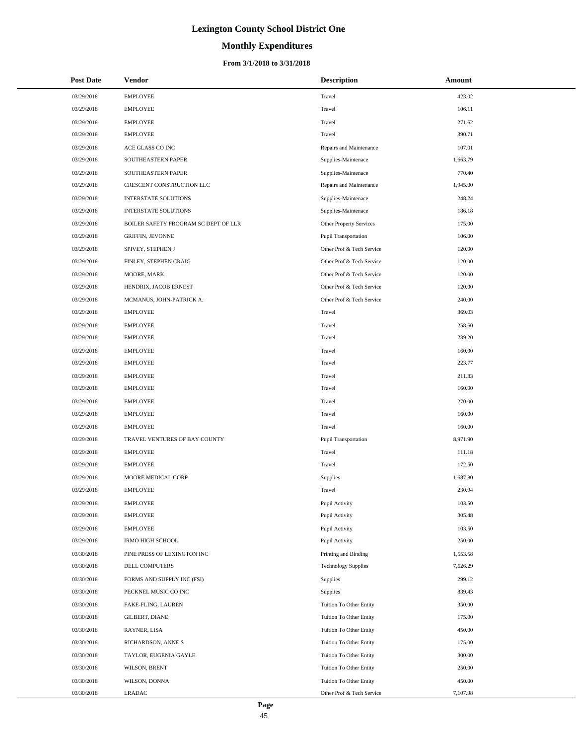# **Monthly Expenditures**

#### **From 3/1/2018 to 3/31/2018**

| <b>Post Date</b> | Vendor                               | <b>Description</b>         | Amount   |
|------------------|--------------------------------------|----------------------------|----------|
| 03/29/2018       | <b>EMPLOYEE</b>                      | Travel                     | 423.02   |
| 03/29/2018       | <b>EMPLOYEE</b>                      | Travel                     | 106.11   |
| 03/29/2018       | <b>EMPLOYEE</b>                      | Travel                     | 271.62   |
| 03/29/2018       | <b>EMPLOYEE</b>                      | Travel                     | 390.71   |
| 03/29/2018       | ACE GLASS CO INC                     | Repairs and Maintenance    | 107.01   |
| 03/29/2018       | SOUTHEASTERN PAPER                   | Supplies-Maintenace        | 1,663.79 |
| 03/29/2018       | SOUTHEASTERN PAPER                   | Supplies-Maintenace        | 770.40   |
| 03/29/2018       | CRESCENT CONSTRUCTION LLC            | Repairs and Maintenance    | 1,945.00 |
| 03/29/2018       | <b>INTERSTATE SOLUTIONS</b>          | Supplies-Maintenace        | 248.24   |
| 03/29/2018       | <b>INTERSTATE SOLUTIONS</b>          | Supplies-Maintenace        | 186.18   |
| 03/29/2018       | BOILER SAFETY PROGRAM SC DEPT OF LLR | Other Property Services    | 175.00   |
| 03/29/2018       | <b>GRIFFIN, JEVONNE</b>              | Pupil Transportation       | 106.00   |
| 03/29/2018       | SPIVEY, STEPHEN J                    | Other Prof & Tech Service  | 120.00   |
| 03/29/2018       | FINLEY, STEPHEN CRAIG                | Other Prof & Tech Service  | 120.00   |
| 03/29/2018       | MOORE, MARK                          | Other Prof & Tech Service  | 120.00   |
| 03/29/2018       | HENDRIX, JACOB ERNEST                | Other Prof & Tech Service  | 120.00   |
| 03/29/2018       | MCMANUS, JOHN-PATRICK A.             | Other Prof & Tech Service  | 240.00   |
| 03/29/2018       | <b>EMPLOYEE</b>                      | Travel                     | 369.03   |
| 03/29/2018       | <b>EMPLOYEE</b>                      | Travel                     | 258.60   |
| 03/29/2018       | <b>EMPLOYEE</b>                      | Travel                     | 239.20   |
| 03/29/2018       | <b>EMPLOYEE</b>                      | Travel                     | 160.00   |
| 03/29/2018       | <b>EMPLOYEE</b>                      | Travel                     | 223.77   |
| 03/29/2018       | <b>EMPLOYEE</b>                      | Travel                     | 211.83   |
| 03/29/2018       | <b>EMPLOYEE</b>                      | Travel                     | 160.00   |
| 03/29/2018       | <b>EMPLOYEE</b>                      | Travel                     | 270.00   |
| 03/29/2018       | <b>EMPLOYEE</b>                      | Travel                     | 160.00   |
| 03/29/2018       | <b>EMPLOYEE</b>                      | Travel                     | 160.00   |
| 03/29/2018       | TRAVEL VENTURES OF BAY COUNTY        | Pupil Transportation       | 8,971.90 |
| 03/29/2018       | <b>EMPLOYEE</b>                      | Travel                     | 111.18   |
| 03/29/2018       | <b>EMPLOYEE</b>                      | Travel                     | 172.50   |
| 03/29/2018       | MOORE MEDICAL CORP                   | Supplies                   | 1,687.80 |
| 03/29/2018       | <b>EMPLOYEE</b>                      | Travel                     | 230.94   |
| 03/29/2018       | <b>EMPLOYEE</b>                      | Pupil Activity             | 103.50   |
| 03/29/2018       | <b>EMPLOYEE</b>                      | Pupil Activity             | 305.48   |
| 03/29/2018       | <b>EMPLOYEE</b>                      | Pupil Activity             | 103.50   |
| 03/29/2018       | <b>IRMO HIGH SCHOOL</b>              | Pupil Activity             | 250.00   |
| 03/30/2018       | PINE PRESS OF LEXINGTON INC          | Printing and Binding       | 1,553.58 |
| 03/30/2018       | DELL COMPUTERS                       | <b>Technology Supplies</b> | 7,626.29 |
| 03/30/2018       | FORMS AND SUPPLY INC (FSI)           | Supplies                   | 299.12   |
| 03/30/2018       | PECKNEL MUSIC CO INC                 | Supplies                   | 839.43   |
| 03/30/2018       | FAKE-FLING, LAUREN                   | Tuition To Other Entity    | 350.00   |
| 03/30/2018       | GILBERT, DIANE                       | Tuition To Other Entity    | 175.00   |
| 03/30/2018       | RAYNER, LISA                         | Tuition To Other Entity    | 450.00   |
| 03/30/2018       | RICHARDSON, ANNE S                   | Tuition To Other Entity    | 175.00   |
| 03/30/2018       | TAYLOR, EUGENIA GAYLE                | Tuition To Other Entity    | 300.00   |
| 03/30/2018       | WILSON, BRENT                        | Tuition To Other Entity    | 250.00   |
| 03/30/2018       | WILSON, DONNA                        | Tuition To Other Entity    | 450.00   |
| 03/30/2018       | LRADAC                               | Other Prof & Tech Service  | 7,107.98 |